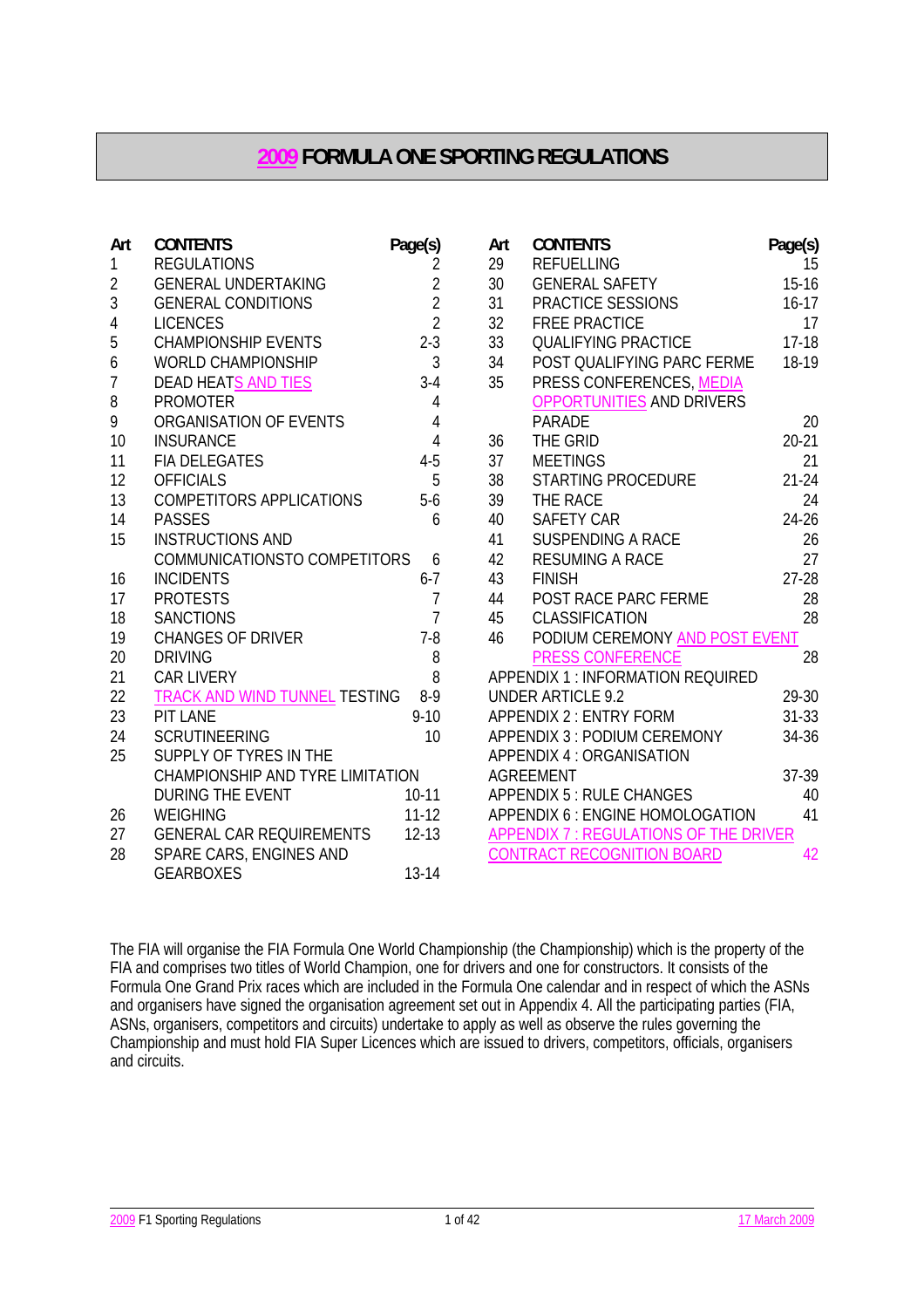# **2009 FORMULA ONE SPORTING REGULATIONS**

| Art            | <b>CONTENTS</b>                  | Page(s)        | Art | <b>CONTENTS</b>                       | Page(s)   |
|----------------|----------------------------------|----------------|-----|---------------------------------------|-----------|
| $\mathbf{1}$   | <b>REGULATIONS</b>               | 2              | 29  | <b>REFUELLING</b>                     | 15        |
| $\overline{2}$ | <b>GENERAL UNDERTAKING</b>       | $\overline{2}$ | 30  | <b>GENERAL SAFETY</b>                 | $15-16$   |
| $\overline{3}$ | <b>GENERAL CONDITIONS</b>        | $\overline{2}$ | 31  | PRACTICE SESSIONS                     | $16 - 17$ |
| 4              | <b>LICENCES</b>                  | $\overline{2}$ | 32  | <b>FREE PRACTICE</b>                  | 17        |
| 5              | <b>CHAMPIONSHIP EVENTS</b>       | $2-3$          | 33  | <b>QUALIFYING PRACTICE</b>            | $17-18$   |
| 6              | <b>WORLD CHAMPIONSHIP</b>        | $\mathfrak{Z}$ | 34  | POST QUALIFYING PARC FERME            | 18-19     |
| $\overline{1}$ | DEAD HEATS AND TIES              | $3-4$          | 35  | PRESS CONFERENCES, MEDIA              |           |
| 8              | <b>PROMOTER</b>                  | 4              |     | OPPORTUNITIES AND DRIVERS             |           |
| 9              | ORGANISATION OF EVENTS           | 4              |     | <b>PARADE</b>                         | 20        |
| 10             | <b>INSURANCE</b>                 | $\overline{4}$ | 36  | THE GRID                              | $20 - 21$ |
| 11             | <b>FIA DELEGATES</b>             | $4 - 5$        | 37  | <b>MEETINGS</b>                       | 21        |
| 12             | <b>OFFICIALS</b>                 | 5              | 38  | <b>STARTING PROCEDURE</b>             | $21 - 24$ |
| 13             | <b>COMPETITORS APPLICATIONS</b>  | $5-6$          | 39  | THE RACE                              | 24        |
| 14             | <b>PASSES</b>                    | 6              | 40  | <b>SAFETY CAR</b>                     | 24-26     |
| 15             | <b>INSTRUCTIONS AND</b>          |                | 41  | <b>SUSPENDING A RACE</b>              | 26        |
|                | COMMUNICATIONSTO COMPETITORS     | 6              | 42  | <b>RESUMING A RACE</b>                | 27        |
| 16             | <b>INCIDENTS</b>                 | $6 - 7$        | 43  | <b>FINISH</b>                         | $27 - 28$ |
| 17             | <b>PROTESTS</b>                  | $\overline{7}$ | 44  | POST RACE PARC FERME                  | 28        |
| 18             | <b>SANCTIONS</b>                 | $\overline{7}$ | 45  | CLASSIFICATION                        | 28        |
| 19             | <b>CHANGES OF DRIVER</b>         | $7 - 8$        | 46  | PODIUM CEREMONY AND POST EVENT        |           |
| 20             | <b>DRIVING</b>                   | 8              |     | <b>PRESS CONFERENCE</b>               | 28        |
| 21             | <b>CAR LIVERY</b>                | 8              |     | APPENDIX 1 : INFORMATION REQUIRED     |           |
| 22             | TRACK AND WIND TUNNEL TESTING    | $8-9$          |     | <b>UNDER ARTICLE 9.2</b>              | 29-30     |
| 23             | PIT LANE                         | $9 - 10$       |     | <b>APPENDIX 2: ENTRY FORM</b>         | $31 - 33$ |
| 24             | <b>SCRUTINEERING</b>             | 10             |     | APPENDIX 3 : PODIUM CEREMONY          | 34-36     |
| 25             | SUPPLY OF TYRES IN THE           |                |     | APPENDIX 4 : ORGANISATION             |           |
|                | CHAMPIONSHIP AND TYRE LIMITATION |                |     | <b>AGREEMENT</b>                      | 37-39     |
|                | <b>DURING THE EVENT</b>          | $10-11$        |     | <b>APPENDIX 5: RULE CHANGES</b>       | 40        |
| 26             | <b>WEIGHING</b>                  | $11 - 12$      |     | APPENDIX 6 : ENGINE HOMOLOGATION      | 41        |
| 27             | <b>GENERAL CAR REQUIREMENTS</b>  | $12 - 13$      |     | APPENDIX 7: REGULATIONS OF THE DRIVER |           |
| 28             | SPARE CARS, ENGINES AND          |                |     | <b>CONTRACT RECOGNITION BOARD</b>     | 42        |
|                | <b>GEARBOXES</b>                 | 13-14          |     |                                       |           |

The FIA will organise the FIA Formula One World Championship (the Championship) which is the property of the FIA and comprises two titles of World Champion, one for drivers and one for constructors. It consists of the Formula One Grand Prix races which are included in the Formula One calendar and in respect of which the ASNs and organisers have signed the organisation agreement set out in Appendix 4. All the participating parties (FIA, ASNs, organisers, competitors and circuits) undertake to apply as well as observe the rules governing the Championship and must hold FIA Super Licences which are issued to drivers, competitors, officials, organisers and circuits.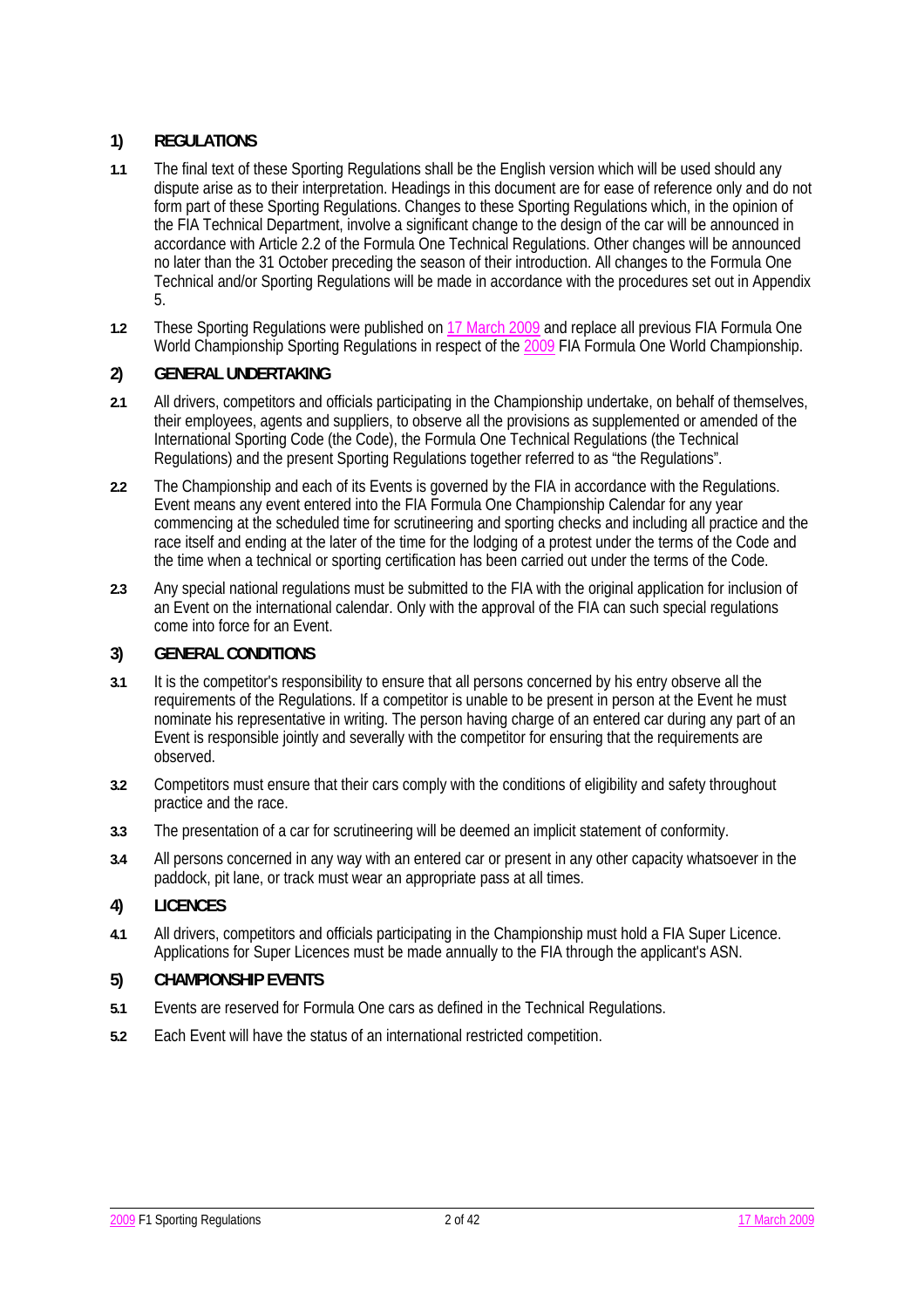# **1) REGULATIONS**

- **1.1** The final text of these Sporting Regulations shall be the English version which will be used should any dispute arise as to their interpretation. Headings in this document are for ease of reference only and do not form part of these Sporting Regulations. Changes to these Sporting Regulations which, in the opinion of the FIA Technical Department, involve a significant change to the design of the car will be announced in accordance with Article 2.2 of the Formula One Technical Regulations. Other changes will be announced no later than the 31 October preceding the season of their introduction. All changes to the Formula One Technical and/or Sporting Regulations will be made in accordance with the procedures set out in Appendix 5.
- **1.2** These Sporting Regulations were published on 17 March 2009 and replace all previous FIA Formula One World Championship Sporting Regulations in respect of the 2009 FIA Formula One World Championship.

# **2) GENERAL UNDERTAKING**

- **2.1** All drivers, competitors and officials participating in the Championship undertake, on behalf of themselves, their employees, agents and suppliers, to observe all the provisions as supplemented or amended of the International Sporting Code (the Code), the Formula One Technical Regulations (the Technical Regulations) and the present Sporting Regulations together referred to as "the Regulations".
- **2.2** The Championship and each of its Events is governed by the FIA in accordance with the Regulations. Event means any event entered into the FIA Formula One Championship Calendar for any year commencing at the scheduled time for scrutineering and sporting checks and including all practice and the race itself and ending at the later of the time for the lodging of a protest under the terms of the Code and the time when a technical or sporting certification has been carried out under the terms of the Code.
- **2.3** Any special national regulations must be submitted to the FIA with the original application for inclusion of an Event on the international calendar. Only with the approval of the FIA can such special regulations come into force for an Event.

## **3) GENERAL CONDITIONS**

- **3.1** It is the competitor's responsibility to ensure that all persons concerned by his entry observe all the requirements of the Regulations. If a competitor is unable to be present in person at the Event he must nominate his representative in writing. The person having charge of an entered car during any part of an Event is responsible jointly and severally with the competitor for ensuring that the requirements are observed.
- **3.2** Competitors must ensure that their cars comply with the conditions of eligibility and safety throughout practice and the race.
- **3.3** The presentation of a car for scrutineering will be deemed an implicit statement of conformity.
- **3.4** All persons concerned in any way with an entered car or present in any other capacity whatsoever in the paddock, pit lane, or track must wear an appropriate pass at all times.

# **4) LICENCES**

**4.1** All drivers, competitors and officials participating in the Championship must hold a FIA Super Licence. Applications for Super Licences must be made annually to the FIA through the applicant's ASN.

# **5) CHAMPIONSHIP EVENTS**

- **5.1** Events are reserved for Formula One cars as defined in the Technical Regulations.
- **5.2** Each Event will have the status of an international restricted competition.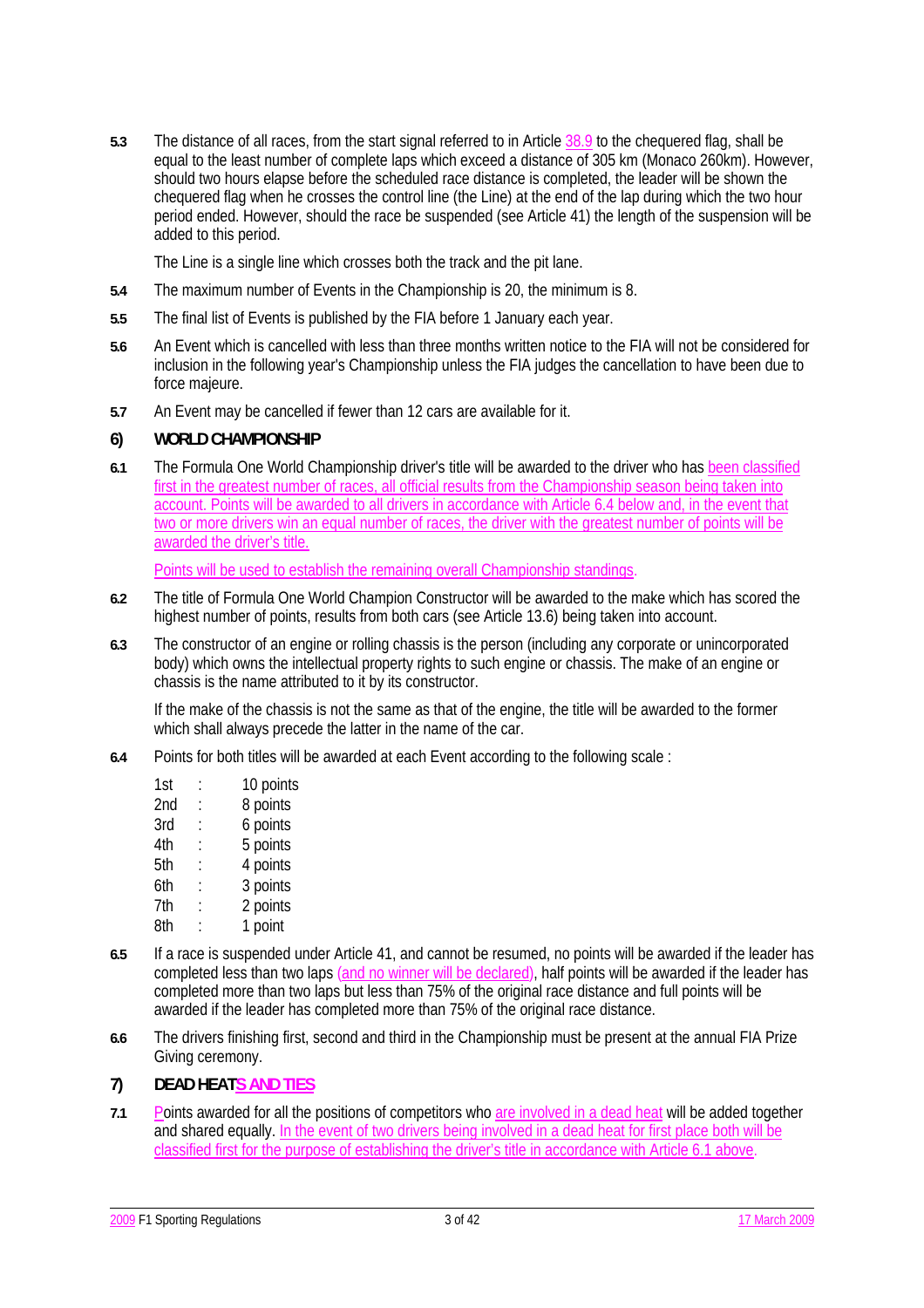**5.3** The distance of all races, from the start signal referred to in Article 38.9 to the chequered flag, shall be equal to the least number of complete laps which exceed a distance of 305 km (Monaco 260km). However, should two hours elapse before the scheduled race distance is completed, the leader will be shown the chequered flag when he crosses the control line (the Line) at the end of the lap during which the two hour period ended. However, should the race be suspended (see Article 41) the length of the suspension will be added to this period.

The Line is a single line which crosses both the track and the pit lane.

- **5.4** The maximum number of Events in the Championship is 20, the minimum is 8.
- **5.5** The final list of Events is published by the FIA before 1 January each year.
- **5.6** An Event which is cancelled with less than three months written notice to the FIA will not be considered for inclusion in the following year's Championship unless the FIA judges the cancellation to have been due to force majeure.
- **5.7** An Event may be cancelled if fewer than 12 cars are available for it.

#### **6) WORLD CHAMPIONSHIP**

**6.1** The Formula One World Championship driver's title will be awarded to the driver who has been classified first in the greatest number of races, all official results from the Championship season being taken into account. Points will be awarded to all drivers in accordance with Article 6.4 below and, in the event that two or more drivers win an equal number of races, the driver with the greatest number of points will be awarded the driver's title.

Points will be used to establish the remaining overall Championship standings.

- **6.2** The title of Formula One World Champion Constructor will be awarded to the make which has scored the highest number of points, results from both cars (see Article 13.6) being taken into account.
- **6.3** The constructor of an engine or rolling chassis is the person (including any corporate or unincorporated body) which owns the intellectual property rights to such engine or chassis. The make of an engine or chassis is the name attributed to it by its constructor.

 If the make of the chassis is not the same as that of the engine, the title will be awarded to the former which shall always precede the latter in the name of the car.

- **6.4** Points for both titles will be awarded at each Event according to the following scale :
	- 1st : 10 points 2nd : 8 points 3rd : 6 points 4th : 5 points 5th : 4 points 6th : 3 points 7th : 2 points 8th : 1 point
- **6.5** If a race is suspended under Article 41, and cannot be resumed, no points will be awarded if the leader has completed less than two laps (and no winner will be declared), half points will be awarded if the leader has completed more than two laps but less than 75% of the original race distance and full points will be awarded if the leader has completed more than 75% of the original race distance.
- **6.6** The drivers finishing first, second and third in the Championship must be present at the annual FIA Prize Giving ceremony.

### **7) DEAD HEATS AND TIES**

**7.1** Points awarded for all the positions of competitors who are involved in a dead heat will be added together and shared equally. In the event of two drivers being involved in a dead heat for first place both will be classified first for the purpose of establishing the driver's title in accordance with Article 6.1 above.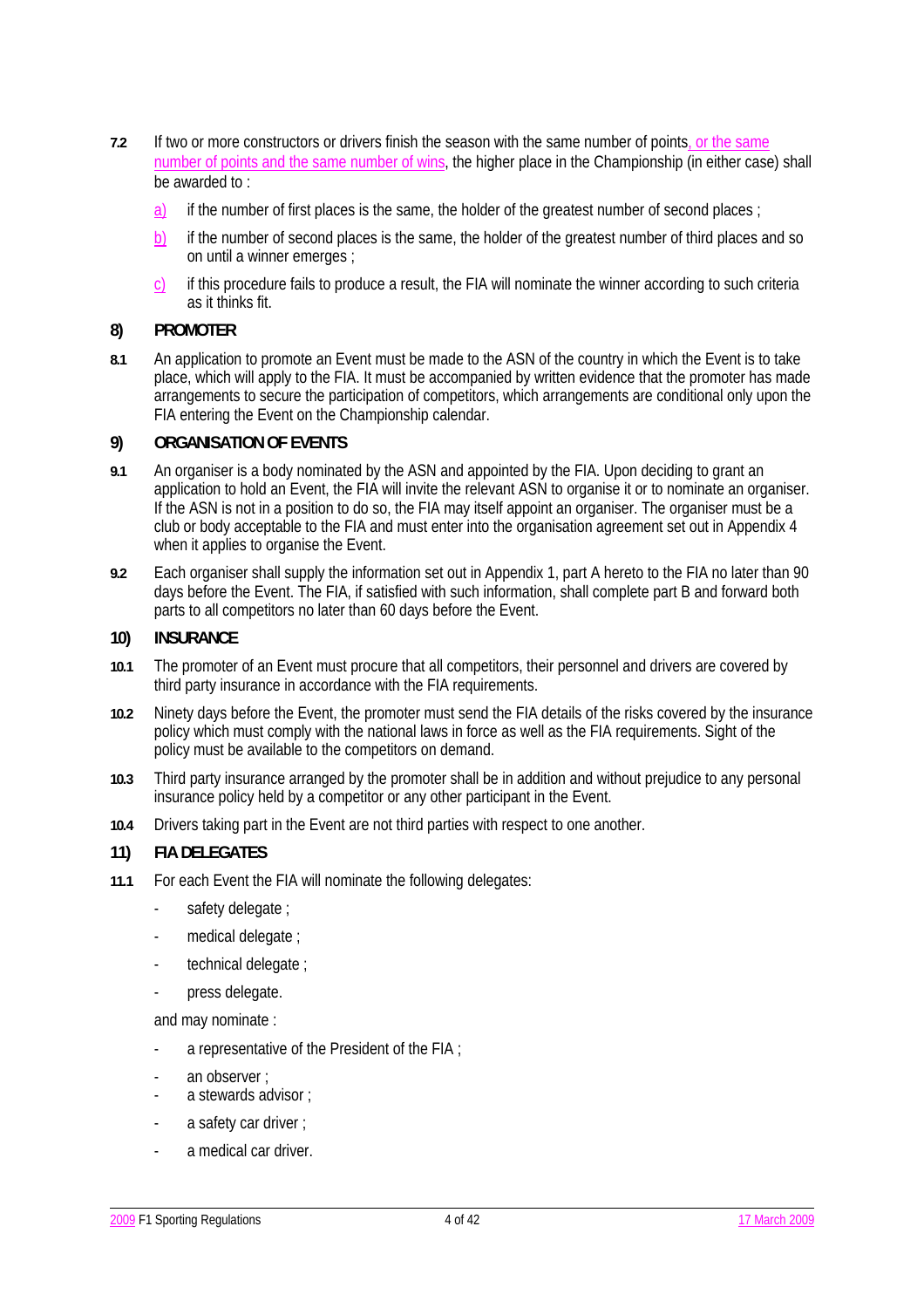- **7.2** If two or more constructors or drivers finish the season with the same number of points, or the same number of points and the same number of wins, the higher place in the Championship (in either case) shall be awarded to :
	- a) if the number of first places is the same, the holder of the greatest number of second places;
	- b) if the number of second places is the same, the holder of the greatest number of third places and so on until a winner emerges ;
	- c) if this procedure fails to produce a result, the FIA will nominate the winner according to such criteria as it thinks fit.

#### **8) PROMOTER**

**8.1** An application to promote an Event must be made to the ASN of the country in which the Event is to take place, which will apply to the FIA. It must be accompanied by written evidence that the promoter has made arrangements to secure the participation of competitors, which arrangements are conditional only upon the FIA entering the Event on the Championship calendar.

#### **9) ORGANISATION OF EVENTS**

- **9.1** An organiser is a body nominated by the ASN and appointed by the FIA. Upon deciding to grant an application to hold an Event, the FIA will invite the relevant ASN to organise it or to nominate an organiser. If the ASN is not in a position to do so, the FIA may itself appoint an organiser. The organiser must be a club or body acceptable to the FIA and must enter into the organisation agreement set out in Appendix 4 when it applies to organise the Event.
- **9.2** Each organiser shall supply the information set out in Appendix 1, part A hereto to the FIA no later than 90 days before the Event. The FIA, if satisfied with such information, shall complete part B and forward both parts to all competitors no later than 60 days before the Event.

#### **10) INSURANCE**

- **10.1** The promoter of an Event must procure that all competitors, their personnel and drivers are covered by third party insurance in accordance with the FIA requirements.
- **10.2** Ninety days before the Event, the promoter must send the FIA details of the risks covered by the insurance policy which must comply with the national laws in force as well as the FIA requirements. Sight of the policy must be available to the competitors on demand.
- **10.3** Third party insurance arranged by the promoter shall be in addition and without prejudice to any personal insurance policy held by a competitor or any other participant in the Event.
- **10.4** Drivers taking part in the Event are not third parties with respect to one another.

### **11) FIA DELEGATES**

- **11.1** For each Event the FIA will nominate the following delegates:
	- safety delegate;
	- medical delegate ;
	- technical delegate ;
	- press delegate.

and may nominate :

- a representative of the President of the FIA ;
- an observer ;
- a stewards advisor ;
- a safety car driver ;
- a medical car driver.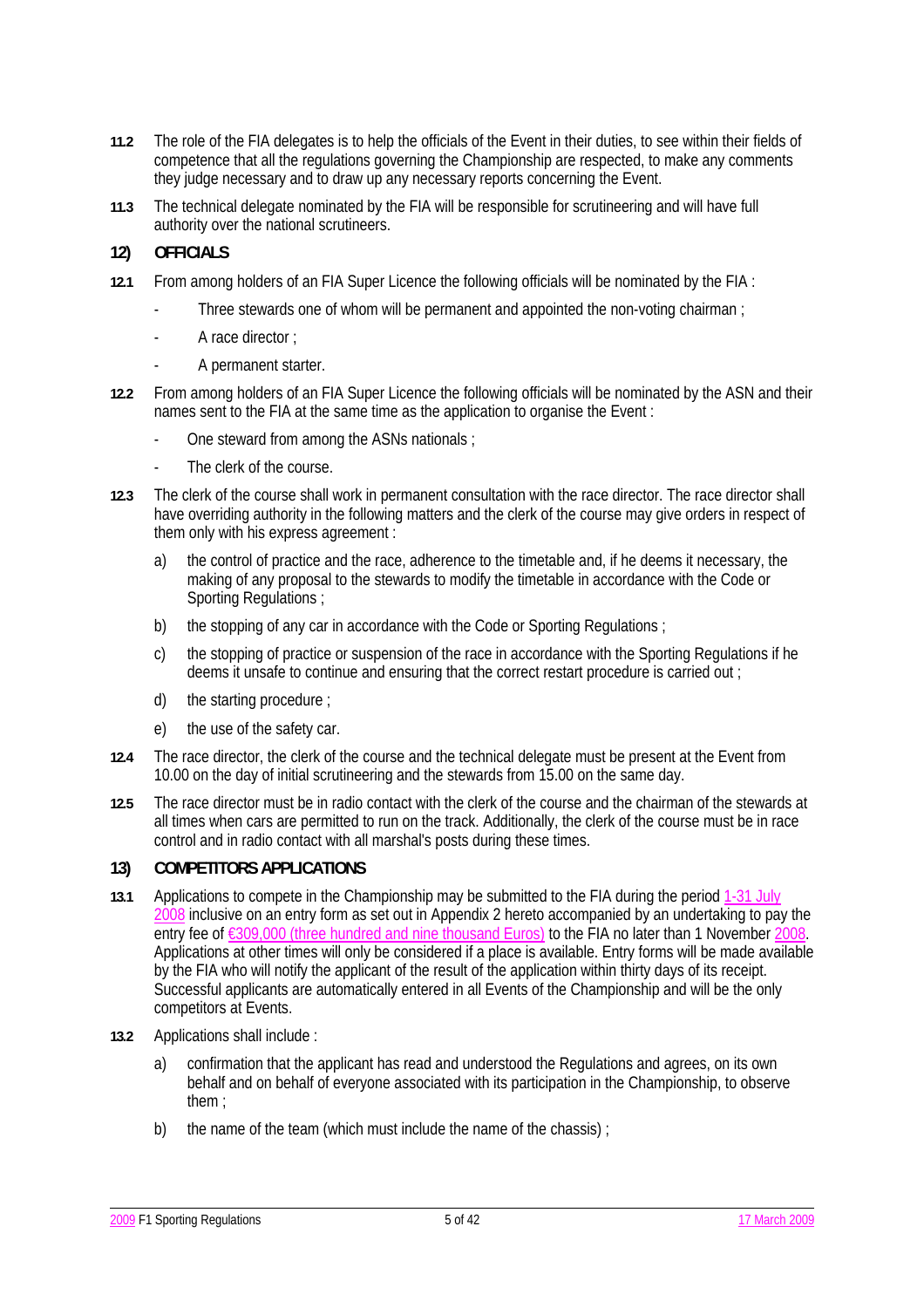- **11.2** The role of the FIA delegates is to help the officials of the Event in their duties, to see within their fields of competence that all the regulations governing the Championship are respected, to make any comments they judge necessary and to draw up any necessary reports concerning the Event.
- **11.3** The technical delegate nominated by the FIA will be responsible for scrutineering and will have full authority over the national scrutineers.
- **12) OFFICIALS**
- **12.1** From among holders of an FIA Super Licence the following officials will be nominated by the FIA :
	- Three stewards one of whom will be permanent and appointed the non-voting chairman :
	- A race director :
	- A permanent starter.
- **12.2** From among holders of an FIA Super Licence the following officials will be nominated by the ASN and their names sent to the FIA at the same time as the application to organise the Event :
	- One steward from among the ASNs nationals ;
	- The clerk of the course.
- **12.3** The clerk of the course shall work in permanent consultation with the race director. The race director shall have overriding authority in the following matters and the clerk of the course may give orders in respect of them only with his express agreement :
	- a) the control of practice and the race, adherence to the timetable and, if he deems it necessary, the making of any proposal to the stewards to modify the timetable in accordance with the Code or Sporting Regulations :
	- b) the stopping of any car in accordance with the Code or Sporting Regulations ;
	- c) the stopping of practice or suspension of the race in accordance with the Sporting Regulations if he deems it unsafe to continue and ensuring that the correct restart procedure is carried out ;
	- d) the starting procedure ;
	- e) the use of the safety car.
- **12.4** The race director, the clerk of the course and the technical delegate must be present at the Event from 10.00 on the day of initial scrutineering and the stewards from 15.00 on the same day.
- **12.5** The race director must be in radio contact with the clerk of the course and the chairman of the stewards at all times when cars are permitted to run on the track. Additionally, the clerk of the course must be in race control and in radio contact with all marshal's posts during these times.

# **13) COMPETITORS APPLICATIONS**

- **13.1** Applications to compete in the Championship may be submitted to the FIA during the period 1-31 July 2008 inclusive on an entry form as set out in Appendix 2 hereto accompanied by an undertaking to pay the entry fee of €309,000 (three hundred and nine thousand Euros) to the FIA no later than 1 November 2008. Applications at other times will only be considered if a place is available. Entry forms will be made available by the FIA who will notify the applicant of the result of the application within thirty days of its receipt. Successful applicants are automatically entered in all Events of the Championship and will be the only competitors at Events.
- **13.2** Applications shall include :
	- a) confirmation that the applicant has read and understood the Regulations and agrees, on its own behalf and on behalf of everyone associated with its participation in the Championship, to observe them ;
	- b) the name of the team (which must include the name of the chassis) ;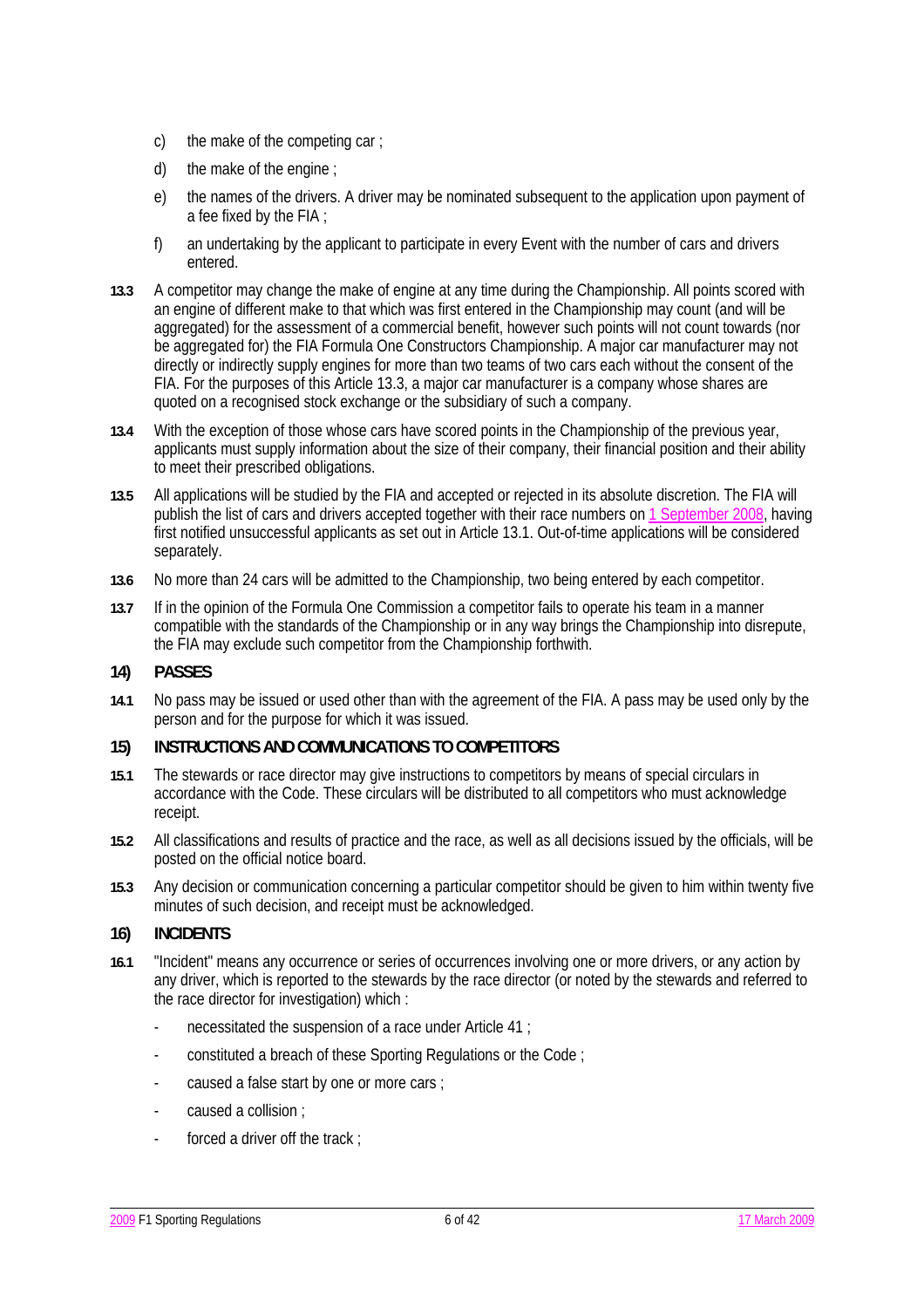- c) the make of the competing car ;
- d) the make of the engine ;
- e) the names of the drivers. A driver may be nominated subsequent to the application upon payment of a fee fixed by the FIA ;
- f) an undertaking by the applicant to participate in every Event with the number of cars and drivers entered.
- **13.3** A competitor may change the make of engine at any time during the Championship. All points scored with an engine of different make to that which was first entered in the Championship may count (and will be aggregated) for the assessment of a commercial benefit, however such points will not count towards (nor be aggregated for) the FIA Formula One Constructors Championship. A major car manufacturer may not directly or indirectly supply engines for more than two teams of two cars each without the consent of the FIA. For the purposes of this Article 13.3, a major car manufacturer is a company whose shares are quoted on a recognised stock exchange or the subsidiary of such a company.
- **13.4** With the exception of those whose cars have scored points in the Championship of the previous year, applicants must supply information about the size of their company, their financial position and their ability to meet their prescribed obligations.
- **13.5** All applications will be studied by the FIA and accepted or rejected in its absolute discretion. The FIA will publish the list of cars and drivers accepted together with their race numbers on 1 September 2008, having first notified unsuccessful applicants as set out in Article 13.1. Out-of-time applications will be considered separately.
- **13.6** No more than 24 cars will be admitted to the Championship, two being entered by each competitor.
- **13.7** If in the opinion of the Formula One Commission a competitor fails to operate his team in a manner compatible with the standards of the Championship or in any way brings the Championship into disrepute, the FIA may exclude such competitor from the Championship forthwith.

### **14) PASSES**

**14.1** No pass may be issued or used other than with the agreement of the FIA. A pass may be used only by the person and for the purpose for which it was issued.

### **15) INSTRUCTIONS AND COMMUNICATIONS TO COMPETITORS**

- **15.1** The stewards or race director may give instructions to competitors by means of special circulars in accordance with the Code. These circulars will be distributed to all competitors who must acknowledge receipt.
- **15.2** All classifications and results of practice and the race, as well as all decisions issued by the officials, will be posted on the official notice board.
- **15.3** Any decision or communication concerning a particular competitor should be given to him within twenty five minutes of such decision, and receipt must be acknowledged.

### **16) INCIDENTS**

- **16.1** "Incident" means any occurrence or series of occurrences involving one or more drivers, or any action by any driver, which is reported to the stewards by the race director (or noted by the stewards and referred to the race director for investigation) which :
	- necessitated the suspension of a race under Article 41 ;
	- constituted a breach of these Sporting Regulations or the Code ;
	- caused a false start by one or more cars ;
	- caused a collision :
	- forced a driver off the track :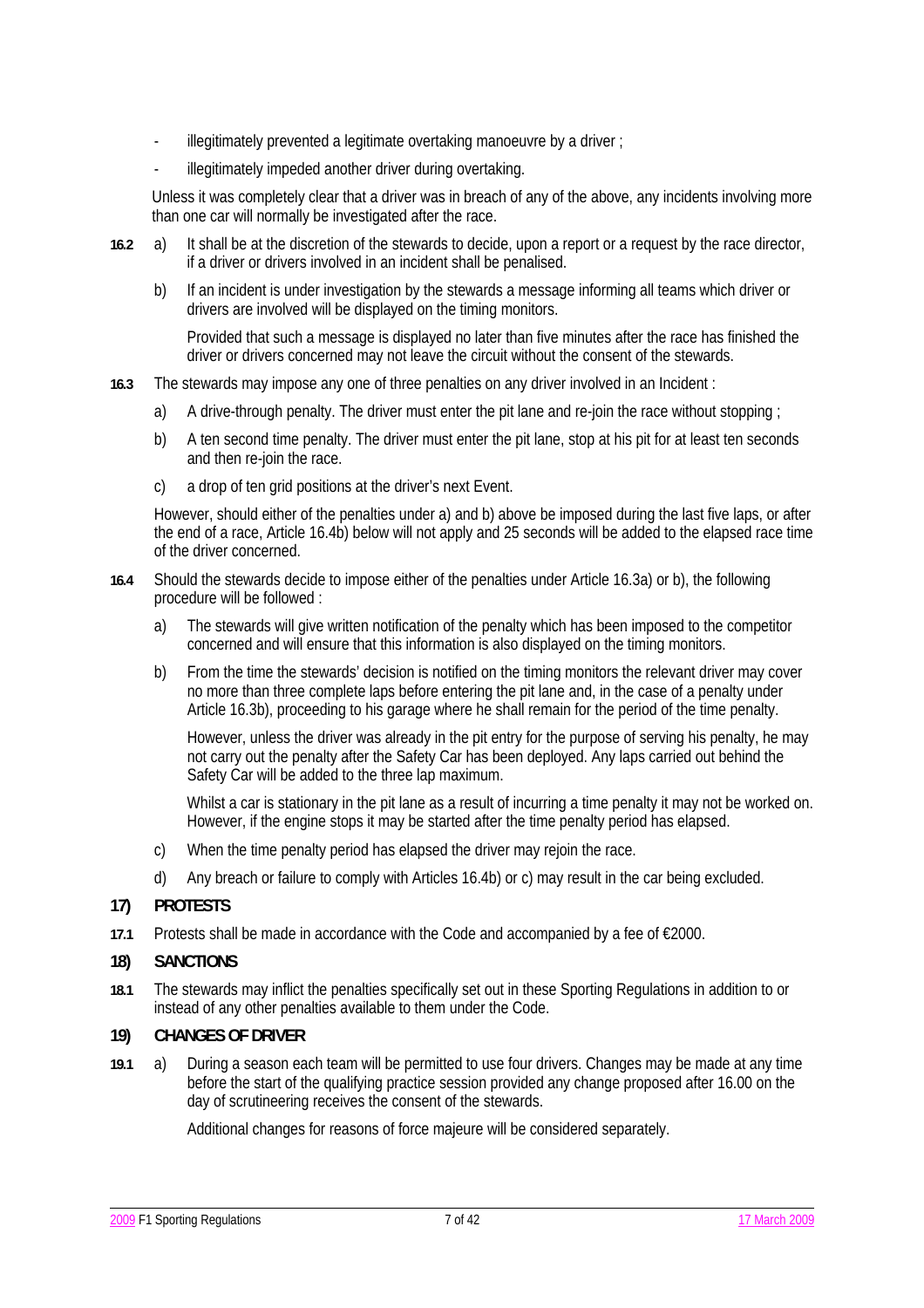- illegitimately prevented a legitimate overtaking manoeuvre by a driver;
- illegitimately impeded another driver during overtaking.

 Unless it was completely clear that a driver was in breach of any of the above, any incidents involving more than one car will normally be investigated after the race.

- **16.2** a) It shall be at the discretion of the stewards to decide, upon a report or a request by the race director, if a driver or drivers involved in an incident shall be penalised.
	- b) If an incident is under investigation by the stewards a message informing all teams which driver or drivers are involved will be displayed on the timing monitors.

 Provided that such a message is displayed no later than five minutes after the race has finished the driver or drivers concerned may not leave the circuit without the consent of the stewards.

- **16.3** The stewards may impose any one of three penalties on any driver involved in an Incident :
	- a) A drive-through penalty. The driver must enter the pit lane and re-join the race without stopping ;
	- b) A ten second time penalty. The driver must enter the pit lane, stop at his pit for at least ten seconds and then re-join the race.
	- c) a drop of ten grid positions at the driver's next Event.

 However, should either of the penalties under a) and b) above be imposed during the last five laps, or after the end of a race, Article 16.4b) below will not apply and 25 seconds will be added to the elapsed race time of the driver concerned.

- **16.4** Should the stewards decide to impose either of the penalties under Article 16.3a) or b), the following procedure will be followed :
	- a) The stewards will give written notification of the penalty which has been imposed to the competitor concerned and will ensure that this information is also displayed on the timing monitors.
	- b) From the time the stewards' decision is notified on the timing monitors the relevant driver may cover no more than three complete laps before entering the pit lane and, in the case of a penalty under Article 16.3b), proceeding to his garage where he shall remain for the period of the time penalty.

 However, unless the driver was already in the pit entry for the purpose of serving his penalty, he may not carry out the penalty after the Safety Car has been deployed. Any laps carried out behind the Safety Car will be added to the three lap maximum.

Whilst a car is stationary in the pit lane as a result of incurring a time penalty it may not be worked on. However, if the engine stops it may be started after the time penalty period has elapsed.

- c) When the time penalty period has elapsed the driver may rejoin the race.
- d) Any breach or failure to comply with Articles 16.4b) or c) may result in the car being excluded.

### **17) PROTESTS**

**17.1** Protests shall be made in accordance with the Code and accompanied by a fee of €2000.

### **18) SANCTIONS**

**18.1** The stewards may inflict the penalties specifically set out in these Sporting Regulations in addition to or instead of any other penalties available to them under the Code.

### **19) CHANGES OF DRIVER**

**19.1** a) During a season each team will be permitted to use four drivers. Changes may be made at any time before the start of the qualifying practice session provided any change proposed after 16.00 on the day of scrutineering receives the consent of the stewards.

Additional changes for reasons of force majeure will be considered separately.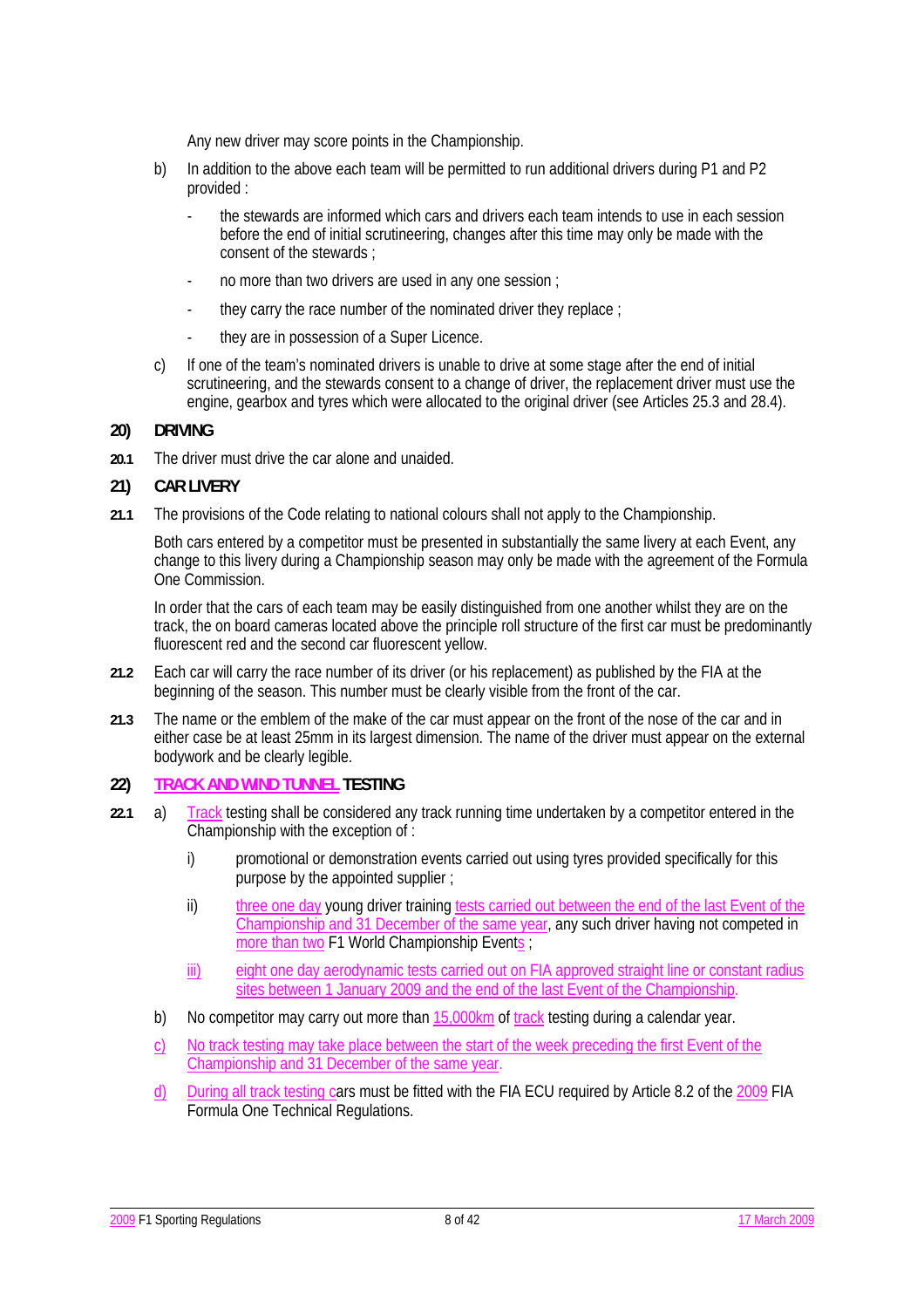Any new driver may score points in the Championship.

- b) In addition to the above each team will be permitted to run additional drivers during P1 and P2 provided :
	- the stewards are informed which cars and drivers each team intends to use in each session before the end of initial scrutineering, changes after this time may only be made with the consent of the stewards ;
	- no more than two drivers are used in any one session ;
	- they carry the race number of the nominated driver they replace :
	- they are in possession of a Super Licence.
- c) If one of the team's nominated drivers is unable to drive at some stage after the end of initial scrutineering, and the stewards consent to a change of driver, the replacement driver must use the engine, gearbox and tyres which were allocated to the original driver (see Articles 25.3 and 28.4).

### **20) DRIVING**

**20.1** The driver must drive the car alone and unaided.

#### **21) CAR LIVERY**

**21.1** The provisions of the Code relating to national colours shall not apply to the Championship.

Both cars entered by a competitor must be presented in substantially the same livery at each Event, any change to this livery during a Championship season may only be made with the agreement of the Formula One Commission.

In order that the cars of each team may be easily distinguished from one another whilst they are on the track, the on board cameras located above the principle roll structure of the first car must be predominantly fluorescent red and the second car fluorescent yellow.

- **21.2** Each car will carry the race number of its driver (or his replacement) as published by the FIA at the beginning of the season. This number must be clearly visible from the front of the car.
- **21.3** The name or the emblem of the make of the car must appear on the front of the nose of the car and in either case be at least 25mm in its largest dimension. The name of the driver must appear on the external bodywork and be clearly legible.

## **22) TRACK AND WIND TUNNEL TESTING**

- **22.1** a) Track testing shall be considered any track running time undertaken by a competitor entered in the Championship with the exception of :
	- i) promotional or demonstration events carried out using tyres provided specifically for this purpose by the appointed supplier ;
	- ii) three one day young driver training tests carried out between the end of the last Event of the Championship and 31 December of the same year, any such driver having not competed in more than two F1 World Championship Events ;
	- iii) eight one day aerodynamic tests carried out on FIA approved straight line or constant radius sites between 1 January 2009 and the end of the last Event of the Championship.
	- b) No competitor may carry out more than 15,000km of track testing during a calendar year.
	- c) No track testing may take place between the start of the week preceding the first Event of the Championship and 31 December of the same year.
	- d) During all track testing cars must be fitted with the FIA ECU required by Article 8.2 of the 2009 FIA Formula One Technical Regulations.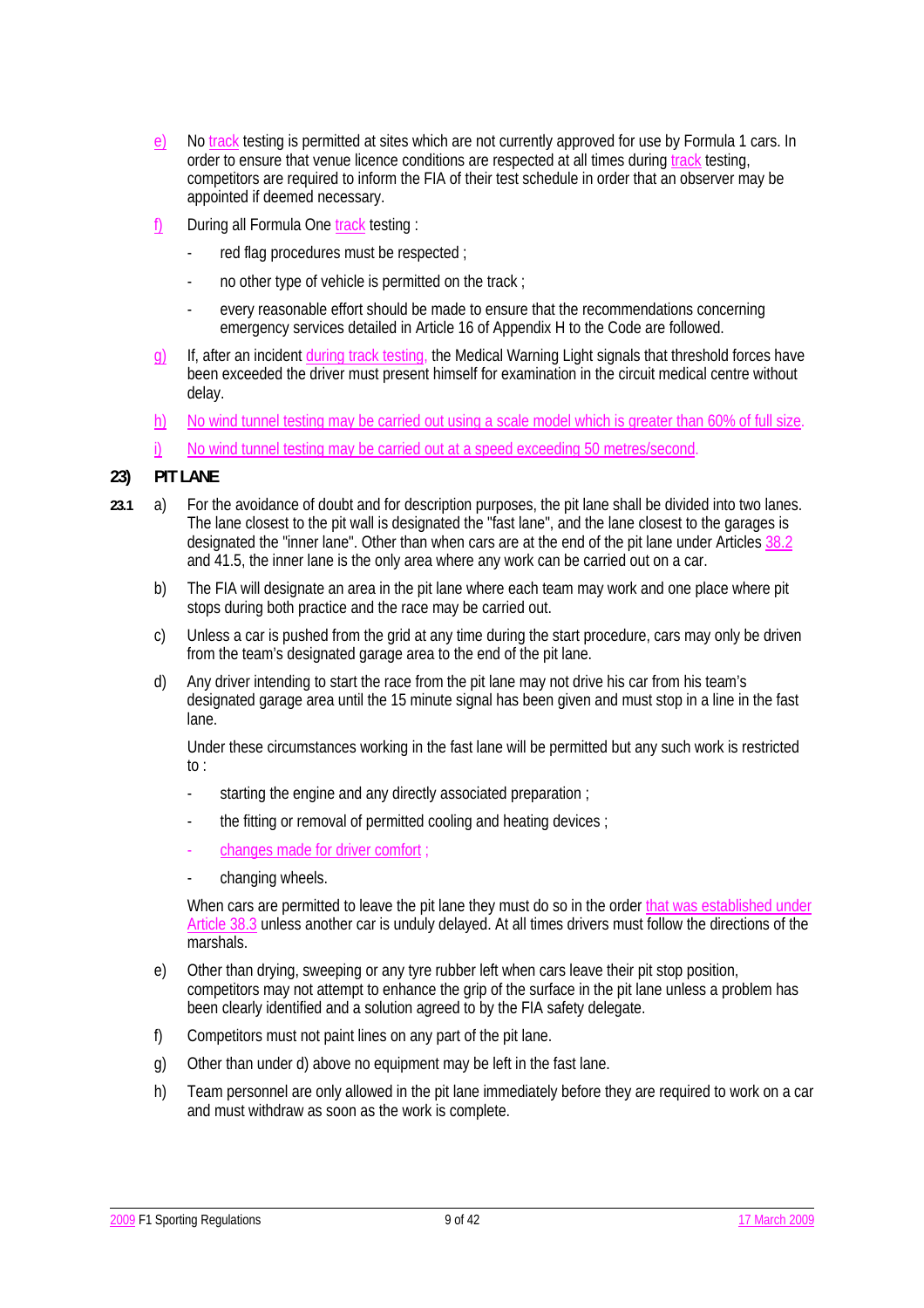- e) No track testing is permitted at sites which are not currently approved for use by Formula 1 cars. In order to ensure that venue licence conditions are respected at all times during track testing, competitors are required to inform the FIA of their test schedule in order that an observer may be appointed if deemed necessary.
- f) During all Formula One track testing :
	- red flag procedures must be respected ;
	- no other type of vehicle is permitted on the track ;
	- every reasonable effort should be made to ensure that the recommendations concerning emergency services detailed in Article 16 of Appendix H to the Code are followed.
- g) If, after an incident during track testing, the Medical Warning Light signals that threshold forces have been exceeded the driver must present himself for examination in the circuit medical centre without delay.
- h) No wind tunnel testing may be carried out using a scale model which is greater than 60% of full size.
- i) No wind tunnel testing may be carried out at a speed exceeding 50 metres/second.

## **23) PIT LANE**

- **23.1** a) For the avoidance of doubt and for description purposes, the pit lane shall be divided into two lanes. The lane closest to the pit wall is designated the "fast lane", and the lane closest to the garages is designated the "inner lane". Other than when cars are at the end of the pit lane under Articles 38.2 and 41.5, the inner lane is the only area where any work can be carried out on a car.
	- b) The FIA will designate an area in the pit lane where each team may work and one place where pit stops during both practice and the race may be carried out.
	- c) Unless a car is pushed from the grid at any time during the start procedure, cars may only be driven from the team's designated garage area to the end of the pit lane.
	- d) Any driver intending to start the race from the pit lane may not drive his car from his team's designated garage area until the 15 minute signal has been given and must stop in a line in the fast lane.

 Under these circumstances working in the fast lane will be permitted but any such work is restricted to :

- starting the engine and any directly associated preparation :
- the fitting or removal of permitted cooling and heating devices ;
- changes made for driver comfort
- changing wheels.

 When cars are permitted to leave the pit lane they must do so in the order that was established under Article 38.3 unless another car is unduly delayed. At all times drivers must follow the directions of the marshals.

- e) Other than drying, sweeping or any tyre rubber left when cars leave their pit stop position, competitors may not attempt to enhance the grip of the surface in the pit lane unless a problem has been clearly identified and a solution agreed to by the FIA safety delegate.
- f) Competitors must not paint lines on any part of the pit lane.
- g) Other than under d) above no equipment may be left in the fast lane.
- h) Team personnel are only allowed in the pit lane immediately before they are required to work on a car and must withdraw as soon as the work is complete.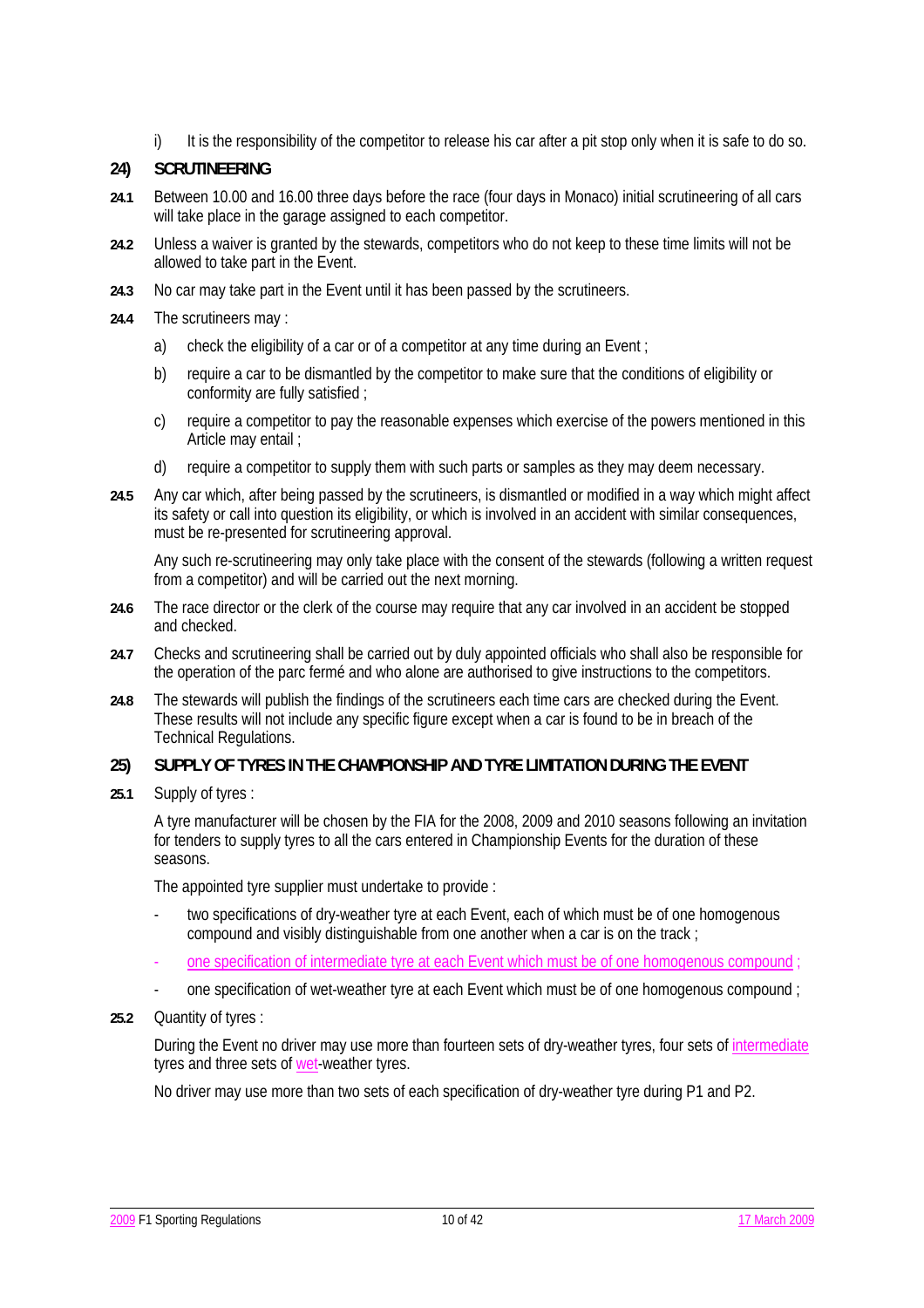i) It is the responsibility of the competitor to release his car after a pit stop only when it is safe to do so.

## **24) SCRUTINEERING**

- **24.1** Between 10.00 and 16.00 three days before the race (four days in Monaco) initial scrutineering of all cars will take place in the garage assigned to each competitor.
- **24.2** Unless a waiver is granted by the stewards, competitors who do not keep to these time limits will not be allowed to take part in the Event.
- **24.3** No car may take part in the Event until it has been passed by the scrutineers.
- **24.4** The scrutineers may :
	- a) check the eligibility of a car or of a competitor at any time during an Event;
	- b) require a car to be dismantled by the competitor to make sure that the conditions of eligibility or conformity are fully satisfied ;
	- c) require a competitor to pay the reasonable expenses which exercise of the powers mentioned in this Article may entail ;
	- d) require a competitor to supply them with such parts or samples as they may deem necessary.
- **24.5** Any car which, after being passed by the scrutineers, is dismantled or modified in a way which might affect its safety or call into question its eligibility, or which is involved in an accident with similar consequences, must be re-presented for scrutineering approval.

 Any such re-scrutineering may only take place with the consent of the stewards (following a written request from a competitor) and will be carried out the next morning.

- **24.6** The race director or the clerk of the course may require that any car involved in an accident be stopped and checked.
- **24.7** Checks and scrutineering shall be carried out by duly appointed officials who shall also be responsible for the operation of the parc fermé and who alone are authorised to give instructions to the competitors.
- **24.8** The stewards will publish the findings of the scrutineers each time cars are checked during the Event. These results will not include any specific figure except when a car is found to be in breach of the Technical Regulations.

### **25) SUPPLY OF TYRES IN THE CHAMPIONSHIP AND TYRE LIMITATION DURING THE EVENT**

**25.1** Supply of tyres :

A tyre manufacturer will be chosen by the FIA for the 2008, 2009 and 2010 seasons following an invitation for tenders to supply tyres to all the cars entered in Championship Events for the duration of these seasons.

The appointed tyre supplier must undertake to provide :

- two specifications of dry-weather tyre at each Event, each of which must be of one homogenous compound and visibly distinguishable from one another when a car is on the track ;
- one specification of intermediate tyre at each Event which must be of one homogenous compound ;
- one specification of wet-weather tyre at each Event which must be of one homogenous compound ;
- **25.2** Quantity of tyres :

 During the Event no driver may use more than fourteen sets of dry-weather tyres, four sets of intermediate tyres and three sets of wet-weather tyres.

No driver may use more than two sets of each specification of dry-weather tyre during P1 and P2.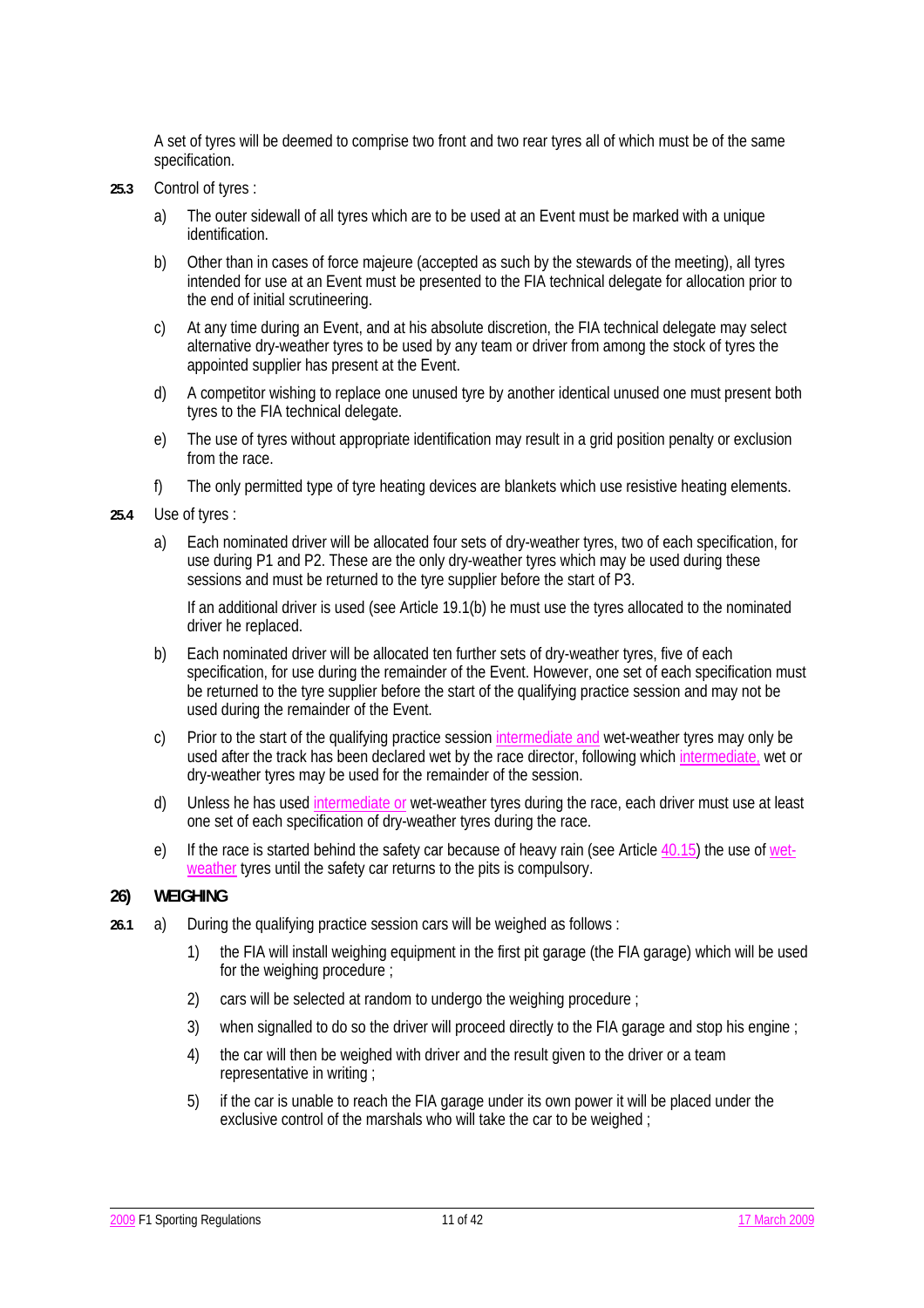A set of tyres will be deemed to comprise two front and two rear tyres all of which must be of the same specification.

- **25.3** Control of tyres :
	- a) The outer sidewall of all tyres which are to be used at an Event must be marked with a unique identification.
	- b) Other than in cases of force majeure (accepted as such by the stewards of the meeting), all tyres intended for use at an Event must be presented to the FIA technical delegate for allocation prior to the end of initial scrutineering.
	- c) At any time during an Event, and at his absolute discretion, the FIA technical delegate may select alternative dry-weather tyres to be used by any team or driver from among the stock of tyres the appointed supplier has present at the Event.
	- d) A competitor wishing to replace one unused tyre by another identical unused one must present both tyres to the FIA technical delegate.
	- e) The use of tyres without appropriate identification may result in a grid position penalty or exclusion from the race.
	- f) The only permitted type of tyre heating devices are blankets which use resistive heating elements.
- **25.4** Use of tyres :
	- a) Each nominated driver will be allocated four sets of dry-weather tyres, two of each specification, for use during P1 and P2. These are the only dry-weather tyres which may be used during these sessions and must be returned to the tyre supplier before the start of P3.

 If an additional driver is used (see Article 19.1(b) he must use the tyres allocated to the nominated driver he replaced.

- b) Each nominated driver will be allocated ten further sets of dry-weather tyres, five of each specification, for use during the remainder of the Event. However, one set of each specification must be returned to the tyre supplier before the start of the qualifying practice session and may not be used during the remainder of the Event.
- c) Prior to the start of the qualifying practice session intermediate and wet-weather tyres may only be used after the track has been declared wet by the race director, following which intermediate, wet or dry-weather tyres may be used for the remainder of the session.
- d) Unless he has used intermediate or wet-weather tyres during the race, each driver must use at least one set of each specification of dry-weather tyres during the race.
- e) If the race is started behind the safety car because of heavy rain (see Article 40.15) the use of wetweather tyres until the safety car returns to the pits is compulsory.

### **26) WEIGHING**

- **26.1** a) During the qualifying practice session cars will be weighed as follows :
	- 1) the FIA will install weighing equipment in the first pit garage (the FIA garage) which will be used for the weighing procedure ;
	- 2) cars will be selected at random to undergo the weighing procedure :
	- 3) when signalled to do so the driver will proceed directly to the FIA garage and stop his engine;
	- 4) the car will then be weighed with driver and the result given to the driver or a team representative in writing ;
	- 5) if the car is unable to reach the FIA garage under its own power it will be placed under the exclusive control of the marshals who will take the car to be weighed ;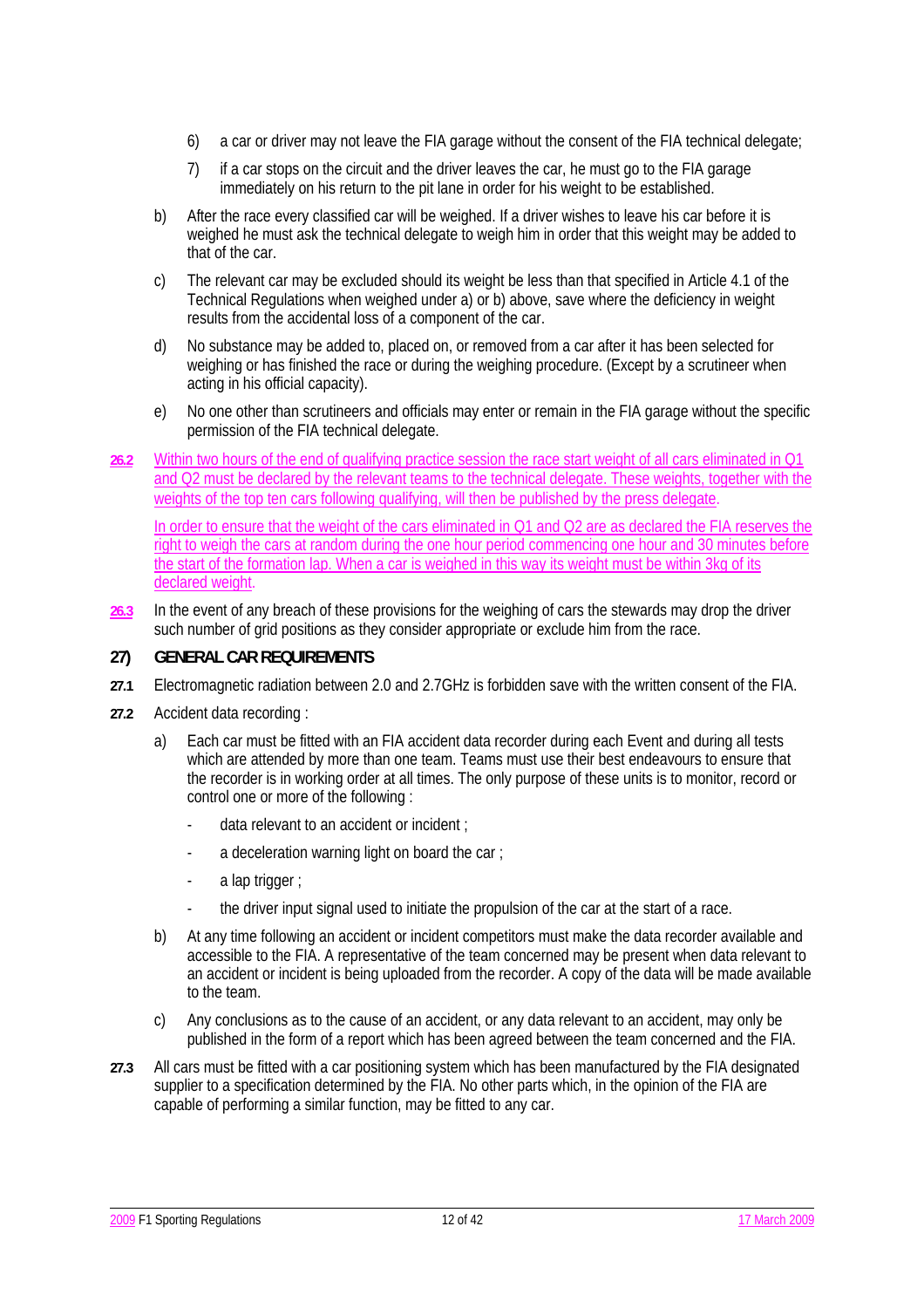- 6) a car or driver may not leave the FIA garage without the consent of the FIA technical delegate;
- 7) if a car stops on the circuit and the driver leaves the car, he must go to the FIA garage immediately on his return to the pit lane in order for his weight to be established.
- b) After the race every classified car will be weighed. If a driver wishes to leave his car before it is weighed he must ask the technical delegate to weigh him in order that this weight may be added to that of the car.
- c) The relevant car may be excluded should its weight be less than that specified in Article 4.1 of the Technical Regulations when weighed under a) or b) above, save where the deficiency in weight results from the accidental loss of a component of the car.
- d) No substance may be added to, placed on, or removed from a car after it has been selected for weighing or has finished the race or during the weighing procedure. (Except by a scrutineer when acting in his official capacity).
- e) No one other than scrutineers and officials may enter or remain in the FIA garage without the specific permission of the FIA technical delegate.
- **26.2** Within two hours of the end of qualifying practice session the race start weight of all cars eliminated in Q1 and Q2 must be declared by the relevant teams to the technical delegate. These weights, together with the weights of the top ten cars following qualifying, will then be published by the press delegate.

In order to ensure that the weight of the cars eliminated in Q1 and Q2 are as declared the FIA reserves the right to weigh the cars at random during the one hour period commencing one hour and 30 minutes before the start of the formation lap. When a car is weighed in this way its weight must be within 3kg of its declared weight

**26.3** In the event of any breach of these provisions for the weighing of cars the stewards may drop the driver such number of grid positions as they consider appropriate or exclude him from the race.

## **27) GENERAL CAR REQUIREMENTS**

- **27.1** Electromagnetic radiation between 2.0 and 2.7GHz is forbidden save with the written consent of the FIA.
- **27.2** Accident data recording :
	- a) Each car must be fitted with an FIA accident data recorder during each Event and during all tests which are attended by more than one team. Teams must use their best endeavours to ensure that the recorder is in working order at all times. The only purpose of these units is to monitor, record or control one or more of the following :
		- data relevant to an accident or incident ;
		- a deceleration warning light on board the car ;
		- a lap trigger ;
		- the driver input signal used to initiate the propulsion of the car at the start of a race.
	- b) At any time following an accident or incident competitors must make the data recorder available and accessible to the FIA. A representative of the team concerned may be present when data relevant to an accident or incident is being uploaded from the recorder. A copy of the data will be made available to the team.
	- c) Any conclusions as to the cause of an accident, or any data relevant to an accident, may only be published in the form of a report which has been agreed between the team concerned and the FIA.
- **27.3** All cars must be fitted with a car positioning system which has been manufactured by the FIA designated supplier to a specification determined by the FIA. No other parts which, in the opinion of the FIA are capable of performing a similar function, may be fitted to any car.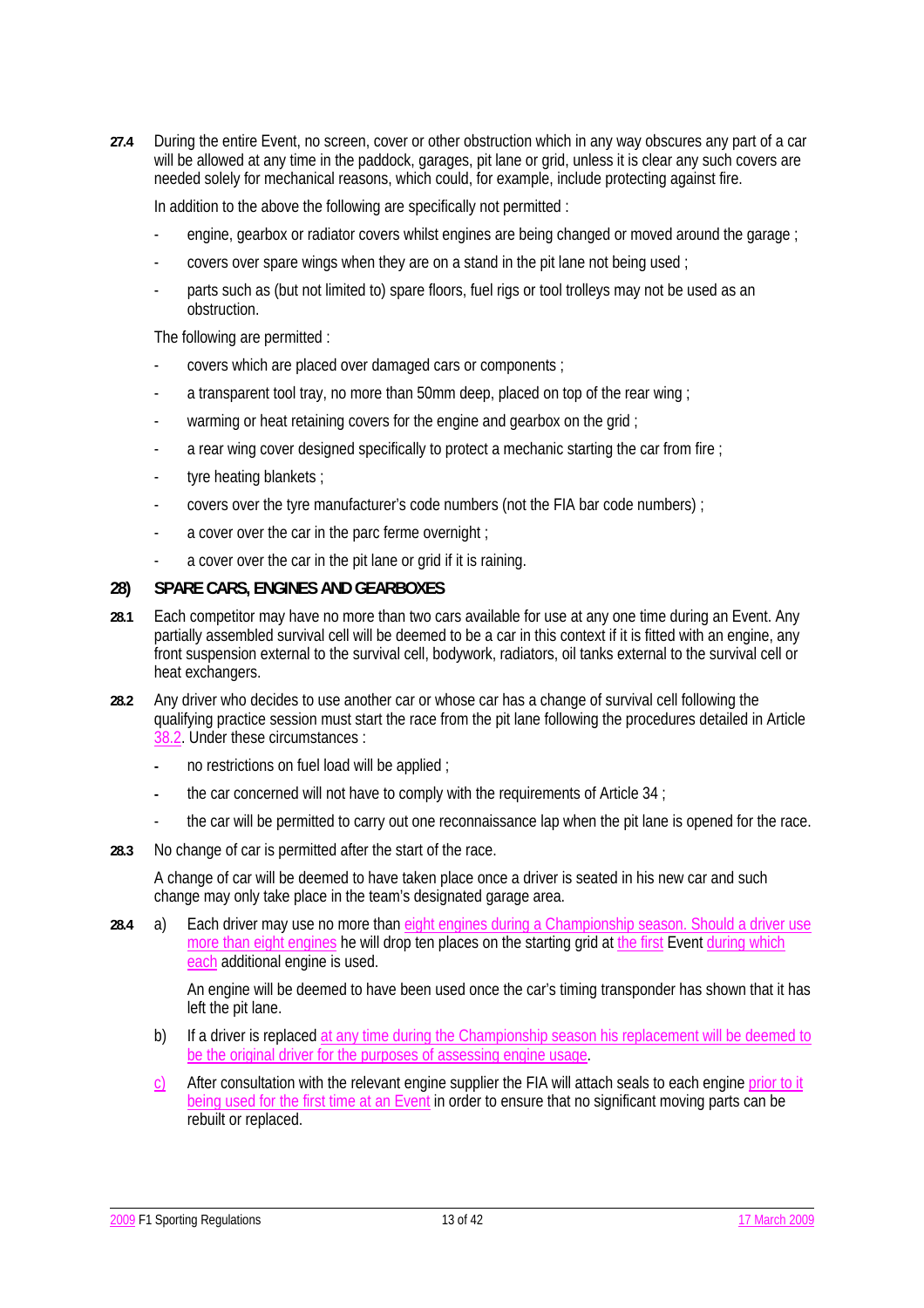**27.4** During the entire Event, no screen, cover or other obstruction which in any way obscures any part of a car will be allowed at any time in the paddock, garages, pit lane or grid, unless it is clear any such covers are needed solely for mechanical reasons, which could, for example, include protecting against fire.

In addition to the above the following are specifically not permitted :

- engine, gearbox or radiator covers whilst engines are being changed or moved around the garage :
- covers over spare wings when they are on a stand in the pit lane not being used ;
- parts such as (but not limited to) spare floors, fuel rigs or tool trolleys may not be used as an obstruction.

The following are permitted :

- covers which are placed over damaged cars or components ;
- a transparent tool tray, no more than 50mm deep, placed on top of the rear wing :
- warming or heat retaining covers for the engine and gearbox on the grid ;
- a rear wing cover designed specifically to protect a mechanic starting the car from fire ;
- tyre heating blankets ;
- covers over the tyre manufacturer's code numbers (not the FIA bar code numbers) ;
- a cover over the car in the parc ferme overnight;
- a cover over the car in the pit lane or grid if it is raining.

## **28) SPARE CARS, ENGINES AND GEARBOXES**

- **28.1** Each competitor may have no more than two cars available for use at any one time during an Event. Any partially assembled survival cell will be deemed to be a car in this context if it is fitted with an engine, any front suspension external to the survival cell, bodywork, radiators, oil tanks external to the survival cell or heat exchangers.
- **28.2** Any driver who decides to use another car or whose car has a change of survival cell following the qualifying practice session must start the race from the pit lane following the procedures detailed in Article 38.2. Under these circumstances :
	- no restrictions on fuel load will be applied ;
	- **-** the car concerned will not have to comply with the requirements of Article 34 ;
	- the car will be permitted to carry out one reconnaissance lap when the pit lane is opened for the race.
- **28.3** No change of car is permitted after the start of the race.

 A change of car will be deemed to have taken place once a driver is seated in his new car and such change may only take place in the team's designated garage area.

**28.4** a) Each driver may use no more than eight engines during a Championship season. Should a driver use more than eight engines he will drop ten places on the starting grid at the first Event during which each additional engine is used.

> An engine will be deemed to have been used once the car's timing transponder has shown that it has left the pit lane.

- b) If a driver is replaced at any time during the Championship season his replacement will be deemed to be the original driver for the purposes of assessing engine usage.
- c) After consultation with the relevant engine supplier the FIA will attach seals to each engine prior to it being used for the first time at an Event in order to ensure that no significant moving parts can be rebuilt or replaced.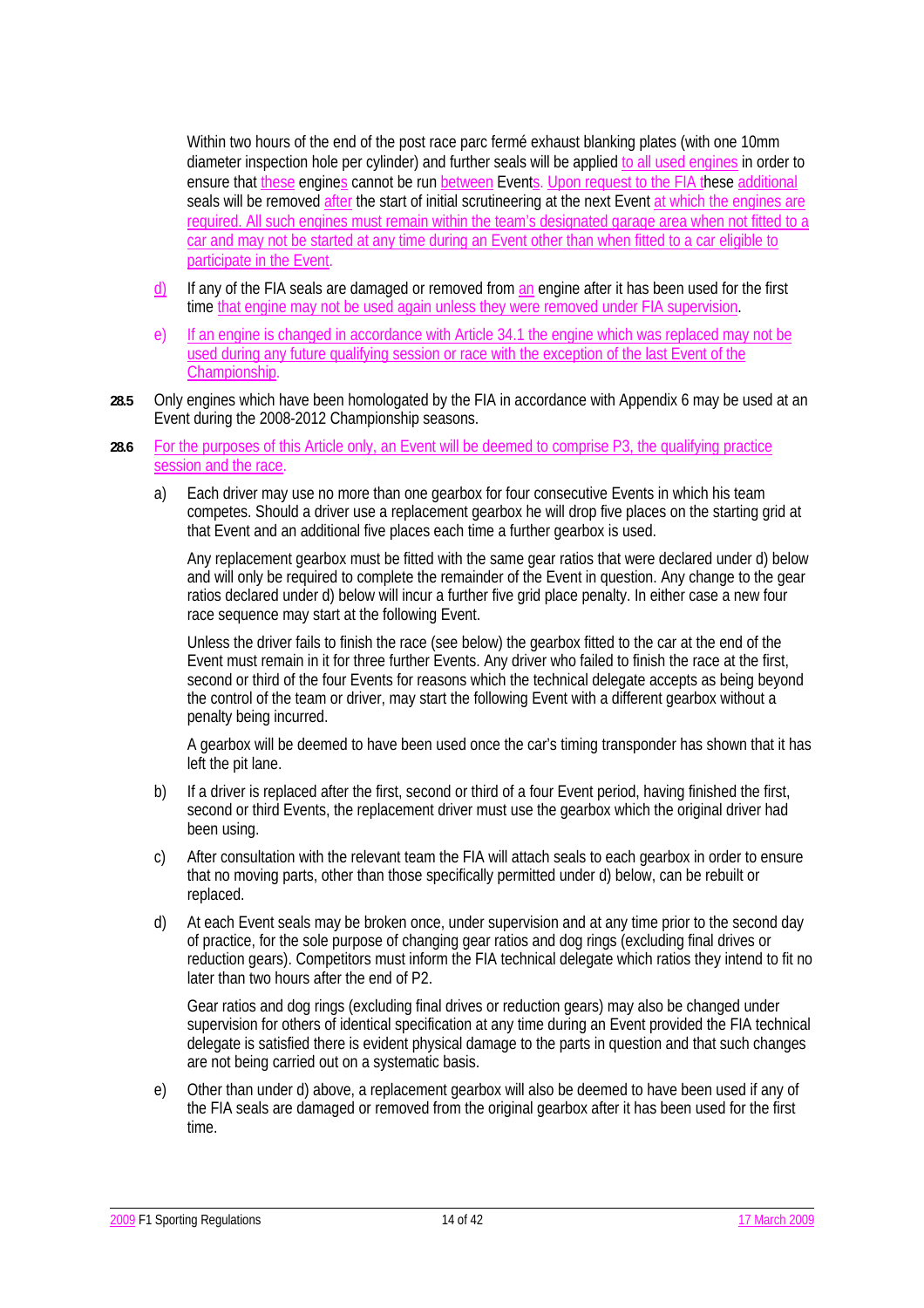Within two hours of the end of the post race parc fermé exhaust blanking plates (with one 10mm diameter inspection hole per cylinder) and further seals will be applied to all used engines in order to ensure that these engines cannot be run between Events. Upon request to the FIA these additional seals will be removed after the start of initial scrutineering at the next Event at which the engines are required. All such engines must remain within the team's designated garage area when not fitted to a car and may not be started at any time during an Event other than when fitted to a car eligible to participate in the Event.

- d) If any of the FIA seals are damaged or removed from an engine after it has been used for the first time that engine may not be used again unless they were removed under FIA supervision.
- e) If an engine is changed in accordance with Article 34.1 the engine which was replaced may not be used during any future qualifying session or race with the exception of the last Event of the Championship.
- **28.5** Only engines which have been homologated by the FIA in accordance with Appendix 6 may be used at an Event during the 2008-2012 Championship seasons.
- **28.6** For the purposes of this Article only, an Event will be deemed to comprise P3, the qualifying practice session and the race.
	- a) Each driver may use no more than one gearbox for four consecutive Events in which his team competes. Should a driver use a replacement gearbox he will drop five places on the starting grid at that Event and an additional five places each time a further gearbox is used.

Any replacement gearbox must be fitted with the same gear ratios that were declared under d) below and will only be required to complete the remainder of the Event in question. Any change to the gear ratios declared under d) below will incur a further five grid place penalty. In either case a new four race sequence may start at the following Event.

Unless the driver fails to finish the race (see below) the gearbox fitted to the car at the end of the Event must remain in it for three further Events. Any driver who failed to finish the race at the first, second or third of the four Events for reasons which the technical delegate accepts as being beyond the control of the team or driver, may start the following Event with a different gearbox without a penalty being incurred.

 A gearbox will be deemed to have been used once the car's timing transponder has shown that it has left the pit lane.

- b) If a driver is replaced after the first, second or third of a four Event period, having finished the first, second or third Events, the replacement driver must use the gearbox which the original driver had been using.
- c) After consultation with the relevant team the FIA will attach seals to each gearbox in order to ensure that no moving parts, other than those specifically permitted under d) below, can be rebuilt or replaced.
- d) At each Event seals may be broken once, under supervision and at any time prior to the second day of practice, for the sole purpose of changing gear ratios and dog rings (excluding final drives or reduction gears). Competitors must inform the FIA technical delegate which ratios they intend to fit no later than two hours after the end of P2.

 Gear ratios and dog rings (excluding final drives or reduction gears) may also be changed under supervision for others of identical specification at any time during an Event provided the FIA technical delegate is satisfied there is evident physical damage to the parts in question and that such changes are not being carried out on a systematic basis.

 e) Other than under d) above, a replacement gearbox will also be deemed to have been used if any of the FIA seals are damaged or removed from the original gearbox after it has been used for the first time.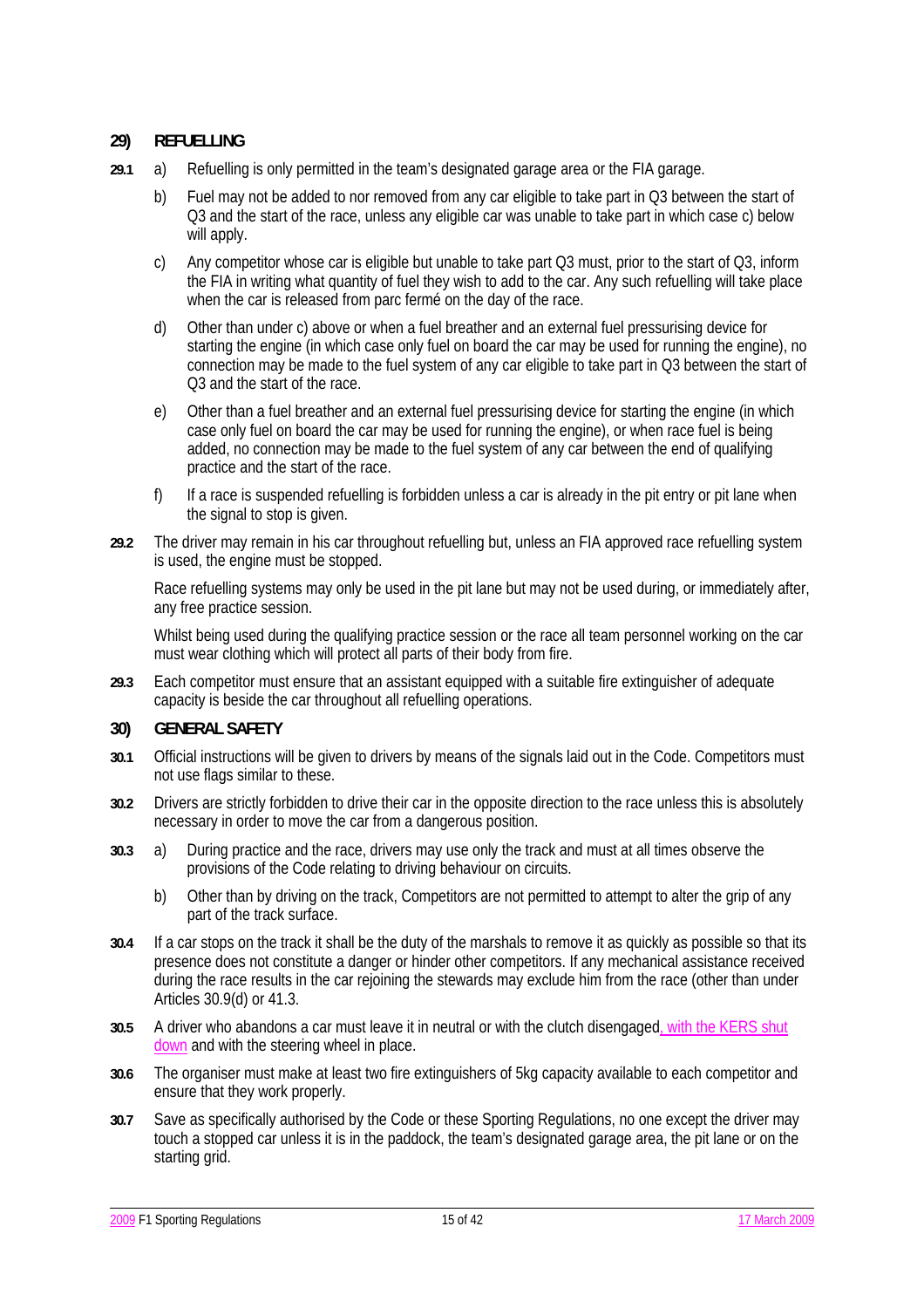## **29) REFUELLING**

- **29.1** a) Refuelling is only permitted in the team's designated garage area or the FIA garage.
	- b) Fuel may not be added to nor removed from any car eligible to take part in Q3 between the start of Q3 and the start of the race, unless any eligible car was unable to take part in which case c) below will apply.
	- c) Any competitor whose car is eligible but unable to take part Q3 must, prior to the start of Q3, inform the FIA in writing what quantity of fuel they wish to add to the car. Any such refuelling will take place when the car is released from parc ferme on the day of the race.
	- d) Other than under c) above or when a fuel breather and an external fuel pressurising device for starting the engine (in which case only fuel on board the car may be used for running the engine), no connection may be made to the fuel system of any car eligible to take part in Q3 between the start of Q3 and the start of the race.
	- e) Other than a fuel breather and an external fuel pressurising device for starting the engine (in which case only fuel on board the car may be used for running the engine), or when race fuel is being added, no connection may be made to the fuel system of any car between the end of qualifying practice and the start of the race.
	- f) If a race is suspended refuelling is forbidden unless a car is already in the pit entry or pit lane when the signal to stop is given.
- **29.2** The driver may remain in his car throughout refuelling but, unless an FIA approved race refuelling system is used, the engine must be stopped.

Race refuelling systems may only be used in the pit lane but may not be used during, or immediately after, any free practice session.

 Whilst being used during the qualifying practice session or the race all team personnel working on the car must wear clothing which will protect all parts of their body from fire.

**29.3** Each competitor must ensure that an assistant equipped with a suitable fire extinguisher of adequate capacity is beside the car throughout all refuelling operations.

### **30) GENERAL SAFETY**

- **30.1** Official instructions will be given to drivers by means of the signals laid out in the Code. Competitors must not use flags similar to these.
- **30.2** Drivers are strictly forbidden to drive their car in the opposite direction to the race unless this is absolutely necessary in order to move the car from a dangerous position.
- **30.3** a) During practice and the race, drivers may use only the track and must at all times observe the provisions of the Code relating to driving behaviour on circuits.
	- b) Other than by driving on the track, Competitors are not permitted to attempt to alter the grip of any part of the track surface.
- **30.4** If a car stops on the track it shall be the duty of the marshals to remove it as quickly as possible so that its presence does not constitute a danger or hinder other competitors. If any mechanical assistance received during the race results in the car rejoining the stewards may exclude him from the race (other than under Articles 30.9(d) or 41.3.
- **30.5** A driver who abandons a car must leave it in neutral or with the clutch disengaged, with the KERS shut down and with the steering wheel in place.
- **30.6** The organiser must make at least two fire extinguishers of 5kg capacity available to each competitor and ensure that they work properly.
- **30.7** Save as specifically authorised by the Code or these Sporting Regulations, no one except the driver may touch a stopped car unless it is in the paddock, the team's designated garage area, the pit lane or on the starting grid.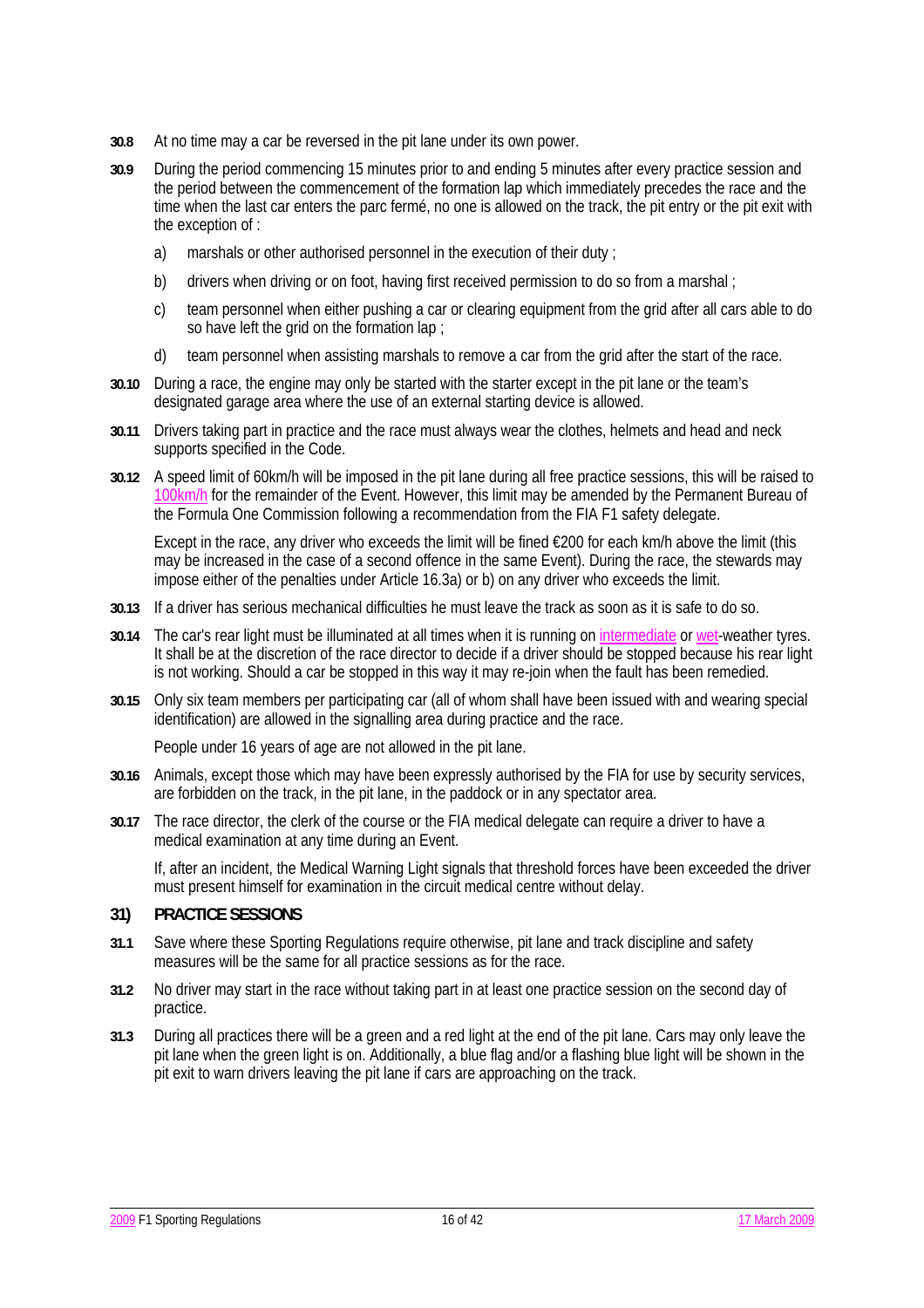- **30.8** At no time may a car be reversed in the pit lane under its own power.
- **30.9** During the period commencing 15 minutes prior to and ending 5 minutes after every practice session and the period between the commencement of the formation lap which immediately precedes the race and the time when the last car enters the parc fermé, no one is allowed on the track, the pit entry or the pit exit with the exception of :
	- a) marshals or other authorised personnel in the execution of their duty ;
	- b) drivers when driving or on foot, having first received permission to do so from a marshal :
	- c) team personnel when either pushing a car or clearing equipment from the grid after all cars able to do so have left the grid on the formation lap ;
	- d) team personnel when assisting marshals to remove a car from the grid after the start of the race.
- **30.10** During a race, the engine may only be started with the starter except in the pit lane or the team's designated garage area where the use of an external starting device is allowed.
- **30.11** Drivers taking part in practice and the race must always wear the clothes, helmets and head and neck supports specified in the Code.
- **30.12** A speed limit of 60km/h will be imposed in the pit lane during all free practice sessions, this will be raised to 100km/h for the remainder of the Event. However, this limit may be amended by the Permanent Bureau of the Formula One Commission following a recommendation from the FIA F1 safety delegate.

 Except in the race, any driver who exceeds the limit will be fined €200 for each km/h above the limit (this may be increased in the case of a second offence in the same Event). During the race, the stewards may impose either of the penalties under Article 16.3a) or b) on any driver who exceeds the limit.

- **30.13** If a driver has serious mechanical difficulties he must leave the track as soon as it is safe to do so.
- **30.14** The car's rear light must be illuminated at all times when it is running on intermediate or wet-weather tyres. It shall be at the discretion of the race director to decide if a driver should be stopped because his rear light is not working. Should a car be stopped in this way it may re-join when the fault has been remedied.
- **30.15** Only six team members per participating car (all of whom shall have been issued with and wearing special identification) are allowed in the signalling area during practice and the race.

People under 16 years of age are not allowed in the pit lane.

- **30.16** Animals, except those which may have been expressly authorised by the FIA for use by security services, are forbidden on the track, in the pit lane, in the paddock or in any spectator area.
- **30.17** The race director, the clerk of the course or the FIA medical delegate can require a driver to have a medical examination at any time during an Event.

If, after an incident, the Medical Warning Light signals that threshold forces have been exceeded the driver must present himself for examination in the circuit medical centre without delay.

### **31) PRACTICE SESSIONS**

- **31.1** Save where these Sporting Regulations require otherwise, pit lane and track discipline and safety measures will be the same for all practice sessions as for the race.
- **31.2** No driver may start in the race without taking part in at least one practice session on the second day of practice.
- **31.3** During all practices there will be a green and a red light at the end of the pit lane. Cars may only leave the pit lane when the green light is on. Additionally, a blue flag and/or a flashing blue light will be shown in the pit exit to warn drivers leaving the pit lane if cars are approaching on the track.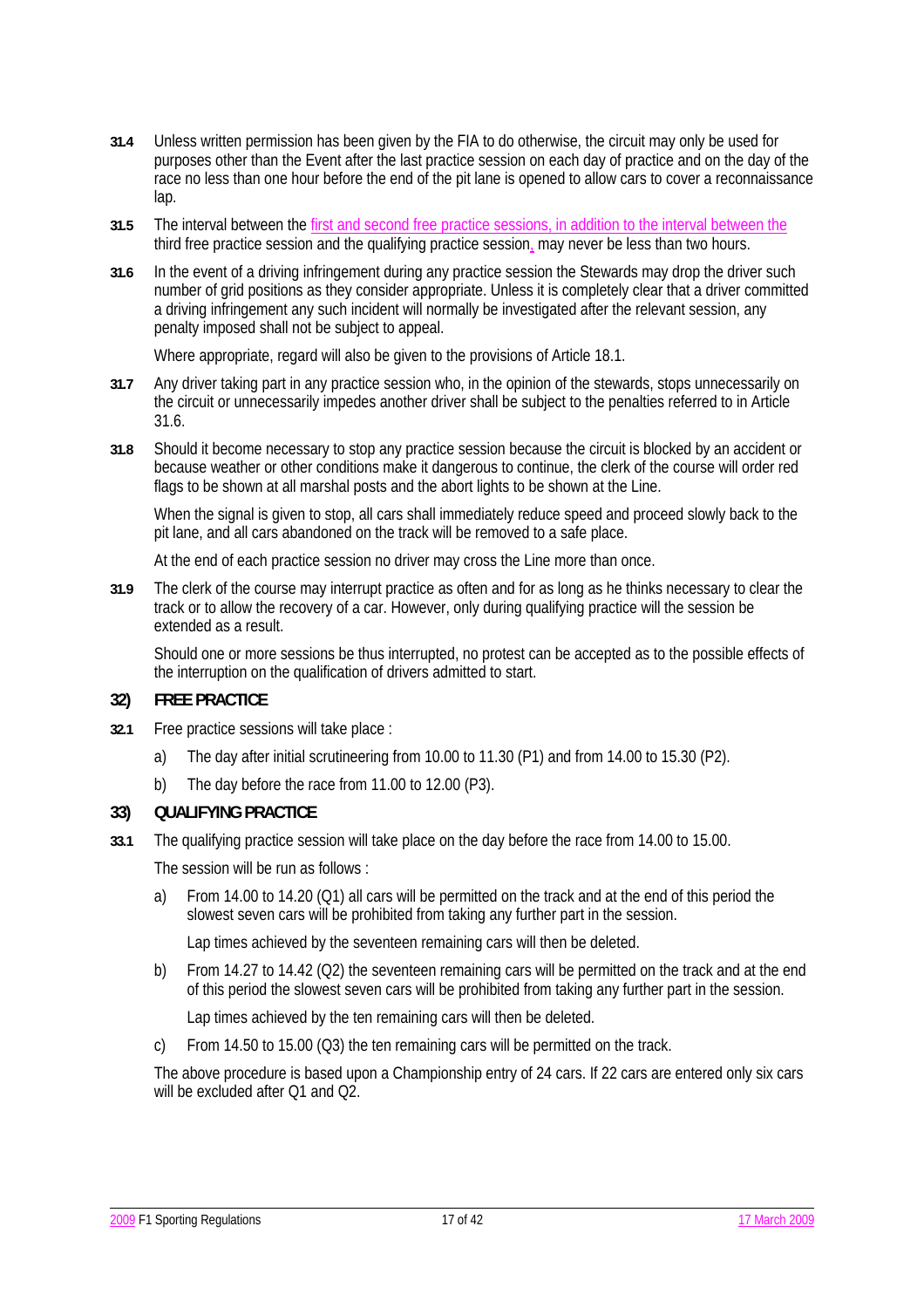- **31.4** Unless written permission has been given by the FIA to do otherwise, the circuit may only be used for purposes other than the Event after the last practice session on each day of practice and on the day of the race no less than one hour before the end of the pit lane is opened to allow cars to cover a reconnaissance lap.
- **31.5** The interval between the first and second free practice sessions, in addition to the interval between the third free practice session and the qualifying practice session, may never be less than two hours.
- **31.6** In the event of a driving infringement during any practice session the Stewards may drop the driver such number of grid positions as they consider appropriate. Unless it is completely clear that a driver committed a driving infringement any such incident will normally be investigated after the relevant session, any penalty imposed shall not be subject to appeal.

Where appropriate, regard will also be given to the provisions of Article 18.1.

- **31.7** Any driver taking part in any practice session who, in the opinion of the stewards, stops unnecessarily on the circuit or unnecessarily impedes another driver shall be subject to the penalties referred to in Article 31.6.
- **31.8** Should it become necessary to stop any practice session because the circuit is blocked by an accident or because weather or other conditions make it dangerous to continue, the clerk of the course will order red flags to be shown at all marshal posts and the abort lights to be shown at the Line.

When the signal is given to stop, all cars shall immediately reduce speed and proceed slowly back to the pit lane, and all cars abandoned on the track will be removed to a safe place.

At the end of each practice session no driver may cross the Line more than once.

**31.9** The clerk of the course may interrupt practice as often and for as long as he thinks necessary to clear the track or to allow the recovery of a car. However, only during qualifying practice will the session be extended as a result.

 Should one or more sessions be thus interrupted, no protest can be accepted as to the possible effects of the interruption on the qualification of drivers admitted to start.

### **32) FREE PRACTICE**

- **32.1** Free practice sessions will take place :
	- a) The day after initial scrutineering from 10.00 to 11.30 (P1) and from 14.00 to 15.30 (P2).
	- b) The day before the race from 11.00 to 12.00 (P3).

### **33) QUALIFYING PRACTICE**

**33.1** The qualifying practice session will take place on the day before the race from 14.00 to 15.00.

The session will be run as follows :

 a) From 14.00 to 14.20 (Q1) all cars will be permitted on the track and at the end of this period the slowest seven cars will be prohibited from taking any further part in the session.

Lap times achieved by the seventeen remaining cars will then be deleted.

 b) From 14.27 to 14.42 (Q2) the seventeen remaining cars will be permitted on the track and at the end of this period the slowest seven cars will be prohibited from taking any further part in the session.

Lap times achieved by the ten remaining cars will then be deleted.

c) From 14.50 to 15.00 (Q3) the ten remaining cars will be permitted on the track.

 The above procedure is based upon a Championship entry of 24 cars. If 22 cars are entered only six cars will be excluded after Q1 and Q2.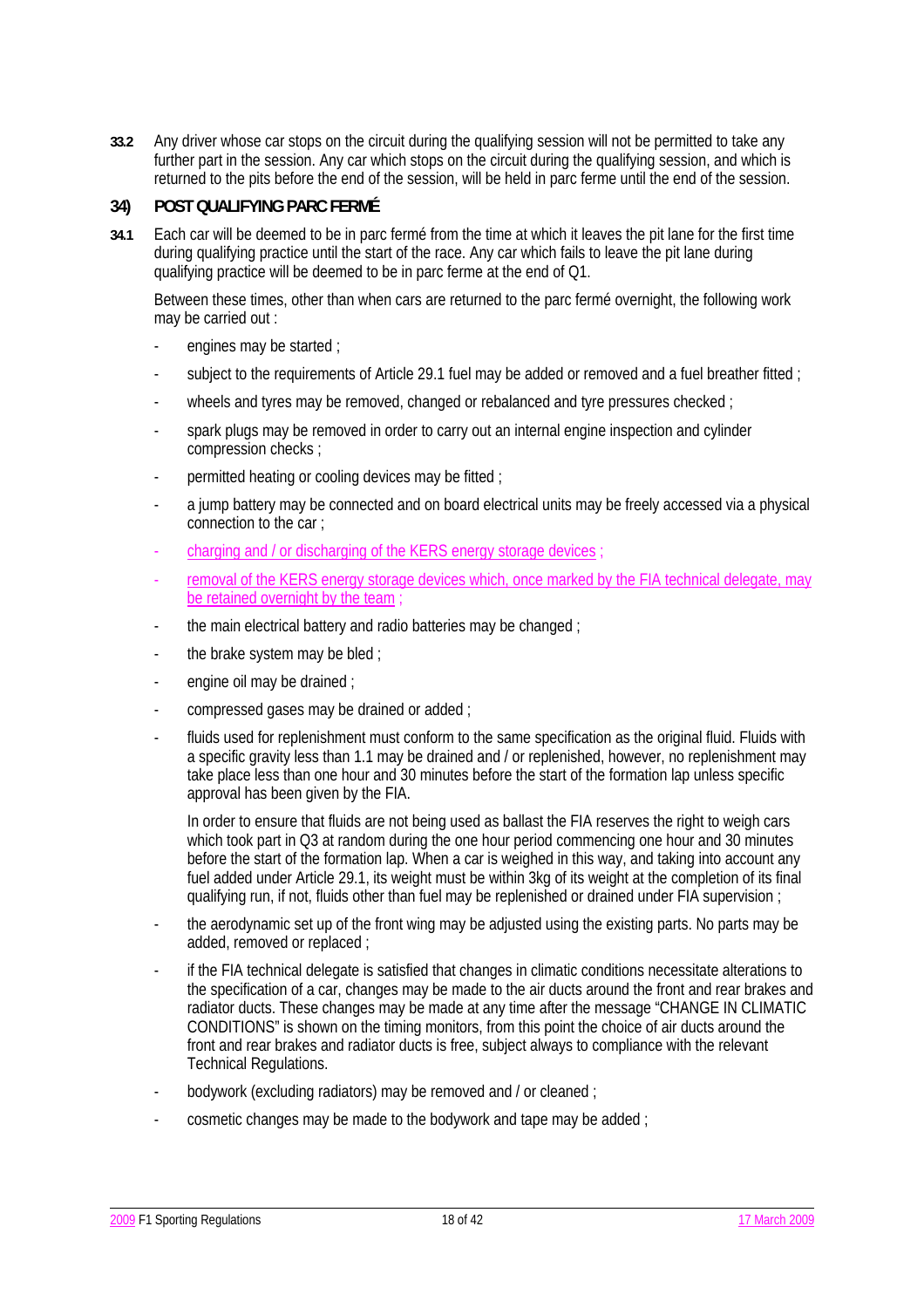**33.2** Any driver whose car stops on the circuit during the qualifying session will not be permitted to take any further part in the session. Any car which stops on the circuit during the qualifying session, and which is returned to the pits before the end of the session, will be held in parc ferme until the end of the session.

## **34) POST QUALIFYING PARC FERMÉ**

**34.1** Each car will be deemed to be in parc fermé from the time at which it leaves the pit lane for the first time during qualifying practice until the start of the race. Any car which fails to leave the pit lane during qualifying practice will be deemed to be in parc ferme at the end of Q1.

Between these times, other than when cars are returned to the parc fermé overnight, the following work may be carried out :

- engines may be started ;
- subject to the requirements of Article 29.1 fuel may be added or removed and a fuel breather fitted :
- wheels and tyres may be removed, changed or rebalanced and tyre pressures checked :
- spark plugs may be removed in order to carry out an internal engine inspection and cylinder compression checks ;
- permitted heating or cooling devices may be fitted ;
- a jump battery may be connected and on board electrical units may be freely accessed via a physical connection to the car ;
- charging and / or discharging of the KERS energy storage devices
- removal of the KERS energy storage devices which, once marked by the FIA technical delegate, may be retained overnight by the team
- the main electrical battery and radio batteries may be changed ;
- the brake system may be bled ;
- engine oil may be drained :
- compressed gases may be drained or added ;
- fluids used for replenishment must conform to the same specification as the original fluid. Fluids with a specific gravity less than 1.1 may be drained and / or replenished, however, no replenishment may take place less than one hour and 30 minutes before the start of the formation lap unless specific approval has been given by the FIA.

 In order to ensure that fluids are not being used as ballast the FIA reserves the right to weigh cars which took part in Q3 at random during the one hour period commencing one hour and 30 minutes before the start of the formation lap. When a car is weighed in this way, and taking into account any fuel added under Article 29.1, its weight must be within 3kg of its weight at the completion of its final qualifying run, if not, fluids other than fuel may be replenished or drained under FIA supervision ;

- the aerodynamic set up of the front wing may be adjusted using the existing parts. No parts may be added, removed or replaced ;
- if the FIA technical delegate is satisfied that changes in climatic conditions necessitate alterations to the specification of a car, changes may be made to the air ducts around the front and rear brakes and radiator ducts. These changes may be made at any time after the message "CHANGE IN CLIMATIC CONDITIONS" is shown on the timing monitors, from this point the choice of air ducts around the front and rear brakes and radiator ducts is free, subject always to compliance with the relevant Technical Regulations.
- bodywork (excluding radiators) may be removed and / or cleaned ;
- cosmetic changes may be made to the bodywork and tape may be added ;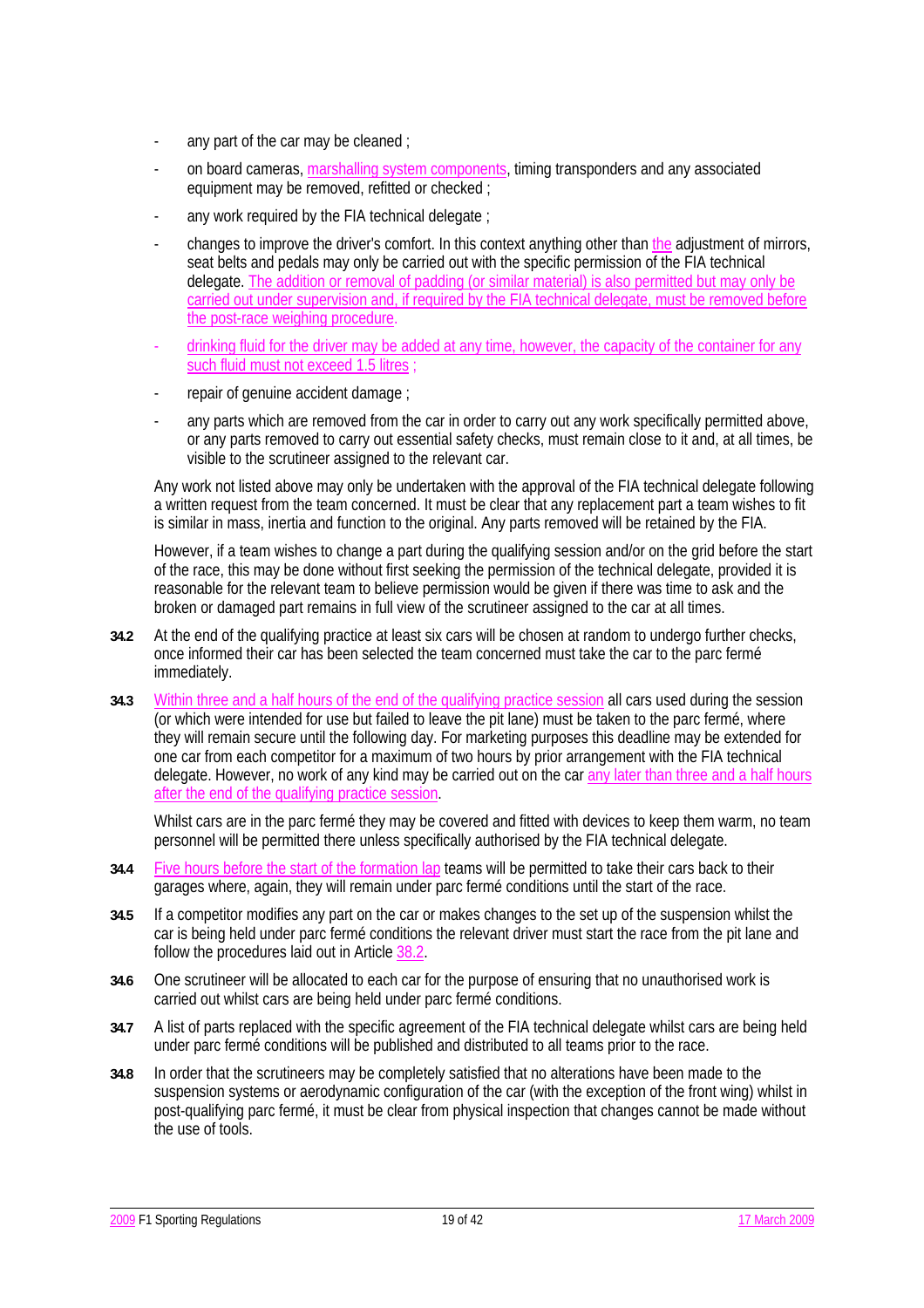- any part of the car may be cleaned ;
- on board cameras, marshalling system components, timing transponders and any associated equipment may be removed, refitted or checked ;
- any work required by the FIA technical delegate :
- changes to improve the driver's comfort. In this context anything other than the adjustment of mirrors, seat belts and pedals may only be carried out with the specific permission of the FIA technical delegate. The addition or removal of padding (or similar material) is also permitted but may only be carried out under supervision and, if required by the FIA technical delegate, must be removed before the post-race weighing procedure.
- drinking fluid for the driver may be added at any time, however, the capacity of the container for any such fluid must not exceed 1.5 litres
- repair of genuine accident damage :
- any parts which are removed from the car in order to carry out any work specifically permitted above, or any parts removed to carry out essential safety checks, must remain close to it and, at all times, be visible to the scrutineer assigned to the relevant car.

Any work not listed above may only be undertaken with the approval of the FIA technical delegate following a written request from the team concerned. It must be clear that any replacement part a team wishes to fit is similar in mass, inertia and function to the original. Any parts removed will be retained by the FIA.

However, if a team wishes to change a part during the qualifying session and/or on the grid before the start of the race, this may be done without first seeking the permission of the technical delegate, provided it is reasonable for the relevant team to believe permission would be given if there was time to ask and the broken or damaged part remains in full view of the scrutineer assigned to the car at all times.

- **34.2** At the end of the qualifying practice at least six cars will be chosen at random to undergo further checks, once informed their car has been selected the team concerned must take the car to the parc fermé immediately.
- **34.3** Within three and a half hours of the end of the qualifying practice session all cars used during the session (or which were intended for use but failed to leave the pit lane) must be taken to the parc fermé, where they will remain secure until the following day. For marketing purposes this deadline may be extended for one car from each competitor for a maximum of two hours by prior arrangement with the FIA technical delegate. However, no work of any kind may be carried out on the car any later than three and a half hours after the end of the qualifying practice session.

Whilst cars are in the parc fermé they may be covered and fitted with devices to keep them warm, no team personnel will be permitted there unless specifically authorised by the FIA technical delegate.

- **34.4** Five hours before the start of the formation lap teams will be permitted to take their cars back to their garages where, again, they will remain under parc fermé conditions until the start of the race.
- **34.5** If a competitor modifies any part on the car or makes changes to the set up of the suspension whilst the car is being held under parc fermé conditions the relevant driver must start the race from the pit lane and follow the procedures laid out in Article 38.2.
- **34.6** One scrutineer will be allocated to each car for the purpose of ensuring that no unauthorised work is carried out whilst cars are being held under parc fermé conditions.
- **34.7** A list of parts replaced with the specific agreement of the FIA technical delegate whilst cars are being held under parc fermé conditions will be published and distributed to all teams prior to the race.
- **34.8** In order that the scrutineers may be completely satisfied that no alterations have been made to the suspension systems or aerodynamic configuration of the car (with the exception of the front wing) whilst in post-qualifying parc fermé, it must be clear from physical inspection that changes cannot be made without the use of tools.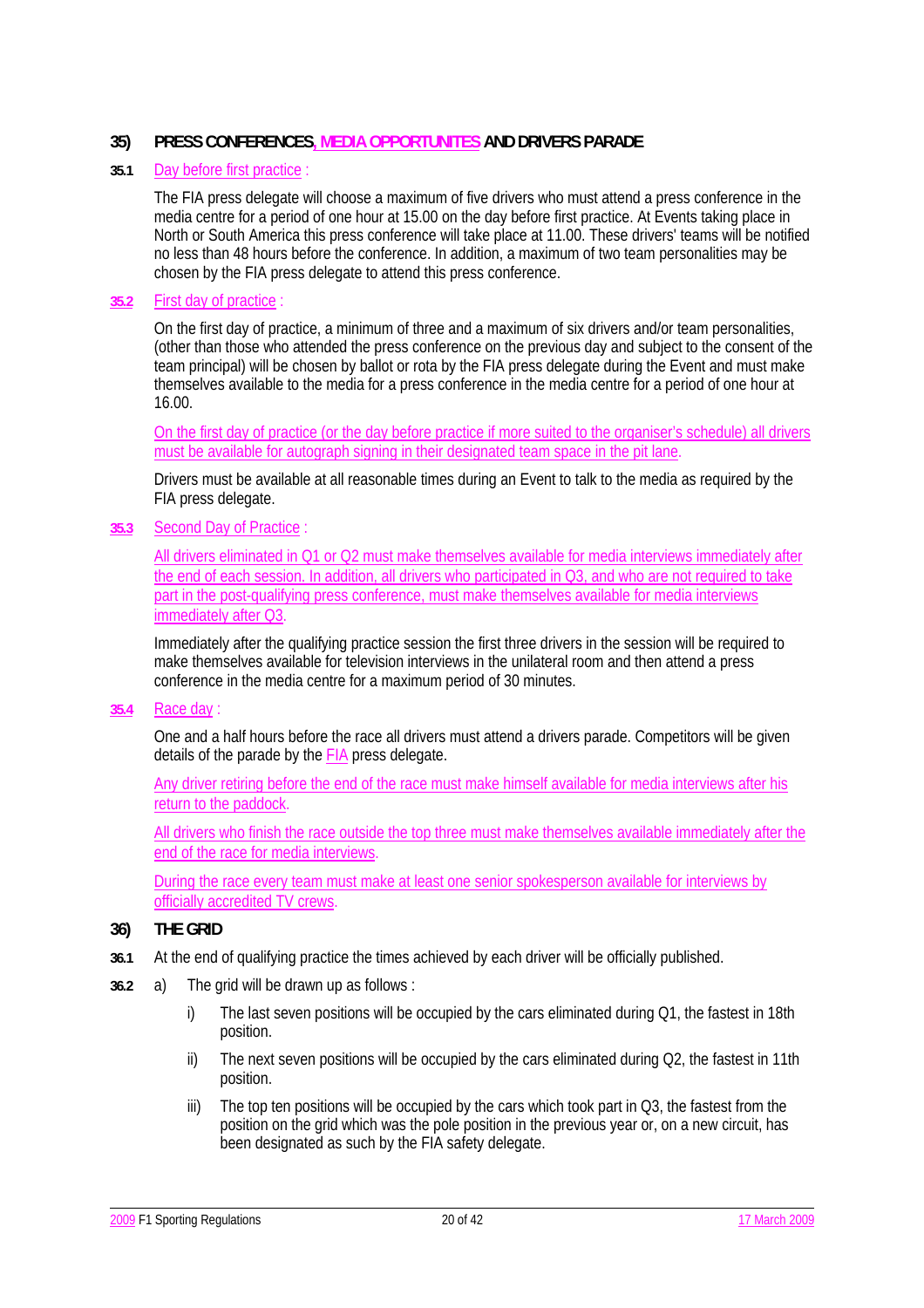## **35) PRESS CONFERENCES, MEDIA OPPORTUNITES AND DRIVERS PARADE**

#### **35.1** Day before first practice :

The FIA press delegate will choose a maximum of five drivers who must attend a press conference in the media centre for a period of one hour at 15.00 on the day before first practice. At Events taking place in North or South America this press conference will take place at 11.00. These drivers' teams will be notified no less than 48 hours before the conference. In addition, a maximum of two team personalities may be chosen by the FIA press delegate to attend this press conference.

#### **35.2** First day of practice :

On the first day of practice, a minimum of three and a maximum of six drivers and/or team personalities, (other than those who attended the press conference on the previous day and subject to the consent of the team principal) will be chosen by ballot or rota by the FIA press delegate during the Event and must make themselves available to the media for a press conference in the media centre for a period of one hour at 16.00.

 On the first day of practice (or the day before practice if more suited to the organiser's schedule) all drivers must be available for autograph signing in their designated team space in the pit lane.

Drivers must be available at all reasonable times during an Event to talk to the media as required by the FIA press delegate.

#### **35.3** Second Day of Practice :

 All drivers eliminated in Q1 or Q2 must make themselves available for media interviews immediately after the end of each session. In addition, all drivers who participated in Q3, and who are not required to take part in the post-qualifying press conference, must make themselves available for media interviews immediately after Q3.

 Immediately after the qualifying practice session the first three drivers in the session will be required to make themselves available for television interviews in the unilateral room and then attend a press conference in the media centre for a maximum period of 30 minutes.

#### **35.4** Race day :

One and a half hours before the race all drivers must attend a drivers parade. Competitors will be given details of the parade by the FIA press delegate.

 Any driver retiring before the end of the race must make himself available for media interviews after his return to the paddock.

 All drivers who finish the race outside the top three must make themselves available immediately after the end of the race for media interviews.

 During the race every team must make at least one senior spokesperson available for interviews by officially accredited TV crews.

### **36) THE GRID**

- **36.1** At the end of qualifying practice the times achieved by each driver will be officially published.
- **36.2** a) The grid will be drawn up as follows :
	- i) The last seven positions will be occupied by the cars eliminated during Q1, the fastest in 18th position.
	- ii) The next seven positions will be occupied by the cars eliminated during Q2, the fastest in 11th position.
	- iii) The top ten positions will be occupied by the cars which took part in Q3, the fastest from the position on the grid which was the pole position in the previous year or, on a new circuit, has been designated as such by the FIA safety delegate.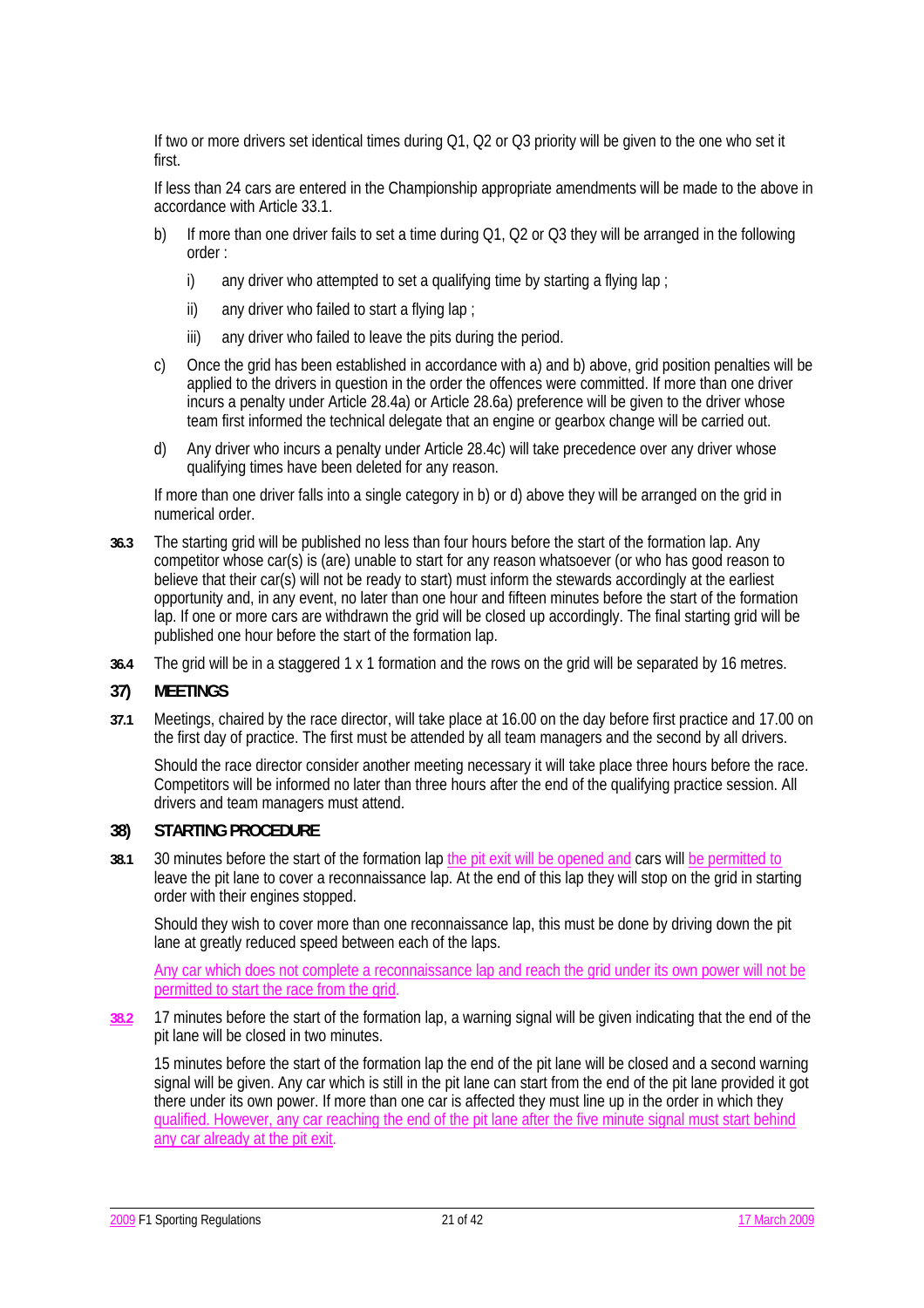If two or more drivers set identical times during Q1, Q2 or Q3 priority will be given to the one who set it first.

 If less than 24 cars are entered in the Championship appropriate amendments will be made to the above in accordance with Article 33.1.

- b) If more than one driver fails to set a time during Q1, Q2 or Q3 they will be arranged in the following order :
	- i) any driver who attempted to set a qualifying time by starting a flying lap ;
	- ii) any driver who failed to start a flying lap :
	- iii) any driver who failed to leave the pits during the period.
- c) Once the grid has been established in accordance with a) and b) above, grid position penalties will be applied to the drivers in question in the order the offences were committed. If more than one driver incurs a penalty under Article 28.4a) or Article 28.6a) preference will be given to the driver whose team first informed the technical delegate that an engine or gearbox change will be carried out.
- d) Any driver who incurs a penalty under Article 28.4c) will take precedence over any driver whose qualifying times have been deleted for any reason.

 If more than one driver falls into a single category in b) or d) above they will be arranged on the grid in numerical order.

- **36.3** The starting grid will be published no less than four hours before the start of the formation lap. Any competitor whose car(s) is (are) unable to start for any reason whatsoever (or who has good reason to believe that their car(s) will not be ready to start) must inform the stewards accordingly at the earliest opportunity and, in any event, no later than one hour and fifteen minutes before the start of the formation lap. If one or more cars are withdrawn the grid will be closed up accordingly. The final starting grid will be published one hour before the start of the formation lap.
- **36.4** The grid will be in a staggered 1 x 1 formation and the rows on the grid will be separated by 16 metres.

### **37) MEETINGS**

**37.1** Meetings, chaired by the race director, will take place at 16.00 on the day before first practice and 17.00 on the first day of practice. The first must be attended by all team managers and the second by all drivers.

Should the race director consider another meeting necessary it will take place three hours before the race. Competitors will be informed no later than three hours after the end of the qualifying practice session. All drivers and team managers must attend.

## **38) STARTING PROCEDURE**

**38.1** 30 minutes before the start of the formation lap the pit exit will be opened and cars will be permitted to leave the pit lane to cover a reconnaissance lap. At the end of this lap they will stop on the grid in starting order with their engines stopped.

Should they wish to cover more than one reconnaissance lap, this must be done by driving down the pit lane at greatly reduced speed between each of the laps.

Any car which does not complete a reconnaissance lap and reach the grid under its own power will not be permitted to start the race from the grid.

**38.2** 17 minutes before the start of the formation lap, a warning signal will be given indicating that the end of the pit lane will be closed in two minutes.

15 minutes before the start of the formation lap the end of the pit lane will be closed and a second warning signal will be given. Any car which is still in the pit lane can start from the end of the pit lane provided it got there under its own power. If more than one car is affected they must line up in the order in which they qualified. However, any car reaching the end of the pit lane after the five minute signal must start behind any car already at the pit exit.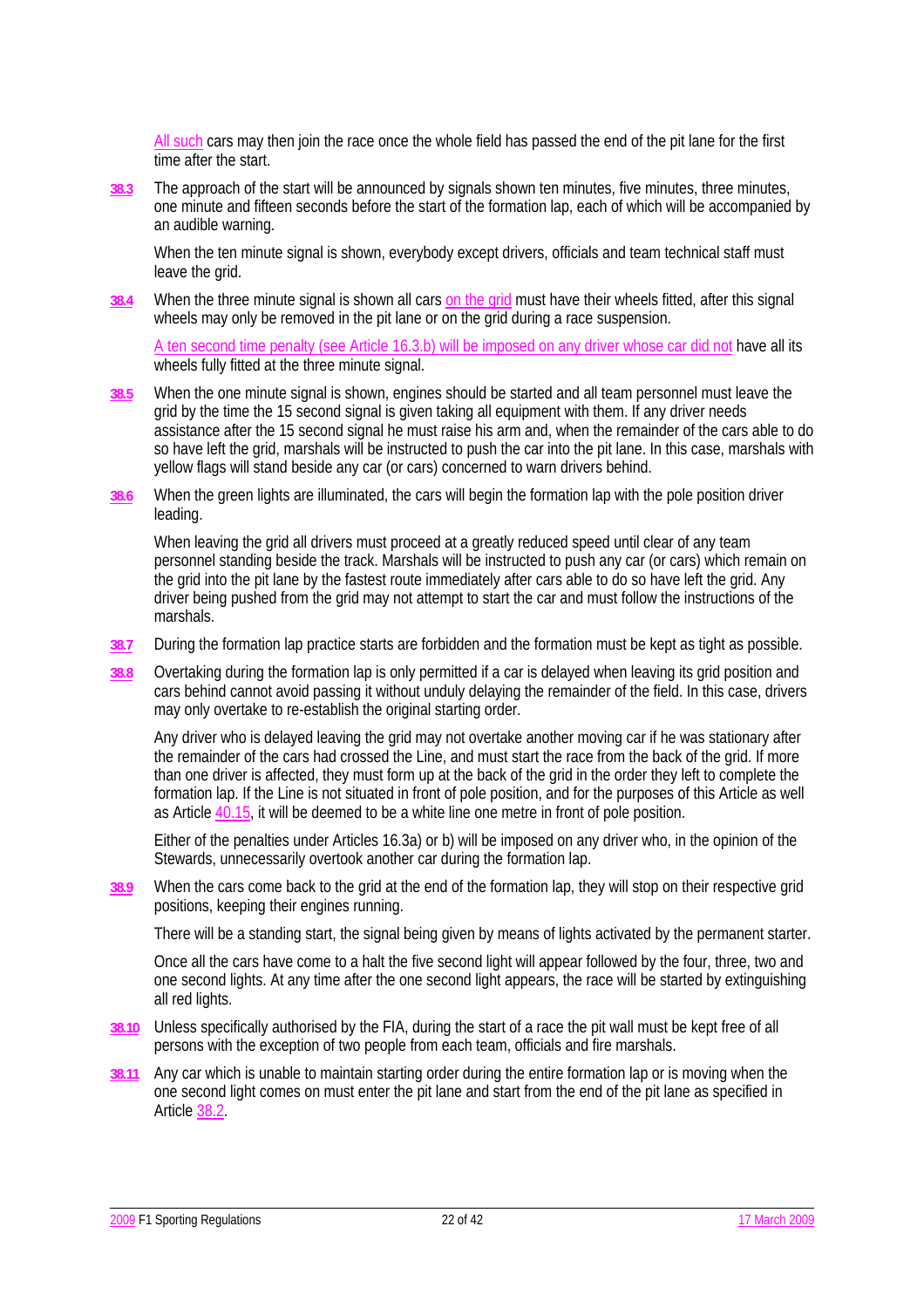All such cars may then join the race once the whole field has passed the end of the pit lane for the first time after the start.

**38.3** The approach of the start will be announced by signals shown ten minutes, five minutes, three minutes, one minute and fifteen seconds before the start of the formation lap, each of which will be accompanied by an audible warning.

When the ten minute signal is shown, everybody except drivers, officials and team technical staff must leave the grid.

**38.4** When the three minute signal is shown all cars on the grid must have their wheels fitted, after this signal wheels may only be removed in the pit lane or on the grid during a race suspension.

A ten second time penalty (see Article 16.3.b) will be imposed on any driver whose car did not have all its wheels fully fitted at the three minute signal.

- **38.5** When the one minute signal is shown, engines should be started and all team personnel must leave the grid by the time the 15 second signal is given taking all equipment with them. If any driver needs assistance after the 15 second signal he must raise his arm and, when the remainder of the cars able to do so have left the grid, marshals will be instructed to push the car into the pit lane. In this case, marshals with yellow flags will stand beside any car (or cars) concerned to warn drivers behind.
- **38.6** When the green lights are illuminated, the cars will begin the formation lap with the pole position driver leading.

When leaving the grid all drivers must proceed at a greatly reduced speed until clear of any team personnel standing beside the track. Marshals will be instructed to push any car (or cars) which remain on the grid into the pit lane by the fastest route immediately after cars able to do so have left the grid. Any driver being pushed from the grid may not attempt to start the car and must follow the instructions of the marshals.

- **38.7** During the formation lap practice starts are forbidden and the formation must be kept as tight as possible.
- **38.8** Overtaking during the formation lap is only permitted if a car is delayed when leaving its grid position and cars behind cannot avoid passing it without unduly delaying the remainder of the field. In this case, drivers may only overtake to re-establish the original starting order.

 Any driver who is delayed leaving the grid may not overtake another moving car if he was stationary after the remainder of the cars had crossed the Line, and must start the race from the back of the grid. If more than one driver is affected, they must form up at the back of the grid in the order they left to complete the formation lap. If the Line is not situated in front of pole position, and for the purposes of this Article as well as Article 40.15, it will be deemed to be a white line one metre in front of pole position.

 Either of the penalties under Articles 16.3a) or b) will be imposed on any driver who, in the opinion of the Stewards, unnecessarily overtook another car during the formation lap.

**38.9** When the cars come back to the grid at the end of the formation lap, they will stop on their respective grid positions, keeping their engines running.

There will be a standing start, the signal being given by means of lights activated by the permanent starter.

 Once all the cars have come to a halt the five second light will appear followed by the four, three, two and one second lights. At any time after the one second light appears, the race will be started by extinguishing all red lights.

- **38.10** Unless specifically authorised by the FIA, during the start of a race the pit wall must be kept free of all persons with the exception of two people from each team, officials and fire marshals.
- **38.11** Any car which is unable to maintain starting order during the entire formation lap or is moving when the one second light comes on must enter the pit lane and start from the end of the pit lane as specified in Article 38.2.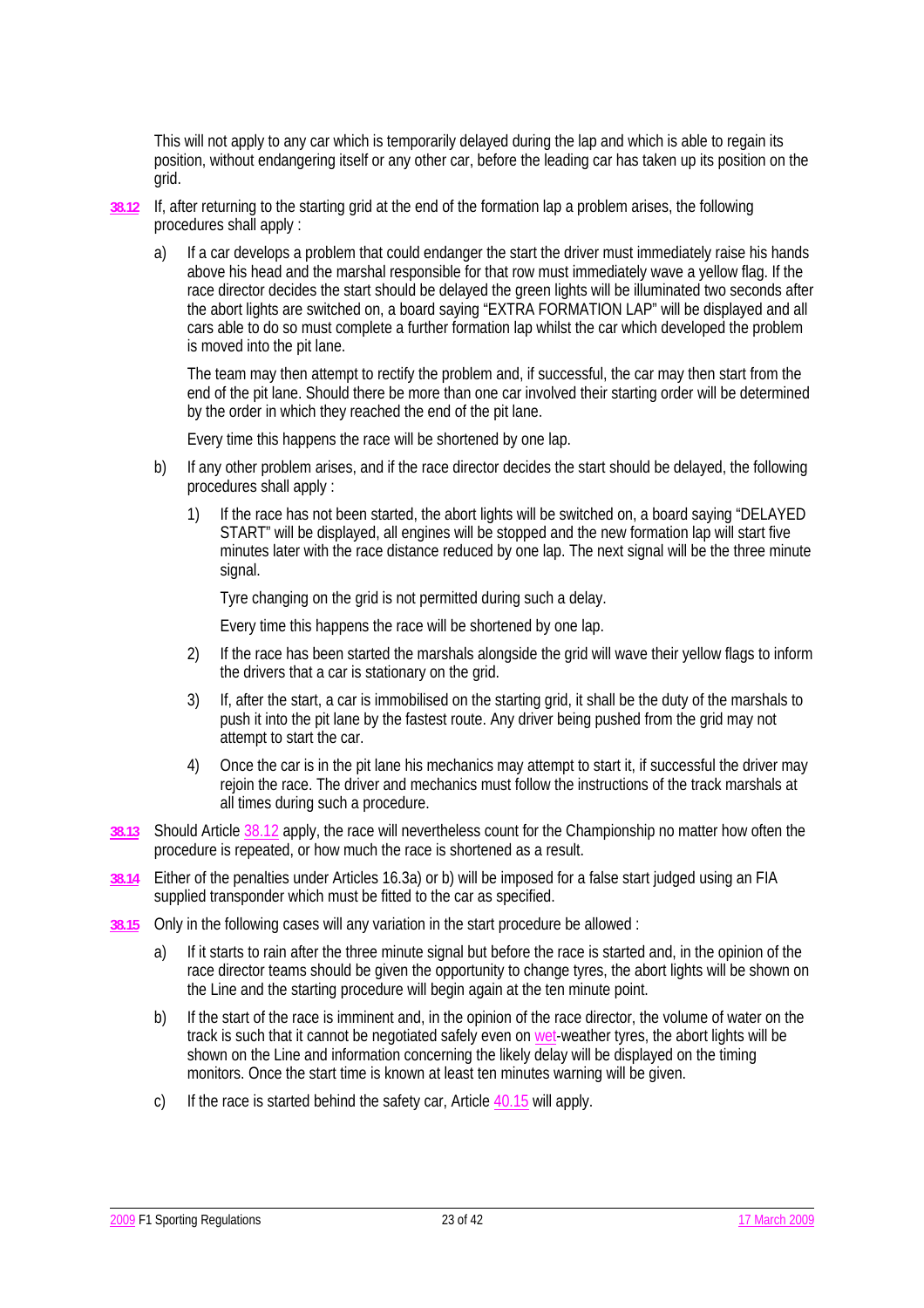This will not apply to any car which is temporarily delayed during the lap and which is able to regain its position, without endangering itself or any other car, before the leading car has taken up its position on the grid.

- **38.12** If, after returning to the starting grid at the end of the formation lap a problem arises, the following procedures shall apply :
	- a) If a car develops a problem that could endanger the start the driver must immediately raise his hands above his head and the marshal responsible for that row must immediately wave a yellow flag. If the race director decides the start should be delayed the green lights will be illuminated two seconds after the abort lights are switched on, a board saying "EXTRA FORMATION LAP" will be displayed and all cars able to do so must complete a further formation lap whilst the car which developed the problem is moved into the pit lane.

 The team may then attempt to rectify the problem and, if successful, the car may then start from the end of the pit lane. Should there be more than one car involved their starting order will be determined by the order in which they reached the end of the pit lane.

Every time this happens the race will be shortened by one lap.

- b) If any other problem arises, and if the race director decides the start should be delayed, the following procedures shall apply :
	- 1) If the race has not been started, the abort lights will be switched on, a board saying "DELAYED START" will be displayed, all engines will be stopped and the new formation lap will start five minutes later with the race distance reduced by one lap. The next signal will be the three minute signal.

Tyre changing on the grid is not permitted during such a delay.

Every time this happens the race will be shortened by one lap.

- 2) If the race has been started the marshals alongside the grid will wave their yellow flags to inform the drivers that a car is stationary on the grid.
- 3) If, after the start, a car is immobilised on the starting grid, it shall be the duty of the marshals to push it into the pit lane by the fastest route. Any driver being pushed from the grid may not attempt to start the car.
- 4) Once the car is in the pit lane his mechanics may attempt to start it, if successful the driver may rejoin the race. The driver and mechanics must follow the instructions of the track marshals at all times during such a procedure.
- **38.13** Should Article 38.12 apply, the race will nevertheless count for the Championship no matter how often the procedure is repeated, or how much the race is shortened as a result.
- **38.14** Either of the penalties under Articles 16.3a) or b) will be imposed for a false start judged using an FIA supplied transponder which must be fitted to the car as specified.
- **38.15** Only in the following cases will any variation in the start procedure be allowed :
	- a) If it starts to rain after the three minute signal but before the race is started and, in the opinion of the race director teams should be given the opportunity to change tyres, the abort lights will be shown on the Line and the starting procedure will begin again at the ten minute point.
	- b) If the start of the race is imminent and, in the opinion of the race director, the volume of water on the track is such that it cannot be negotiated safely even on wet-weather tyres, the abort lights will be shown on the Line and information concerning the likely delay will be displayed on the timing monitors. Once the start time is known at least ten minutes warning will be given.
	- c) If the race is started behind the safety car, Article  $40.15$  will apply.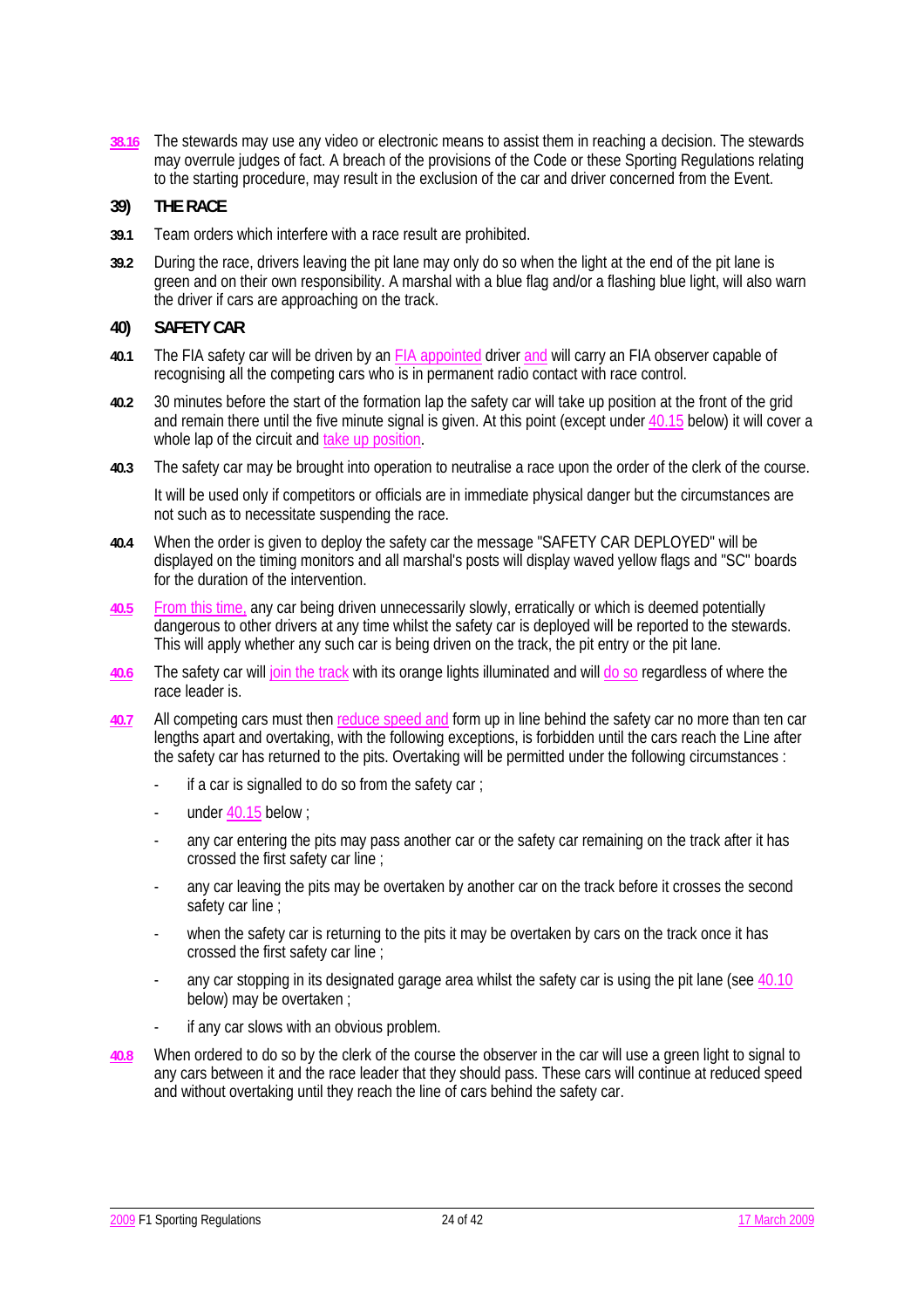**38.16** The stewards may use any video or electronic means to assist them in reaching a decision. The stewards may overrule judges of fact. A breach of the provisions of the Code or these Sporting Regulations relating to the starting procedure, may result in the exclusion of the car and driver concerned from the Event.

## **39) THE RACE**

- **39.1** Team orders which interfere with a race result are prohibited.
- **39.2** During the race, drivers leaving the pit lane may only do so when the light at the end of the pit lane is green and on their own responsibility. A marshal with a blue flag and/or a flashing blue light, will also warn the driver if cars are approaching on the track.

## **40) SAFETY CAR**

- **40.1** The FIA safety car will be driven by an FIA appointed driver and will carry an FIA observer capable of recognising all the competing cars who is in permanent radio contact with race control.
- **40.2** 30 minutes before the start of the formation lap the safety car will take up position at the front of the grid and remain there until the five minute signal is given. At this point (except under 40.15 below) it will cover a whole lap of the circuit and take up position.
- **40.3** The safety car may be brought into operation to neutralise a race upon the order of the clerk of the course.

 It will be used only if competitors or officials are in immediate physical danger but the circumstances are not such as to necessitate suspending the race.

- **40.4** When the order is given to deploy the safety car the message "SAFETY CAR DEPLOYED" will be displayed on the timing monitors and all marshal's posts will display waved yellow flags and "SC" boards for the duration of the intervention.
- **40.5** From this time, any car being driven unnecessarily slowly, erratically or which is deemed potentially dangerous to other drivers at any time whilst the safety car is deployed will be reported to the stewards. This will apply whether any such car is being driven on the track, the pit entry or the pit lane.
- **40.6** The safety car will join the track with its orange lights illuminated and will do so regardless of where the race leader is.
- **40.7** All competing cars must then reduce speed and form up in line behind the safety car no more than ten car lengths apart and overtaking, with the following exceptions, is forbidden until the cars reach the Line after the safety car has returned to the pits. Overtaking will be permitted under the following circumstances :
	- if a car is signalled to do so from the safety car :
	- under  $40.15$  below :
	- any car entering the pits may pass another car or the safety car remaining on the track after it has crossed the first safety car line ;
	- any car leaving the pits may be overtaken by another car on the track before it crosses the second safety car line;
	- when the safety car is returning to the pits it may be overtaken by cars on the track once it has crossed the first safety car line ;
	- any car stopping in its designated garage area whilst the safety car is using the pit lane (see 40.10 below) may be overtaken ;
	- if any car slows with an obvious problem.
- **40.8** When ordered to do so by the clerk of the course the observer in the car will use a green light to signal to any cars between it and the race leader that they should pass. These cars will continue at reduced speed and without overtaking until they reach the line of cars behind the safety car.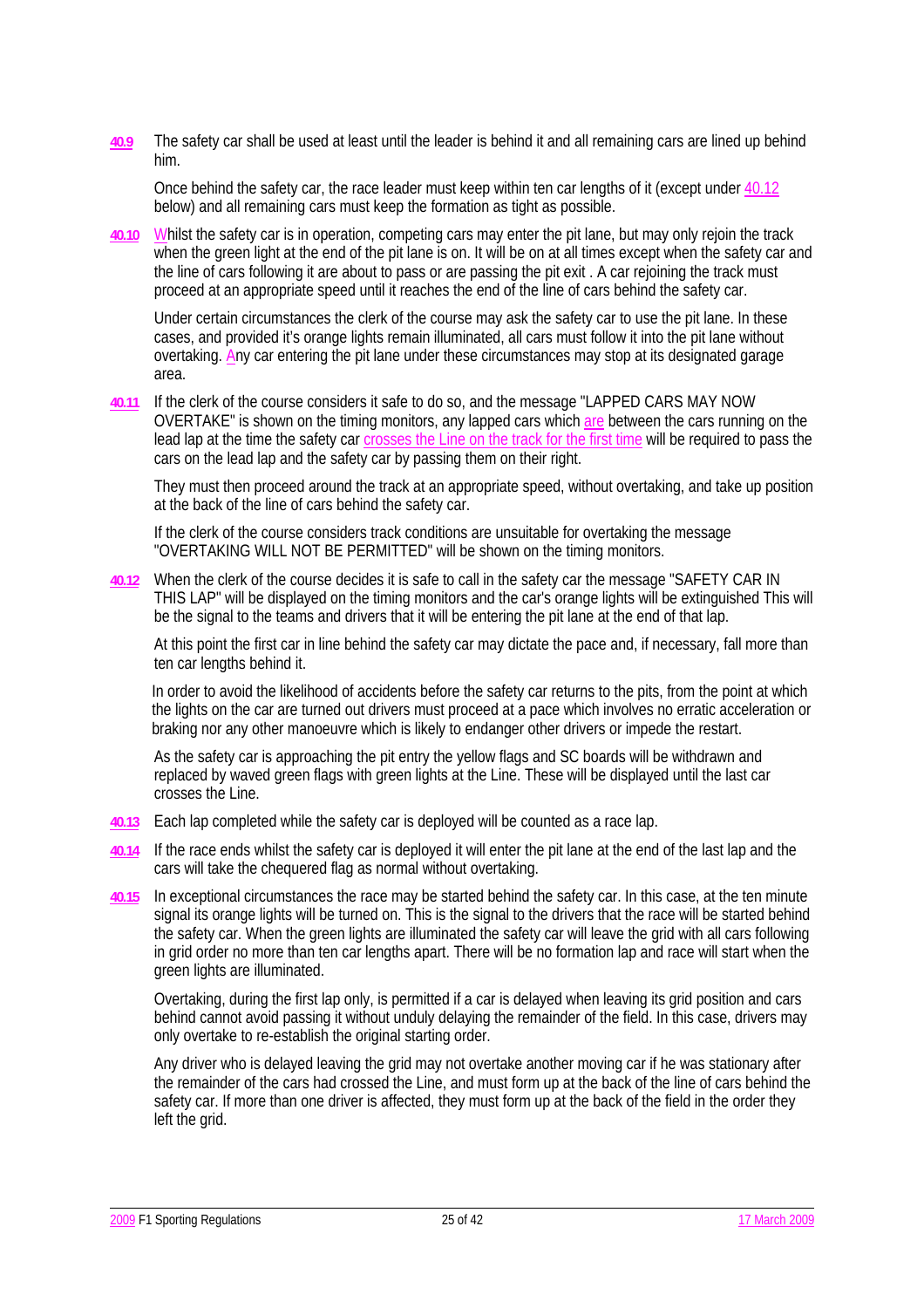**40.9** The safety car shall be used at least until the leader is behind it and all remaining cars are lined up behind him.

 Once behind the safety car, the race leader must keep within ten car lengths of it (except under 40.12 below) and all remaining cars must keep the formation as tight as possible.

**40.10** Whilst the safety car is in operation, competing cars may enter the pit lane, but may only rejoin the track when the green light at the end of the pit lane is on. It will be on at all times except when the safety car and the line of cars following it are about to pass or are passing the pit exit . A car rejoining the track must proceed at an appropriate speed until it reaches the end of the line of cars behind the safety car.

 Under certain circumstances the clerk of the course may ask the safety car to use the pit lane. In these cases, and provided it's orange lights remain illuminated, all cars must follow it into the pit lane without overtaking. Any car entering the pit lane under these circumstances may stop at its designated garage area.

**40.11** If the clerk of the course considers it safe to do so, and the message "LAPPED CARS MAY NOW OVERTAKE" is shown on the timing monitors, any lapped cars which are between the cars running on the lead lap at the time the safety car crosses the Line on the track for the first time will be required to pass the cars on the lead lap and the safety car by passing them on their right.

 They must then proceed around the track at an appropriate speed, without overtaking, and take up position at the back of the line of cars behind the safety car.

 If the clerk of the course considers track conditions are unsuitable for overtaking the message "OVERTAKING WILL NOT BE PERMITTED" will be shown on the timing monitors.

**40.12** When the clerk of the course decides it is safe to call in the safety car the message "SAFETY CAR IN THIS LAP" will be displayed on the timing monitors and the car's orange lights will be extinguished This will be the signal to the teams and drivers that it will be entering the pit lane at the end of that lap.

 At this point the first car in line behind the safety car may dictate the pace and, if necessary, fall more than ten car lengths behind it.

In order to avoid the likelihood of accidents before the safety car returns to the pits, from the point at which the lights on the car are turned out drivers must proceed at a pace which involves no erratic acceleration or braking nor any other manoeuvre which is likely to endanger other drivers or impede the restart.

 As the safety car is approaching the pit entry the yellow flags and SC boards will be withdrawn and replaced by waved green flags with green lights at the Line. These will be displayed until the last car crosses the Line.

- **40.13** Each lap completed while the safety car is deployed will be counted as a race lap.
- **40.14** If the race ends whilst the safety car is deployed it will enter the pit lane at the end of the last lap and the cars will take the chequered flag as normal without overtaking.
- **40.15** In exceptional circumstances the race may be started behind the safety car. In this case, at the ten minute signal its orange lights will be turned on. This is the signal to the drivers that the race will be started behind the safety car. When the green lights are illuminated the safety car will leave the grid with all cars following in grid order no more than ten car lengths apart. There will be no formation lap and race will start when the green lights are illuminated.

 Overtaking, during the first lap only, is permitted if a car is delayed when leaving its grid position and cars behind cannot avoid passing it without unduly delaying the remainder of the field. In this case, drivers may only overtake to re-establish the original starting order.

 Any driver who is delayed leaving the grid may not overtake another moving car if he was stationary after the remainder of the cars had crossed the Line, and must form up at the back of the line of cars behind the safety car. If more than one driver is affected, they must form up at the back of the field in the order they left the grid.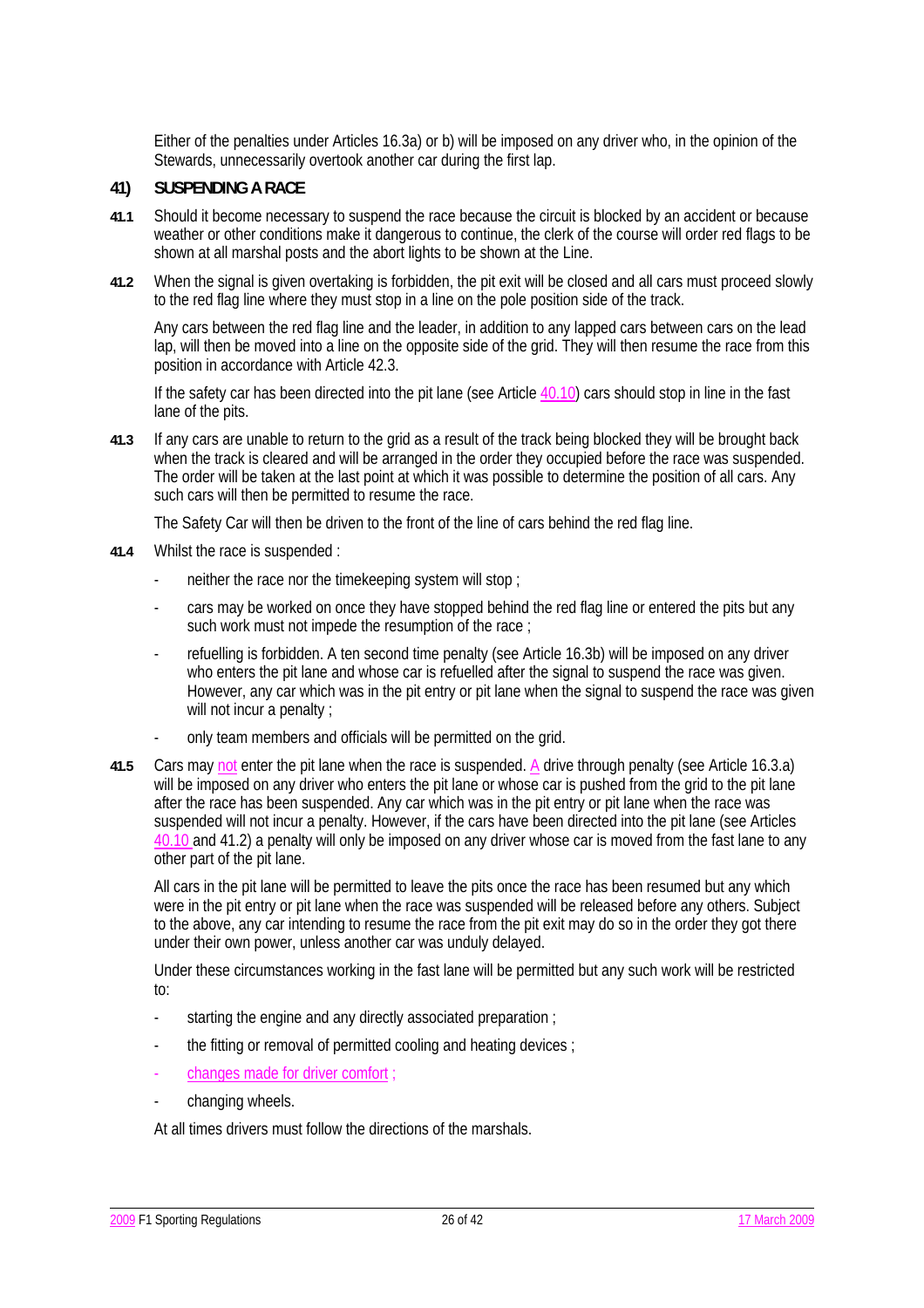Either of the penalties under Articles 16.3a) or b) will be imposed on any driver who, in the opinion of the Stewards, unnecessarily overtook another car during the first lap.

### **41) SUSPENDING A RACE**

- **41.1** Should it become necessary to suspend the race because the circuit is blocked by an accident or because weather or other conditions make it dangerous to continue, the clerk of the course will order red flags to be shown at all marshal posts and the abort lights to be shown at the Line.
- **41.2** When the signal is given overtaking is forbidden, the pit exit will be closed and all cars must proceed slowly to the red flag line where they must stop in a line on the pole position side of the track.

Any cars between the red flag line and the leader, in addition to any lapped cars between cars on the lead lap, will then be moved into a line on the opposite side of the grid. They will then resume the race from this position in accordance with Article 42.3.

 If the safety car has been directed into the pit lane (see Article 40.10) cars should stop in line in the fast lane of the pits.

**41.3** If any cars are unable to return to the grid as a result of the track being blocked they will be brought back when the track is cleared and will be arranged in the order they occupied before the race was suspended. The order will be taken at the last point at which it was possible to determine the position of all cars. Any such cars will then be permitted to resume the race.

The Safety Car will then be driven to the front of the line of cars behind the red flag line.

- **41.4** Whilst the race is suspended :
	- neither the race nor the timekeeping system will stop :
	- cars may be worked on once they have stopped behind the red flag line or entered the pits but any such work must not impede the resumption of the race ;
	- refuelling is forbidden. A ten second time penalty (see Article 16.3b) will be imposed on any driver who enters the pit lane and whose car is refuelled after the signal to suspend the race was given. However, any car which was in the pit entry or pit lane when the signal to suspend the race was given will not incur a penalty :
	- only team members and officials will be permitted on the grid.
- **41.5** Cars may not enter the pit lane when the race is suspended. A drive through penalty (see Article 16.3.a) will be imposed on any driver who enters the pit lane or whose car is pushed from the grid to the pit lane after the race has been suspended. Any car which was in the pit entry or pit lane when the race was suspended will not incur a penalty. However, if the cars have been directed into the pit lane (see Articles 40.10 and 41.2) a penalty will only be imposed on any driver whose car is moved from the fast lane to any other part of the pit lane.

 All cars in the pit lane will be permitted to leave the pits once the race has been resumed but any which were in the pit entry or pit lane when the race was suspended will be released before any others. Subject to the above, any car intending to resume the race from the pit exit may do so in the order they got there under their own power, unless another car was unduly delayed.

 Under these circumstances working in the fast lane will be permitted but any such work will be restricted to:

- starting the engine and any directly associated preparation ;
- the fitting or removal of permitted cooling and heating devices ;
- changes made for driver comfort
- changing wheels.

At all times drivers must follow the directions of the marshals.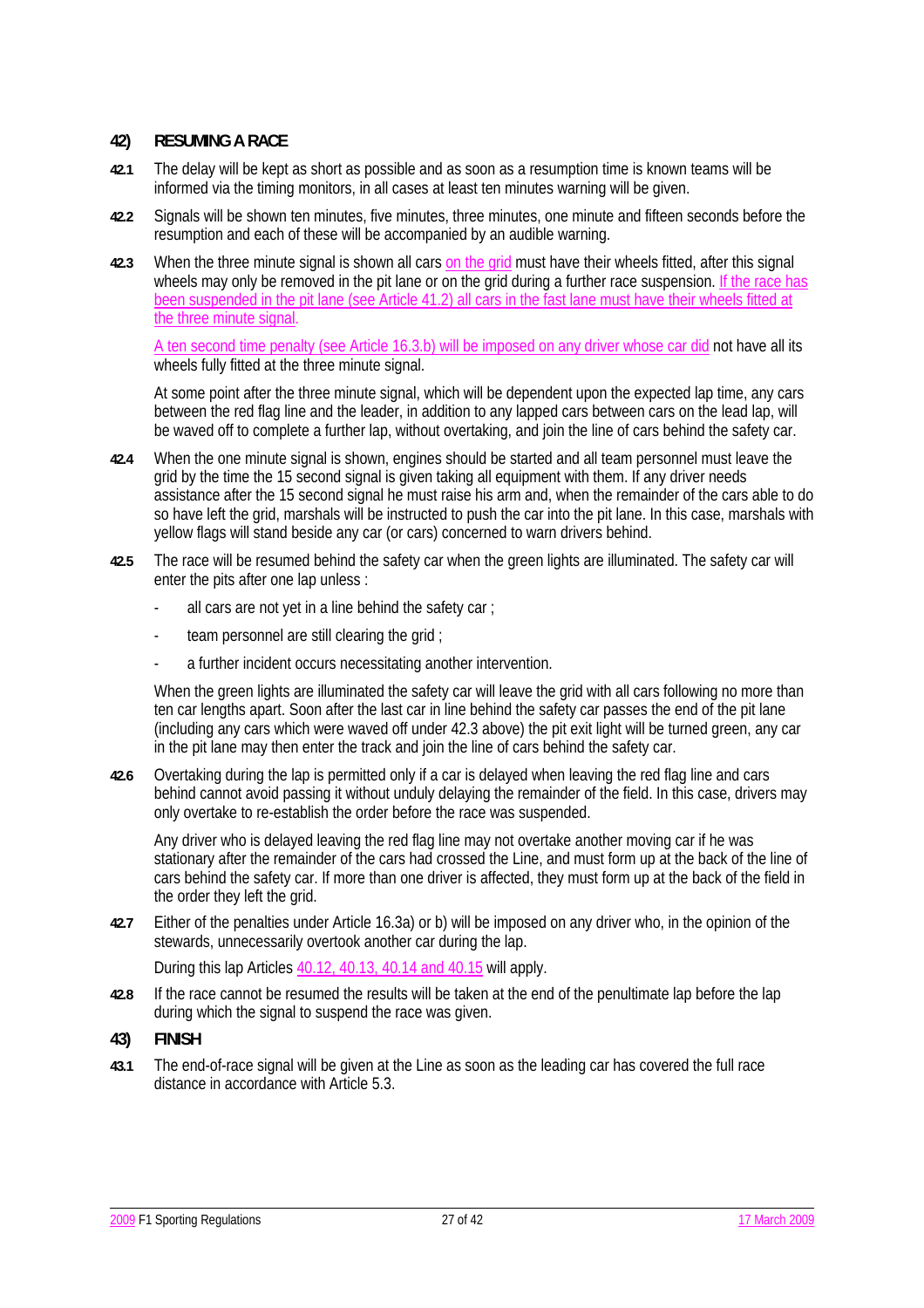#### **42) RESUMING A RACE**

- **42.1** The delay will be kept as short as possible and as soon as a resumption time is known teams will be informed via the timing monitors, in all cases at least ten minutes warning will be given.
- **42.2** Signals will be shown ten minutes, five minutes, three minutes, one minute and fifteen seconds before the resumption and each of these will be accompanied by an audible warning.
- **42.3** When the three minute signal is shown all cars on the grid must have their wheels fitted, after this signal wheels may only be removed in the pit lane or on the grid during a further race suspension. If the race has been suspended in the pit lane (see Article 41.2) all cars in the fast lane must have their wheels fitted at the three minute signal.

A ten second time penalty (see Article 16.3.b) will be imposed on any driver whose car did not have all its wheels fully fitted at the three minute signal.

 At some point after the three minute signal, which will be dependent upon the expected lap time, any cars between the red flag line and the leader, in addition to any lapped cars between cars on the lead lap, will be waved off to complete a further lap, without overtaking, and join the line of cars behind the safety car.

- **42.4** When the one minute signal is shown, engines should be started and all team personnel must leave the grid by the time the 15 second signal is given taking all equipment with them. If any driver needs assistance after the 15 second signal he must raise his arm and, when the remainder of the cars able to do so have left the grid, marshals will be instructed to push the car into the pit lane. In this case, marshals with yellow flags will stand beside any car (or cars) concerned to warn drivers behind.
- **42.5** The race will be resumed behind the safety car when the green lights are illuminated. The safety car will enter the pits after one lap unless :
	- all cars are not yet in a line behind the safety car:
	- team personnel are still clearing the grid ;
	- a further incident occurs necessitating another intervention.

When the green lights are illuminated the safety car will leave the grid with all cars following no more than ten car lengths apart. Soon after the last car in line behind the safety car passes the end of the pit lane (including any cars which were waved off under 42.3 above) the pit exit light will be turned green, any car in the pit lane may then enter the track and join the line of cars behind the safety car.

**42.6** Overtaking during the lap is permitted only if a car is delayed when leaving the red flag line and cars behind cannot avoid passing it without unduly delaying the remainder of the field. In this case, drivers may only overtake to re-establish the order before the race was suspended.

 Any driver who is delayed leaving the red flag line may not overtake another moving car if he was stationary after the remainder of the cars had crossed the Line, and must form up at the back of the line of cars behind the safety car. If more than one driver is affected, they must form up at the back of the field in the order they left the grid.

**42.7** Either of the penalties under Article 16.3a) or b) will be imposed on any driver who, in the opinion of the stewards, unnecessarily overtook another car during the lap.

During this lap Articles 40.12, 40.13, 40.14 and 40.15 will apply.

**42.8** If the race cannot be resumed the results will be taken at the end of the penultimate lap before the lap during which the signal to suspend the race was given.

### **43) FINISH**

**43.1** The end-of-race signal will be given at the Line as soon as the leading car has covered the full race distance in accordance with Article 5.3.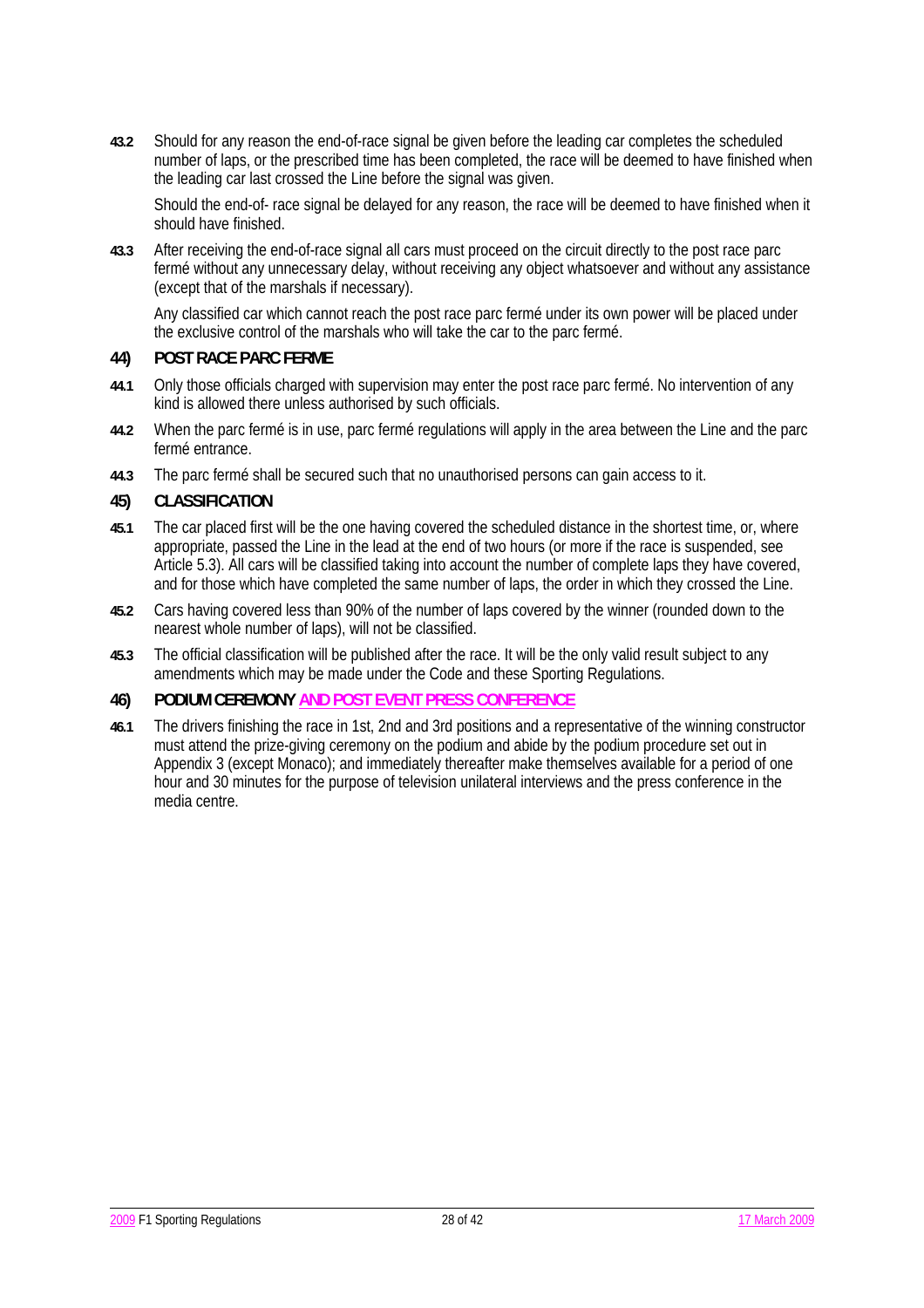**43.2** Should for any reason the end-of-race signal be given before the leading car completes the scheduled number of laps, or the prescribed time has been completed, the race will be deemed to have finished when the leading car last crossed the Line before the signal was given.

 Should the end-of- race signal be delayed for any reason, the race will be deemed to have finished when it should have finished.

**43.3** After receiving the end-of-race signal all cars must proceed on the circuit directly to the post race parc fermé without any unnecessary delay, without receiving any object whatsoever and without any assistance (except that of the marshals if necessary).

 Any classified car which cannot reach the post race parc fermé under its own power will be placed under the exclusive control of the marshals who will take the car to the parc fermé.

### **44) POST RACE PARC FERME**

- **44.1** Only those officials charged with supervision may enter the post race parc fermé. No intervention of any kind is allowed there unless authorised by such officials.
- **44.2** When the parc fermé is in use, parc fermé regulations will apply in the area between the Line and the parc fermé entrance.
- **44.3** The parc fermé shall be secured such that no unauthorised persons can gain access to it.

### **45) CLASSIFICATION**

- **45.1** The car placed first will be the one having covered the scheduled distance in the shortest time, or, where appropriate, passed the Line in the lead at the end of two hours (or more if the race is suspended, see Article 5.3). All cars will be classified taking into account the number of complete laps they have covered, and for those which have completed the same number of laps, the order in which they crossed the Line.
- **45.2** Cars having covered less than 90% of the number of laps covered by the winner (rounded down to the nearest whole number of laps), will not be classified.
- **45.3** The official classification will be published after the race. It will be the only valid result subject to any amendments which may be made under the Code and these Sporting Regulations.

### **46) PODIUM CEREMONY AND POST EVENT PRESS CONFERENCE**

**46.1** The drivers finishing the race in 1st, 2nd and 3rd positions and a representative of the winning constructor must attend the prize-giving ceremony on the podium and abide by the podium procedure set out in Appendix 3 (except Monaco); and immediately thereafter make themselves available for a period of one hour and 30 minutes for the purpose of television unilateral interviews and the press conference in the media centre.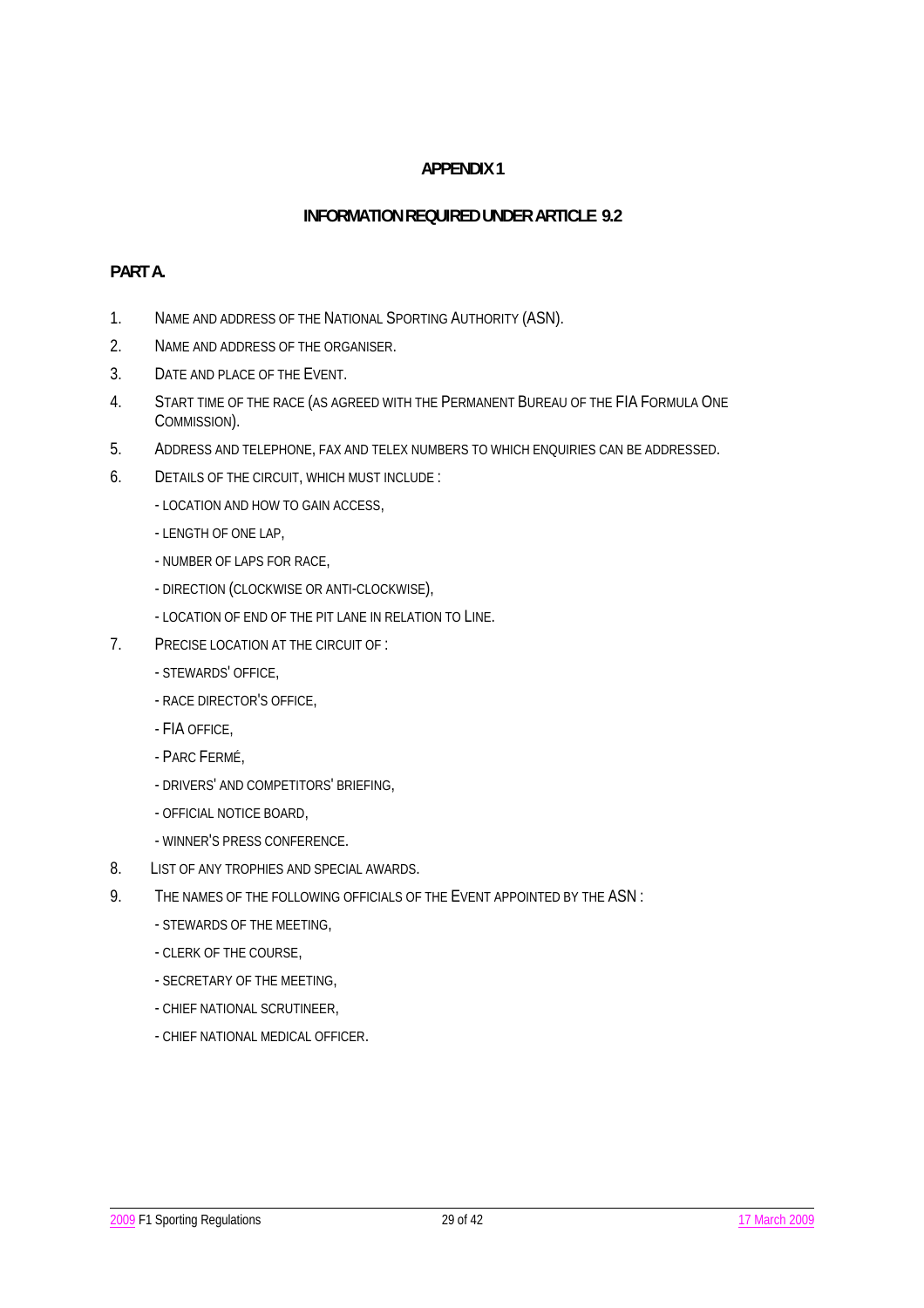## **INFORMATION REQUIRED UNDER ARTICLE 9.2**

## **PART A.**

- 1. NAME AND ADDRESS OF THE NATIONAL SPORTING AUTHORITY (ASN).
- 2. NAME AND ADDRESS OF THE ORGANISER.
- 3. DATE AND PLACE OF THE EVENT.
- 4. START TIME OF THE RACE (AS AGREED WITH THE PERMANENT BUREAU OF THE FIA FORMULA ONE COMMISSION).
- 5. ADDRESS AND TELEPHONE, FAX AND TELEX NUMBERS TO WHICH ENQUIRIES CAN BE ADDRESSED.
- 6. DETAILS OF THE CIRCUIT, WHICH MUST INCLUDE :
	- LOCATION AND HOW TO GAIN ACCESS,
	- LENGTH OF ONE LAP,
	- NUMBER OF LAPS FOR RACE,
	- DIRECTION (CLOCKWISE OR ANTI-CLOCKWISE),
	- LOCATION OF END OF THE PIT LANE IN RELATION TO LINE.
- 7. PRECISE LOCATION AT THE CIRCUIT OF :
	- STEWARDS' OFFICE,
	- RACE DIRECTOR'S OFFICE,
	- FIA OFFICE,
	- PARC FERMÉ,
	- DRIVERS' AND COMPETITORS' BRIEFING,
	- OFFICIAL NOTICE BOARD,
	- WINNER'S PRESS CONFERENCE.
- 8. LIST OF ANY TROPHIES AND SPECIAL AWARDS.
- 9. THE NAMES OF THE FOLLOWING OFFICIALS OF THE EVENT APPOINTED BY THE ASN:
	- STEWARDS OF THE MEETING,
	- CLERK OF THE COURSE,
	- SECRETARY OF THE MEETING,
	- CHIEF NATIONAL SCRUTINEER,
	- CHIEF NATIONAL MEDICAL OFFICER.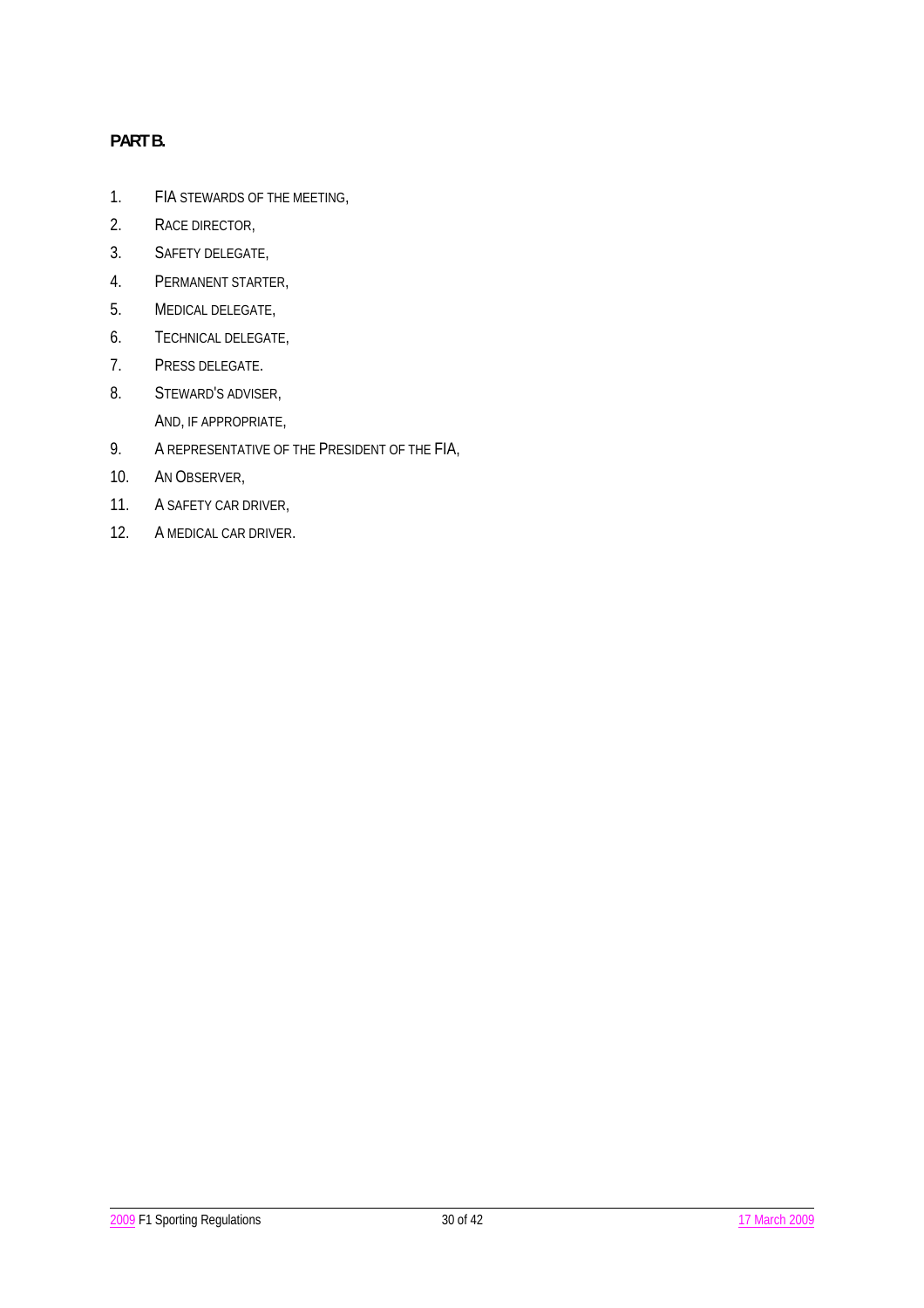# **PART B.**

- 1. FIA STEWARDS OF THE MEETING,
- 2. RACE DIRECTOR,
- 3. SAFETY DELEGATE,
- 4. PERMANENT STARTER,
- 5. MEDICAL DELEGATE,
- 6. TECHNICAL DELEGATE,
- 7. PRESS DELEGATE.
- 8. STEWARD'S ADVISER, AND, IF APPROPRIATE,
- 9. A REPRESENTATIVE OF THE PRESIDENT OF THE FIA,
- 10. AN OBSERVER,
- 11. A SAFETY CAR DRIVER,
- 12. A MEDICAL CAR DRIVER.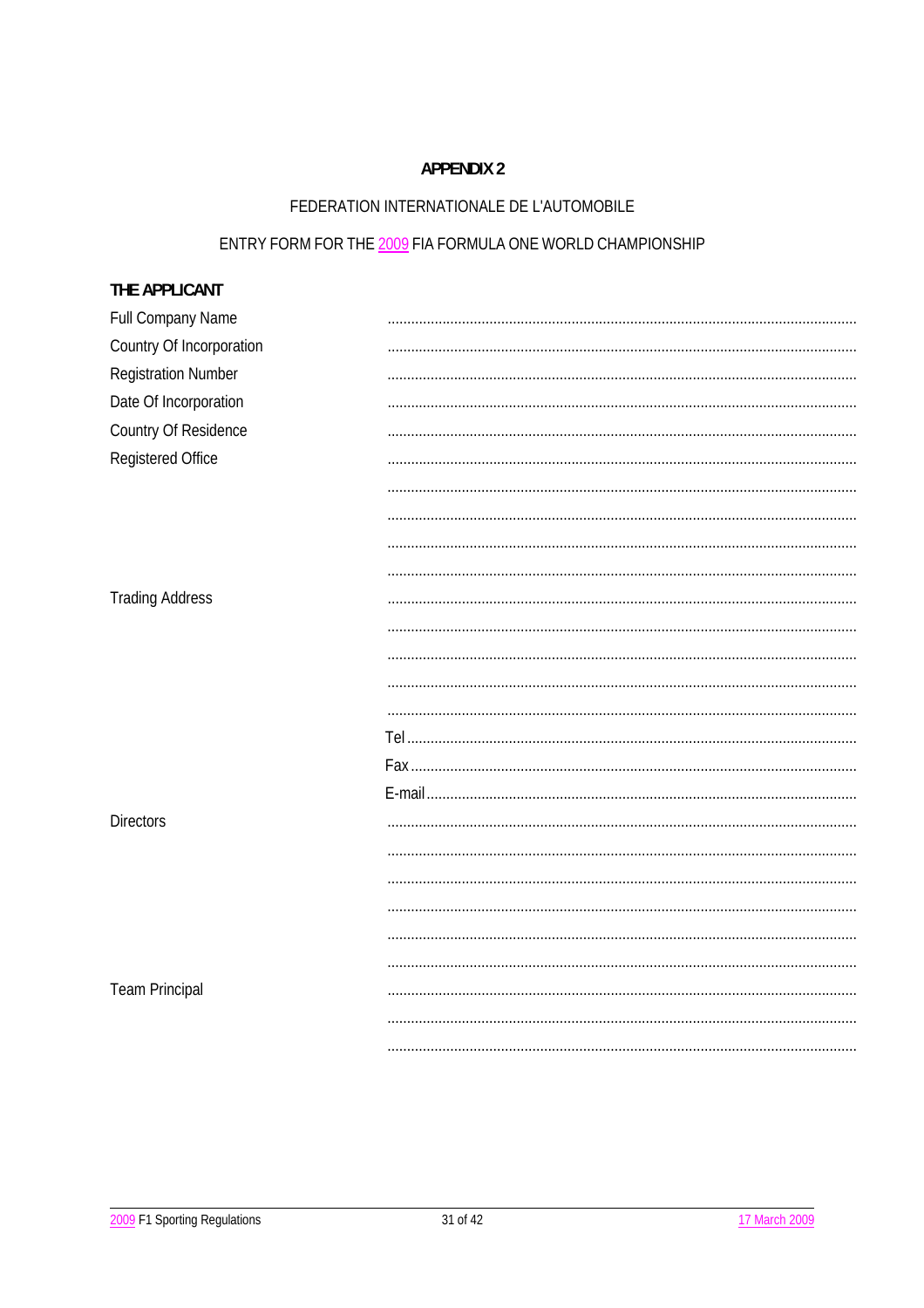# FEDERATION INTERNATIONALE DE L'AUTOMOBILE

# ENTRY FORM FOR THE 2009 FIA FORMULA ONE WORLD CHAMPIONSHIP

| THE APPLICANT              |  |
|----------------------------|--|
| Full Company Name          |  |
| Country Of Incorporation   |  |
| <b>Registration Number</b> |  |
| Date Of Incorporation      |  |
| Country Of Residence       |  |
| Registered Office          |  |
|                            |  |
|                            |  |
|                            |  |
|                            |  |
| <b>Trading Address</b>     |  |
|                            |  |
|                            |  |
|                            |  |
|                            |  |
|                            |  |
|                            |  |
|                            |  |
| <b>Directors</b>           |  |
|                            |  |
|                            |  |
|                            |  |
|                            |  |
|                            |  |
| <b>Team Principal</b>      |  |
|                            |  |
|                            |  |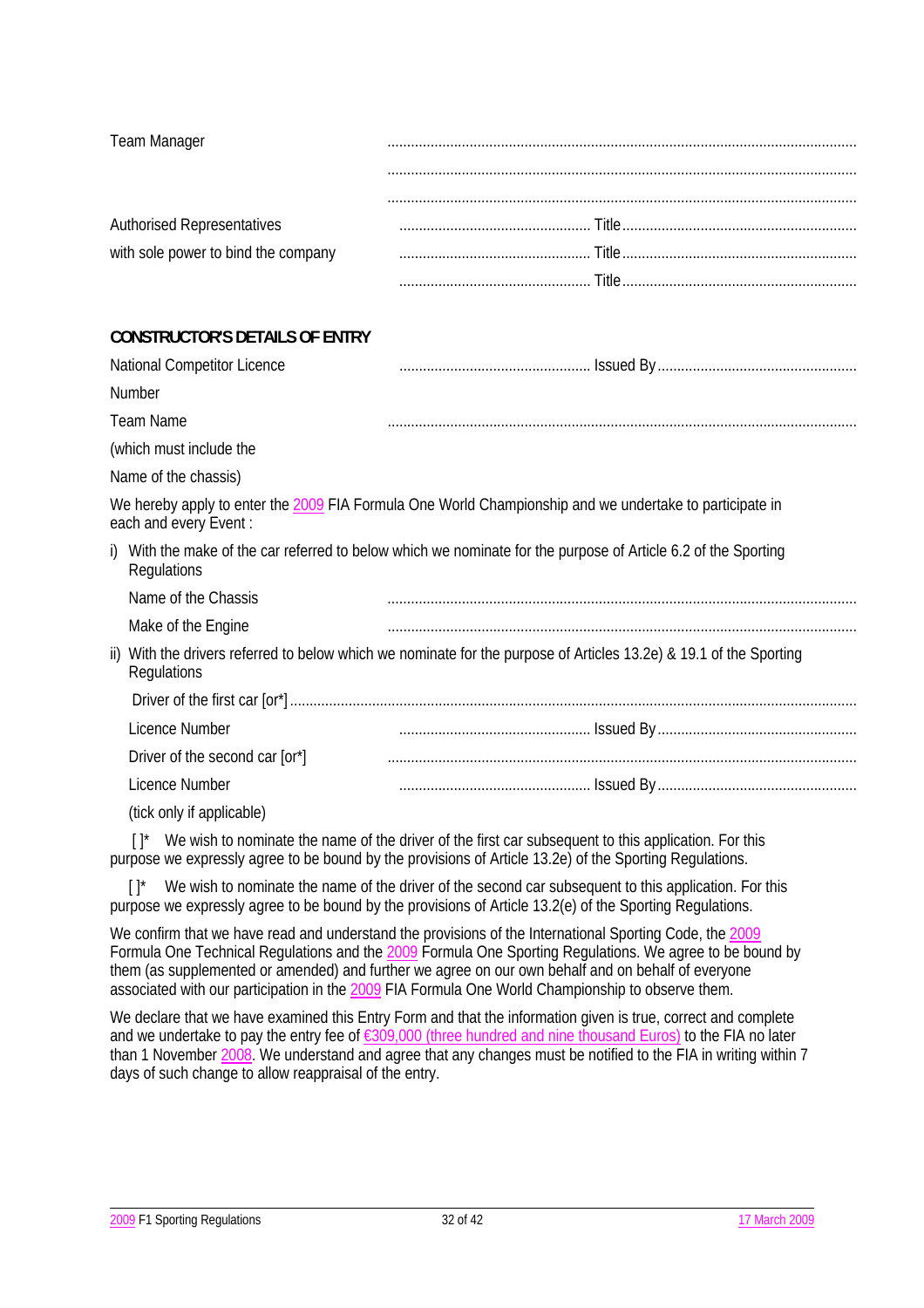| <b>Team Manager</b>                 |  |
|-------------------------------------|--|
|                                     |  |
| <b>Authorised Representatives</b>   |  |
| with sole power to bind the company |  |
|                                     |  |

# **CONSTRUCTOR'S DETAILS OF ENTRY**

| National Competitor Licence    |                                                                                                                    |
|--------------------------------|--------------------------------------------------------------------------------------------------------------------|
| Number                         |                                                                                                                    |
| <b>Team Name</b>               |                                                                                                                    |
| (which must include the        |                                                                                                                    |
| Name of the chassis)           |                                                                                                                    |
| each and every Event:          | We hereby apply to enter the 2009 FIA Formula One World Championship and we undertake to participate in            |
| Regulations                    | i) With the make of the car referred to below which we nominate for the purpose of Article 6.2 of the Sporting     |
| Name of the Chassis            |                                                                                                                    |
| Make of the Engine             |                                                                                                                    |
| Regulations                    | ii) With the drivers referred to below which we nominate for the purpose of Articles 13.2e) & 19.1 of the Sporting |
|                                |                                                                                                                    |
| Licence Number                 |                                                                                                                    |
| Driver of the second car [or*] |                                                                                                                    |
| Licence Number                 |                                                                                                                    |
|                                |                                                                                                                    |

(tick only if applicable)

 $[ ]^*$  We wish to nominate the name of the driver of the first car subsequent to this application. For this purpose we expressly agree to be bound by the provisions of Article 13.2e) of the Sporting Regulations.

 $[ ]^*$  We wish to nominate the name of the driver of the second car subsequent to this application. For this purpose we expressly agree to be bound by the provisions of Article 13.2(e) of the Sporting Regulations.

We confirm that we have read and understand the provisions of the International Sporting Code, the 2009 Formula One Technical Regulations and the 2009 Formula One Sporting Regulations. We agree to be bound by them (as supplemented or amended) and further we agree on our own behalf and on behalf of everyone associated with our participation in the 2009 FIA Formula One World Championship to observe them.

We declare that we have examined this Entry Form and that the information given is true, correct and complete and we undertake to pay the entry fee of €309,000 (three hundred and nine thousand Euros) to the FIA no later than 1 November 2008. We understand and agree that any changes must be notified to the FIA in writing within 7 days of such change to allow reappraisal of the entry.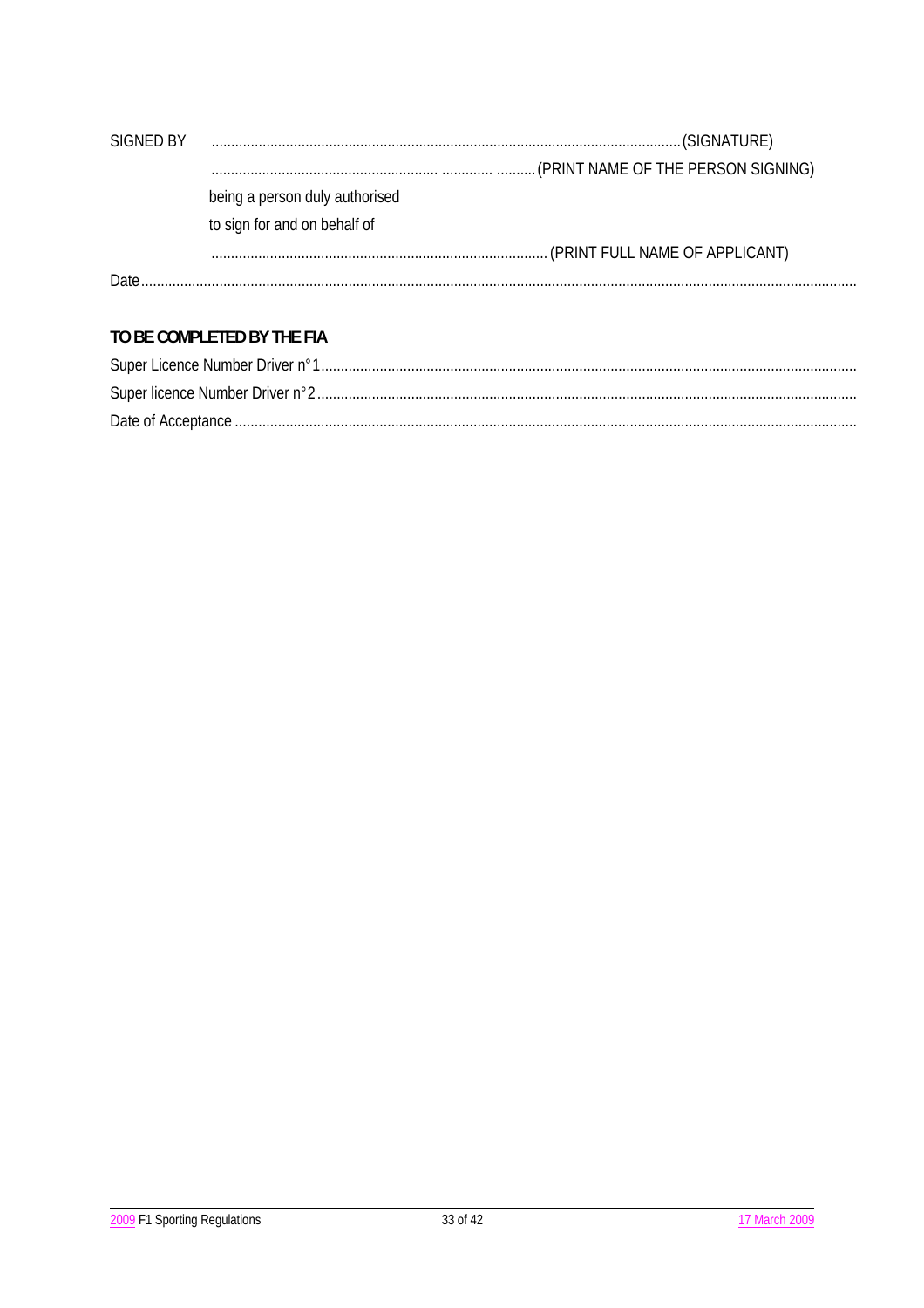| SIGNED BY |                                |
|-----------|--------------------------------|
|           |                                |
|           | being a person duly authorised |
|           | to sign for and on behalf of   |
|           |                                |
| Date.     |                                |

# TO BE COMPLETED BY THE FIA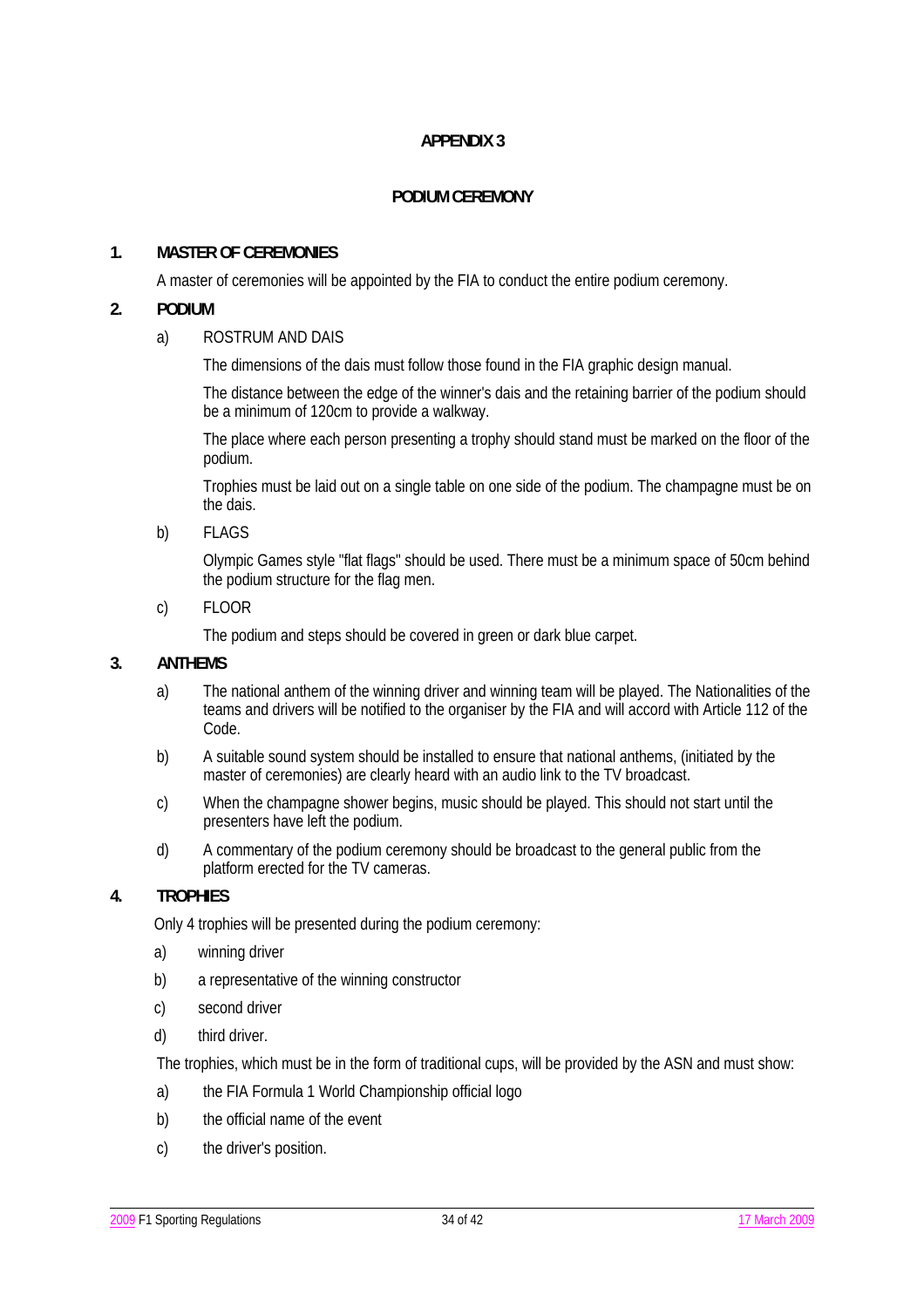## **PODIUM CEREMONY**

## **1. MASTER OF CEREMONIES**

A master of ceremonies will be appointed by the FIA to conduct the entire podium ceremony.

## **2. PODIUM**

### a) ROSTRUM AND DAIS

The dimensions of the dais must follow those found in the FIA graphic design manual.

 The distance between the edge of the winner's dais and the retaining barrier of the podium should be a minimum of 120cm to provide a walkway.

 The place where each person presenting a trophy should stand must be marked on the floor of the podium.

 Trophies must be laid out on a single table on one side of the podium. The champagne must be on the dais.

b) FLAGS

 Olympic Games style "flat flags" should be used. There must be a minimum space of 50cm behind the podium structure for the flag men.

c) FLOOR

The podium and steps should be covered in green or dark blue carpet.

### **3. ANTHEMS**

- a) The national anthem of the winning driver and winning team will be played. The Nationalities of the teams and drivers will be notified to the organiser by the FIA and will accord with Article 112 of the Code.
- b) A suitable sound system should be installed to ensure that national anthems, (initiated by the master of ceremonies) are clearly heard with an audio link to the TV broadcast.
- c) When the champagne shower begins, music should be played. This should not start until the presenters have left the podium.
- d) A commentary of the podium ceremony should be broadcast to the general public from the platform erected for the TV cameras.

# **4. TROPHIES**

Only 4 trophies will be presented during the podium ceremony:

- a) winning driver
- b) a representative of the winning constructor
- c) second driver
- d) third driver.

The trophies, which must be in the form of traditional cups, will be provided by the ASN and must show:

- a) the FIA Formula 1 World Championship official logo
- b) the official name of the event
- c) the driver's position.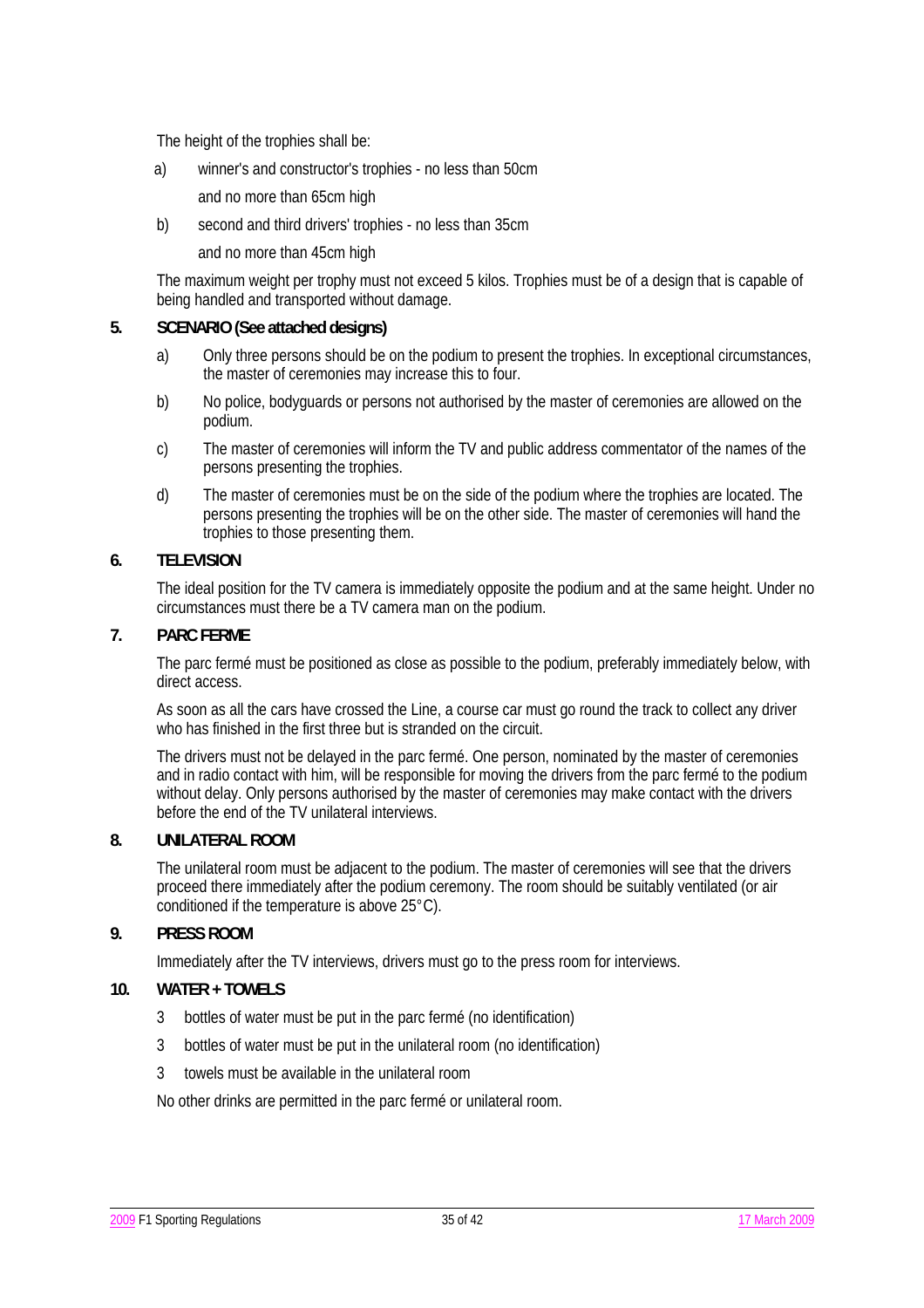The height of the trophies shall be:

- a) winner's and constructor's trophies no less than 50cm
	- and no more than 65cm high
- b) second and third drivers' trophies no less than 35cm

and no more than 45cm high

 The maximum weight per trophy must not exceed 5 kilos. Trophies must be of a design that is capable of being handled and transported without damage.

#### **5. SCENARIO (See attached designs)**

- a) Only three persons should be on the podium to present the trophies. In exceptional circumstances, the master of ceremonies may increase this to four.
- b) No police, bodyguards or persons not authorised by the master of ceremonies are allowed on the podium.
- c) The master of ceremonies will inform the TV and public address commentator of the names of the persons presenting the trophies.
- d) The master of ceremonies must be on the side of the podium where the trophies are located. The persons presenting the trophies will be on the other side. The master of ceremonies will hand the trophies to those presenting them.

### **6. TELEVISION**

 The ideal position for the TV camera is immediately opposite the podium and at the same height. Under no circumstances must there be a TV camera man on the podium.

### **7. PARC FERME**

 The parc fermé must be positioned as close as possible to the podium, preferably immediately below, with direct access.

 As soon as all the cars have crossed the Line, a course car must go round the track to collect any driver who has finished in the first three but is stranded on the circuit.

 The drivers must not be delayed in the parc fermé. One person, nominated by the master of ceremonies and in radio contact with him, will be responsible for moving the drivers from the parc fermé to the podium without delay. Only persons authorised by the master of ceremonies may make contact with the drivers before the end of the TV unilateral interviews.

### **8. UNILATERAL ROOM**

 The unilateral room must be adjacent to the podium. The master of ceremonies will see that the drivers proceed there immediately after the podium ceremony. The room should be suitably ventilated (or air conditioned if the temperature is above 25°C).

### **9. PRESS ROOM**

Immediately after the TV interviews, drivers must go to the press room for interviews.

### **10. WATER + TOWELS**

- 3 bottles of water must be put in the parc fermé (no identification)
- 3 bottles of water must be put in the unilateral room (no identification)
- 3 towels must be available in the unilateral room

No other drinks are permitted in the parc fermé or unilateral room.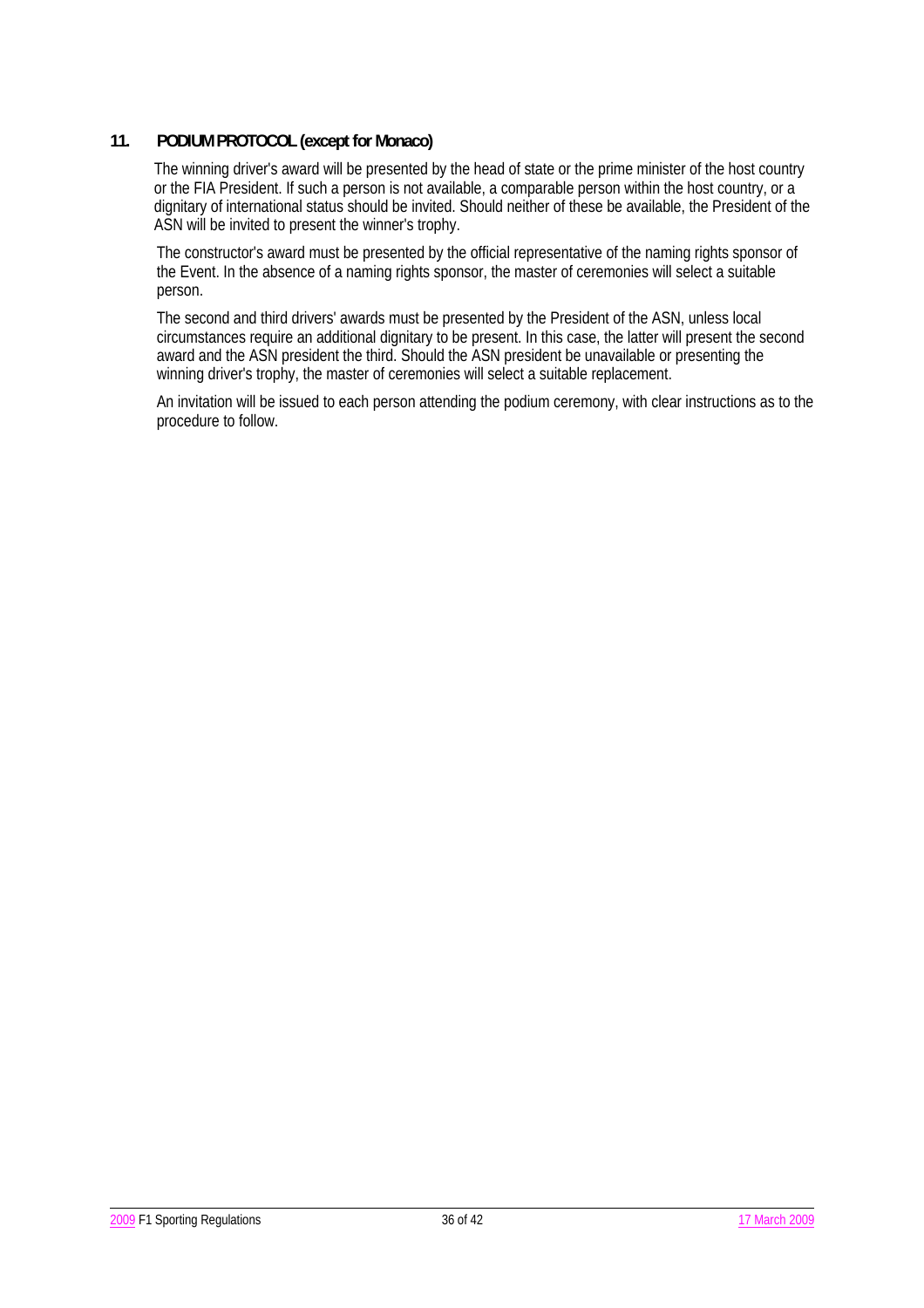## **11. PODIUM PROTOCOL (except for Monaco)**

 The winning driver's award will be presented by the head of state or the prime minister of the host country or the FIA President. If such a person is not available, a comparable person within the host country, or a dignitary of international status should be invited. Should neither of these be available, the President of the ASN will be invited to present the winner's trophy.

 The constructor's award must be presented by the official representative of the naming rights sponsor of the Event. In the absence of a naming rights sponsor, the master of ceremonies will select a suitable person.

 The second and third drivers' awards must be presented by the President of the ASN, unless local circumstances require an additional dignitary to be present. In this case, the latter will present the second award and the ASN president the third. Should the ASN president be unavailable or presenting the winning driver's trophy, the master of ceremonies will select a suitable replacement.

 An invitation will be issued to each person attending the podium ceremony, with clear instructions as to the procedure to follow.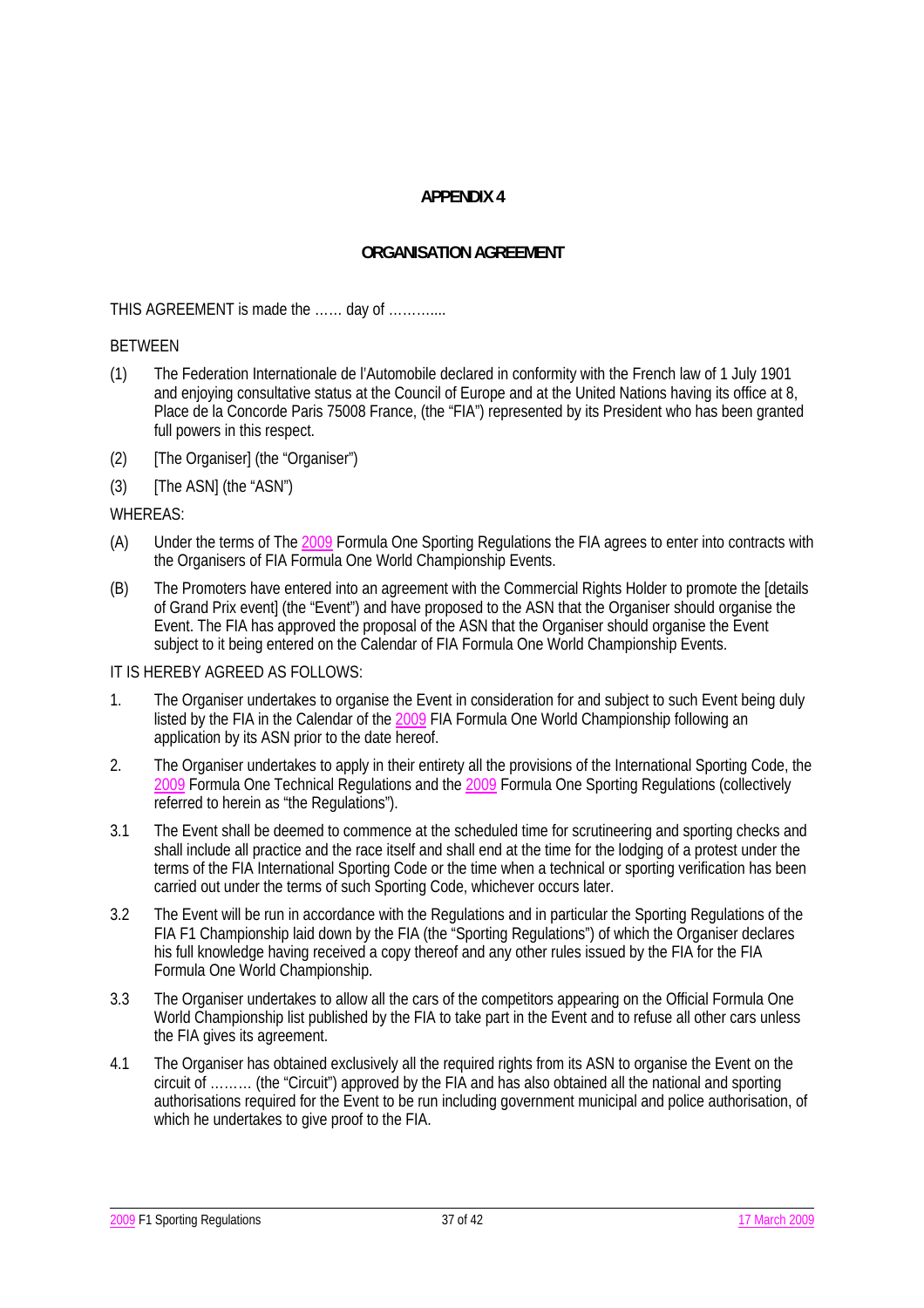## **ORGANISATION AGREEMENT**

THIS AGREEMENT is made the …… day of ………....

#### BETWEEN

- (1) The Federation Internationale de l'Automobile declared in conformity with the French law of 1 July 1901 and enjoying consultative status at the Council of Europe and at the United Nations having its office at 8, Place de la Concorde Paris 75008 France, (the "FIA") represented by its President who has been granted full powers in this respect.
- (2) [The Organiser] (the "Organiser")
- (3) [The ASN] (the "ASN")

#### WHEREAS:

- (A) Under the terms of The 2009 Formula One Sporting Regulations the FIA agrees to enter into contracts with the Organisers of FIA Formula One World Championship Events.
- (B) The Promoters have entered into an agreement with the Commercial Rights Holder to promote the [details of Grand Prix event] (the "Event") and have proposed to the ASN that the Organiser should organise the Event. The FIA has approved the proposal of the ASN that the Organiser should organise the Event subject to it being entered on the Calendar of FIA Formula One World Championship Events.

#### IT IS HEREBY AGREED AS FOLLOWS:

- 1. The Organiser undertakes to organise the Event in consideration for and subject to such Event being duly listed by the FIA in the Calendar of the 2009 FIA Formula One World Championship following an application by its ASN prior to the date hereof.
- 2. The Organiser undertakes to apply in their entirety all the provisions of the International Sporting Code, the 2009 Formula One Technical Regulations and the 2009 Formula One Sporting Regulations (collectively referred to herein as "the Regulations").
- 3.1 The Event shall be deemed to commence at the scheduled time for scrutineering and sporting checks and shall include all practice and the race itself and shall end at the time for the lodging of a protest under the terms of the FIA International Sporting Code or the time when a technical or sporting verification has been carried out under the terms of such Sporting Code, whichever occurs later.
- 3.2 The Event will be run in accordance with the Regulations and in particular the Sporting Regulations of the FIA F1 Championship laid down by the FIA (the "Sporting Regulations") of which the Organiser declares his full knowledge having received a copy thereof and any other rules issued by the FIA for the FIA Formula One World Championship.
- 3.3 The Organiser undertakes to allow all the cars of the competitors appearing on the Official Formula One World Championship list published by the FIA to take part in the Event and to refuse all other cars unless the FIA gives its agreement.
- 4.1 The Organiser has obtained exclusively all the required rights from its ASN to organise the Event on the circuit of ……… (the "Circuit") approved by the FIA and has also obtained all the national and sporting authorisations required for the Event to be run including government municipal and police authorisation, of which he undertakes to give proof to the FIA.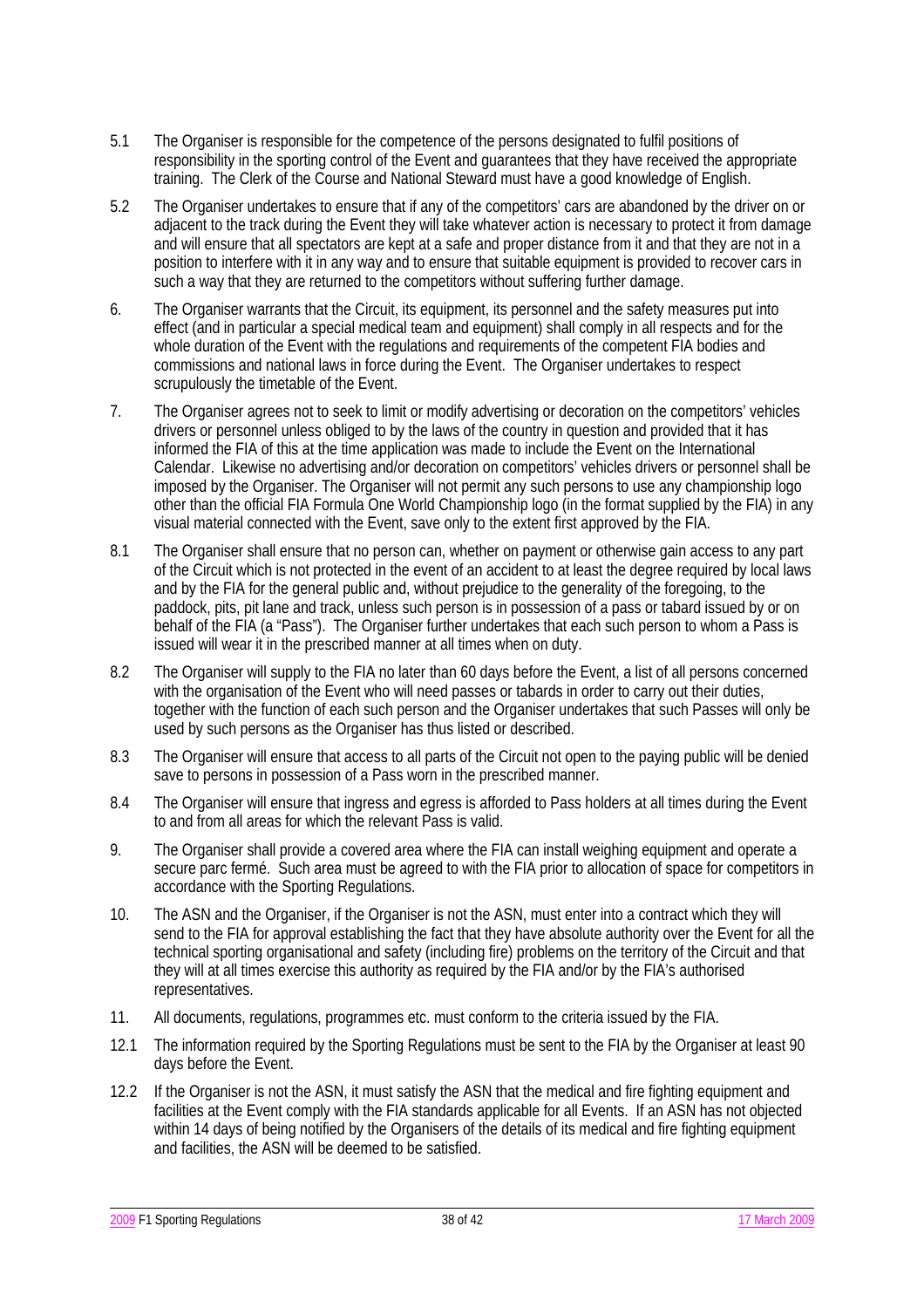- 5.1 The Organiser is responsible for the competence of the persons designated to fulfil positions of responsibility in the sporting control of the Event and guarantees that they have received the appropriate training. The Clerk of the Course and National Steward must have a good knowledge of English.
- 5.2 The Organiser undertakes to ensure that if any of the competitors' cars are abandoned by the driver on or adjacent to the track during the Event they will take whatever action is necessary to protect it from damage and will ensure that all spectators are kept at a safe and proper distance from it and that they are not in a position to interfere with it in any way and to ensure that suitable equipment is provided to recover cars in such a way that they are returned to the competitors without suffering further damage.
- 6. The Organiser warrants that the Circuit, its equipment, its personnel and the safety measures put into effect (and in particular a special medical team and equipment) shall comply in all respects and for the whole duration of the Event with the regulations and requirements of the competent FIA bodies and commissions and national laws in force during the Event. The Organiser undertakes to respect scrupulously the timetable of the Event.
- 7. The Organiser agrees not to seek to limit or modify advertising or decoration on the competitors' vehicles drivers or personnel unless obliged to by the laws of the country in question and provided that it has informed the FIA of this at the time application was made to include the Event on the International Calendar. Likewise no advertising and/or decoration on competitors' vehicles drivers or personnel shall be imposed by the Organiser. The Organiser will not permit any such persons to use any championship logo other than the official FIA Formula One World Championship logo (in the format supplied by the FIA) in any visual material connected with the Event, save only to the extent first approved by the FIA.
- 8.1 The Organiser shall ensure that no person can, whether on payment or otherwise gain access to any part of the Circuit which is not protected in the event of an accident to at least the degree required by local laws and by the FIA for the general public and, without prejudice to the generality of the foregoing, to the paddock, pits, pit lane and track, unless such person is in possession of a pass or tabard issued by or on behalf of the FIA (a "Pass"). The Organiser further undertakes that each such person to whom a Pass is issued will wear it in the prescribed manner at all times when on duty.
- 8.2 The Organiser will supply to the FIA no later than 60 days before the Event, a list of all persons concerned with the organisation of the Event who will need passes or tabards in order to carry out their duties, together with the function of each such person and the Organiser undertakes that such Passes will only be used by such persons as the Organiser has thus listed or described.
- 8.3 The Organiser will ensure that access to all parts of the Circuit not open to the paying public will be denied save to persons in possession of a Pass worn in the prescribed manner.
- 8.4 The Organiser will ensure that ingress and egress is afforded to Pass holders at all times during the Event to and from all areas for which the relevant Pass is valid.
- 9. The Organiser shall provide a covered area where the FIA can install weighing equipment and operate a secure parc fermé. Such area must be agreed to with the FIA prior to allocation of space for competitors in accordance with the Sporting Regulations.
- 10. The ASN and the Organiser, if the Organiser is not the ASN, must enter into a contract which they will send to the FIA for approval establishing the fact that they have absolute authority over the Event for all the technical sporting organisational and safety (including fire) problems on the territory of the Circuit and that they will at all times exercise this authority as required by the FIA and/or by the FIA's authorised representatives.
- 11. All documents, regulations, programmes etc. must conform to the criteria issued by the FIA.
- 12.1 The information required by the Sporting Regulations must be sent to the FIA by the Organiser at least 90 days before the Event.
- 12.2 If the Organiser is not the ASN, it must satisfy the ASN that the medical and fire fighting equipment and facilities at the Event comply with the FIA standards applicable for all Events. If an ASN has not objected within 14 days of being notified by the Organisers of the details of its medical and fire fighting equipment and facilities, the ASN will be deemed to be satisfied.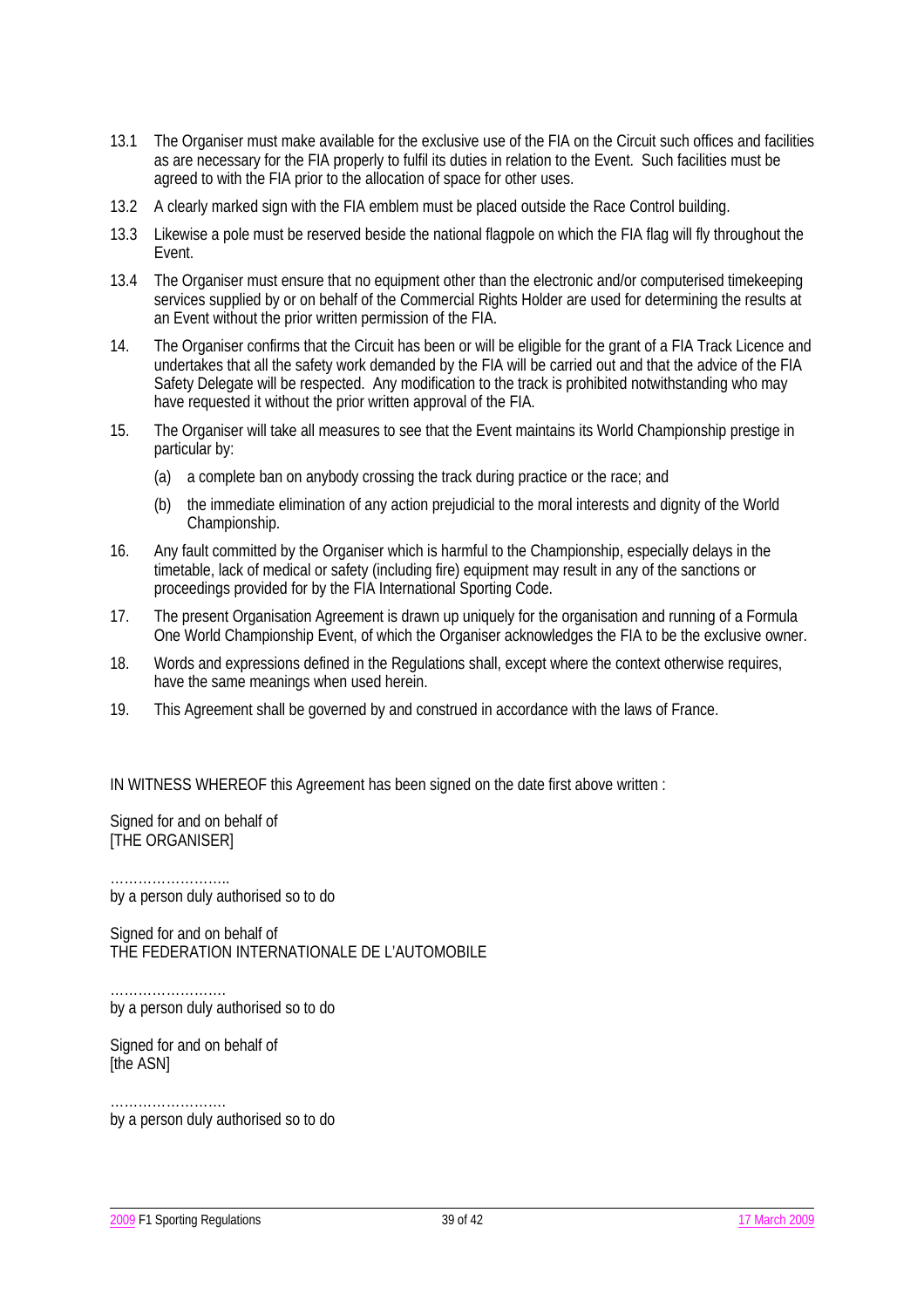- 13.1 The Organiser must make available for the exclusive use of the FIA on the Circuit such offices and facilities as are necessary for the FIA properly to fulfil its duties in relation to the Event. Such facilities must be agreed to with the FIA prior to the allocation of space for other uses.
- 13.2 A clearly marked sign with the FIA emblem must be placed outside the Race Control building.
- 13.3 Likewise a pole must be reserved beside the national flagpole on which the FIA flag will fly throughout the Event.
- 13.4 The Organiser must ensure that no equipment other than the electronic and/or computerised timekeeping services supplied by or on behalf of the Commercial Rights Holder are used for determining the results at an Event without the prior written permission of the FIA.
- 14. The Organiser confirms that the Circuit has been or will be eligible for the grant of a FIA Track Licence and undertakes that all the safety work demanded by the FIA will be carried out and that the advice of the FIA Safety Delegate will be respected. Any modification to the track is prohibited notwithstanding who may have requested it without the prior written approval of the FIA.
- 15. The Organiser will take all measures to see that the Event maintains its World Championship prestige in particular by:
	- (a) a complete ban on anybody crossing the track during practice or the race; and
	- (b) the immediate elimination of any action prejudicial to the moral interests and dignity of the World Championship.
- 16. Any fault committed by the Organiser which is harmful to the Championship, especially delays in the timetable, lack of medical or safety (including fire) equipment may result in any of the sanctions or proceedings provided for by the FIA International Sporting Code.
- 17. The present Organisation Agreement is drawn up uniquely for the organisation and running of a Formula One World Championship Event, of which the Organiser acknowledges the FIA to be the exclusive owner.
- 18. Words and expressions defined in the Regulations shall, except where the context otherwise requires, have the same meanings when used herein.
- 19. This Agreement shall be governed by and construed in accordance with the laws of France.

IN WITNESS WHEREOF this Agreement has been signed on the date first above written :

Signed for and on behalf of **ITHE ORGANISERI** 

…………………….. by a person duly authorised so to do

Signed for and on behalf of THE FEDERATION INTERNATIONALE DE L'AUTOMOBILE

……………………. by a person duly authorised so to do

Signed for and on behalf of **Ithe ASNI** 

……………………. by a person duly authorised so to do

2009 F1 Sporting Regulations 29 of 42 17 March 2009 F1 Sporting Regulations 39 of 42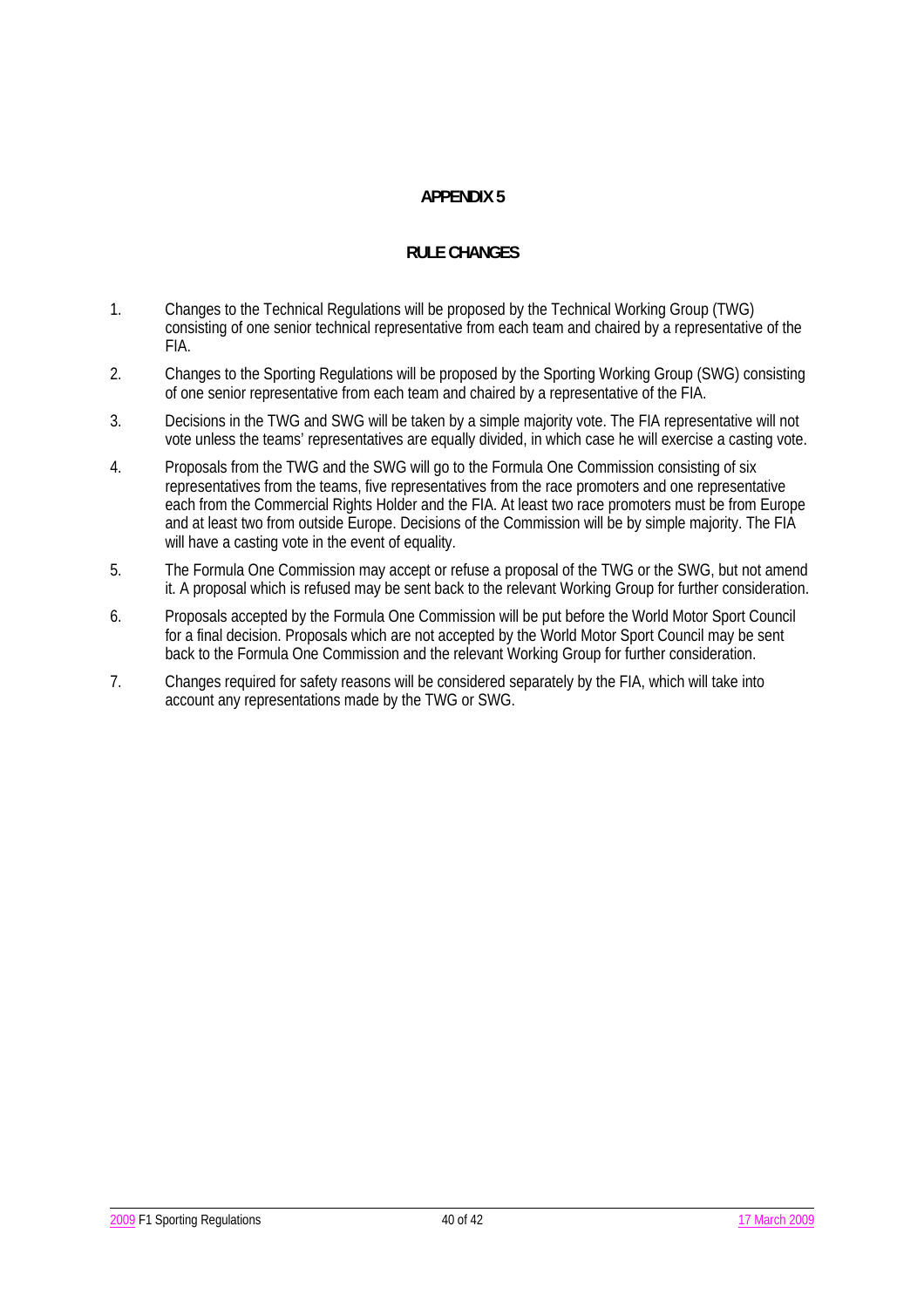## **RULE CHANGES**

- 1. Changes to the Technical Regulations will be proposed by the Technical Working Group (TWG) consisting of one senior technical representative from each team and chaired by a representative of the FIA.
- 2. Changes to the Sporting Regulations will be proposed by the Sporting Working Group (SWG) consisting of one senior representative from each team and chaired by a representative of the FIA.
- 3. Decisions in the TWG and SWG will be taken by a simple majority vote. The FIA representative will not vote unless the teams' representatives are equally divided, in which case he will exercise a casting vote.
- 4. Proposals from the TWG and the SWG will go to the Formula One Commission consisting of six representatives from the teams, five representatives from the race promoters and one representative each from the Commercial Rights Holder and the FIA. At least two race promoters must be from Europe and at least two from outside Europe. Decisions of the Commission will be by simple majority. The FIA will have a casting vote in the event of equality.
- 5. The Formula One Commission may accept or refuse a proposal of the TWG or the SWG, but not amend it. A proposal which is refused may be sent back to the relevant Working Group for further consideration.
- 6. Proposals accepted by the Formula One Commission will be put before the World Motor Sport Council for a final decision. Proposals which are not accepted by the World Motor Sport Council may be sent back to the Formula One Commission and the relevant Working Group for further consideration.
- 7. Changes required for safety reasons will be considered separately by the FIA, which will take into account any representations made by the TWG or SWG.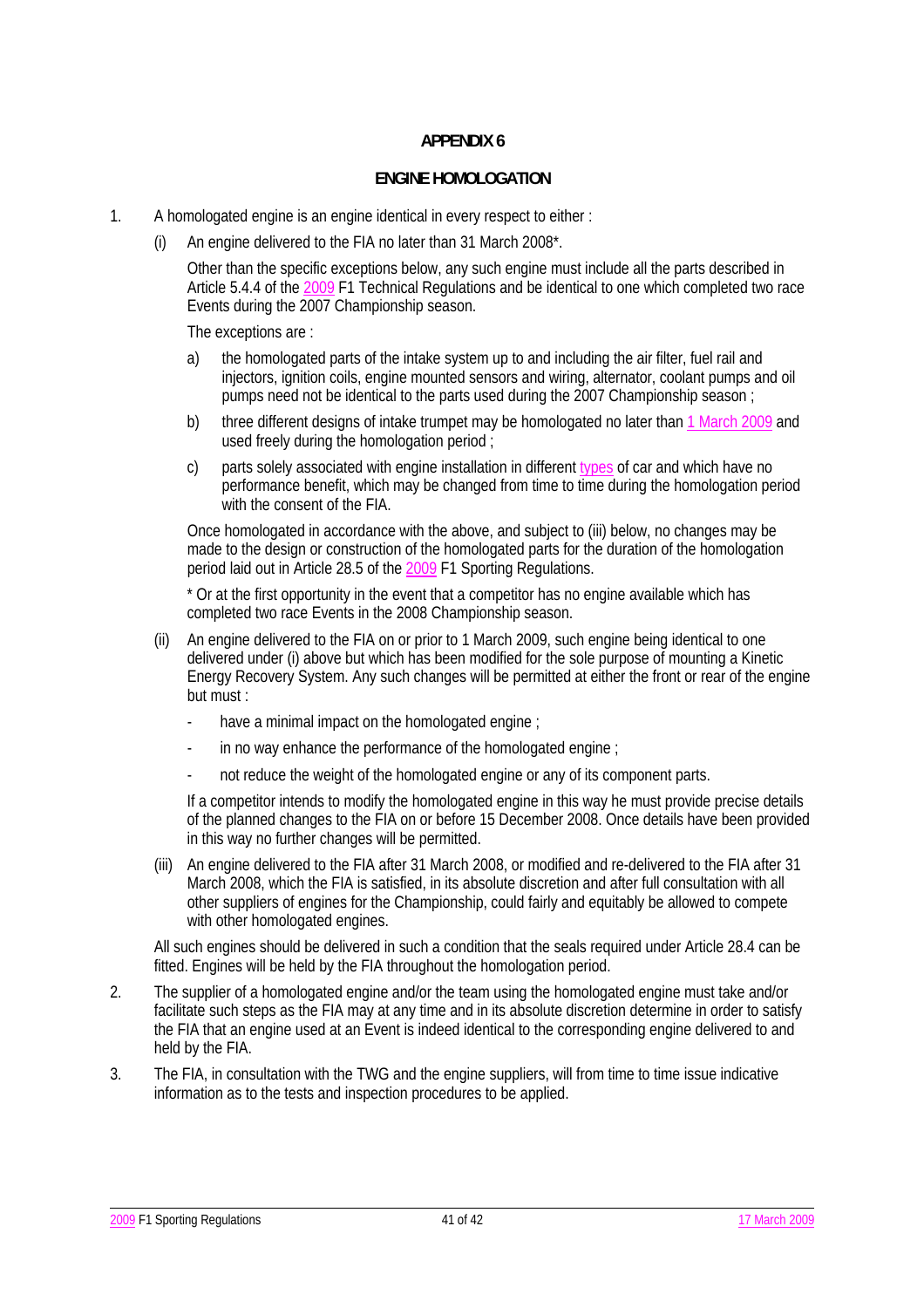#### **ENGINE HOMOLOGATION**

- 1. A homologated engine is an engine identical in every respect to either :
	- (i) An engine delivered to the FIA no later than 31 March 2008\*.

 Other than the specific exceptions below, any such engine must include all the parts described in Article 5.4.4 of the 2009 F1 Technical Regulations and be identical to one which completed two race Events during the 2007 Championship season.

The exceptions are :

- a) the homologated parts of the intake system up to and including the air filter, fuel rail and injectors, ignition coils, engine mounted sensors and wiring, alternator, coolant pumps and oil pumps need not be identical to the parts used during the 2007 Championship season ;
- b) three different designs of intake trumpet may be homologated no later than 1 March 2009 and used freely during the homologation period ;
- c) parts solely associated with engine installation in different types of car and which have no performance benefit, which may be changed from time to time during the homologation period with the consent of the FIA.

 Once homologated in accordance with the above, and subject to (iii) below, no changes may be made to the design or construction of the homologated parts for the duration of the homologation period laid out in Article 28.5 of the 2009 F1 Sporting Regulations.

 \* Or at the first opportunity in the event that a competitor has no engine available which has completed two race Events in the 2008 Championship season.

- (ii) An engine delivered to the FIA on or prior to 1 March 2009, such engine being identical to one delivered under (i) above but which has been modified for the sole purpose of mounting a Kinetic Energy Recovery System. Any such changes will be permitted at either the front or rear of the engine but must :
	- have a minimal impact on the homologated engine;
	- in no way enhance the performance of the homologated engine :
	- not reduce the weight of the homologated engine or any of its component parts.

 If a competitor intends to modify the homologated engine in this way he must provide precise details of the planned changes to the FIA on or before 15 December 2008. Once details have been provided in this way no further changes will be permitted.

 (iii) An engine delivered to the FIA after 31 March 2008, or modified and re-delivered to the FIA after 31 March 2008, which the FIA is satisfied, in its absolute discretion and after full consultation with all other suppliers of engines for the Championship, could fairly and equitably be allowed to compete with other homologated engines.

 All such engines should be delivered in such a condition that the seals required under Article 28.4 can be fitted. Engines will be held by the FIA throughout the homologation period.

- 2. The supplier of a homologated engine and/or the team using the homologated engine must take and/or facilitate such steps as the FIA may at any time and in its absolute discretion determine in order to satisfy the FIA that an engine used at an Event is indeed identical to the corresponding engine delivered to and held by the FIA.
- 3. The FIA, in consultation with the TWG and the engine suppliers, will from time to time issue indicative information as to the tests and inspection procedures to be applied.